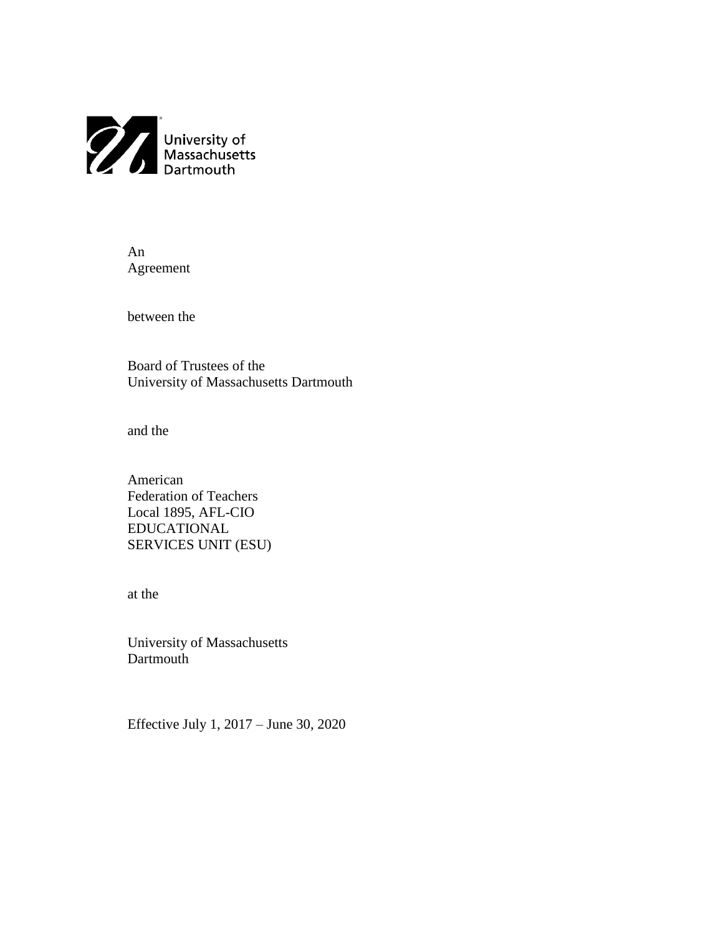

An Agreement

between the

Board of Trustees of the University of Massachusetts Dartmouth

and the

American Federation of Teachers Local 1895, AFL-CIO EDUCATIONAL SERVICES UNIT (ESU)

at the

University of Massachusetts Dartmouth

Effective July 1, 2017 – June 30, 2020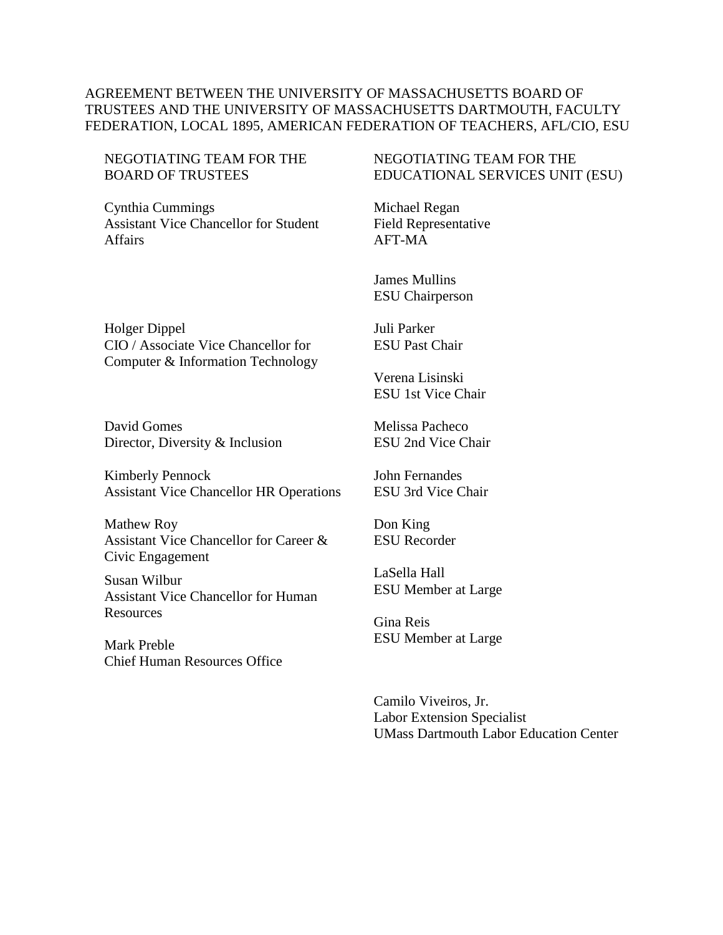### AGREEMENT BETWEEN THE UNIVERSITY OF MASSACHUSETTS BOARD OF TRUSTEES AND THE UNIVERSITY OF MASSACHUSETTS DARTMOUTH, FACULTY FEDERATION, LOCAL 1895, AMERICAN FEDERATION OF TEACHERS, AFL/CIO, ESU

#### NEGOTIATING TEAM FOR THE BOARD OF TRUSTEES

Cynthia Cummings Assistant Vice Chancellor for Student Affairs

### NEGOTIATING TEAM FOR THE EDUCATIONAL SERVICES UNIT (ESU)

Michael Regan Field Representative AFT-MA

James Mullins ESU Chairperson

Holger Dippel CIO / Associate Vice Chancellor for Computer & Information Technology

David Gomes Director, Diversity & Inclusion

Kimberly Pennock Assistant Vice Chancellor HR Operations

Mathew Roy Assistant Vice Chancellor for Career & Civic Engagement

Susan Wilbur Assistant Vice Chancellor for Human Resources

Mark Preble Chief Human Resources Office Juli Parker ESU Past Chair

Verena Lisinski ESU 1st Vice Chair

Melissa Pacheco ESU 2nd Vice Chair

John Fernandes ESU 3rd Vice Chair

Don King ESU Recorder

LaSella Hall ESU Member at Large

Gina Reis ESU Member at Large

Camilo Viveiros, Jr. Labor Extension Specialist UMass Dartmouth Labor Education Center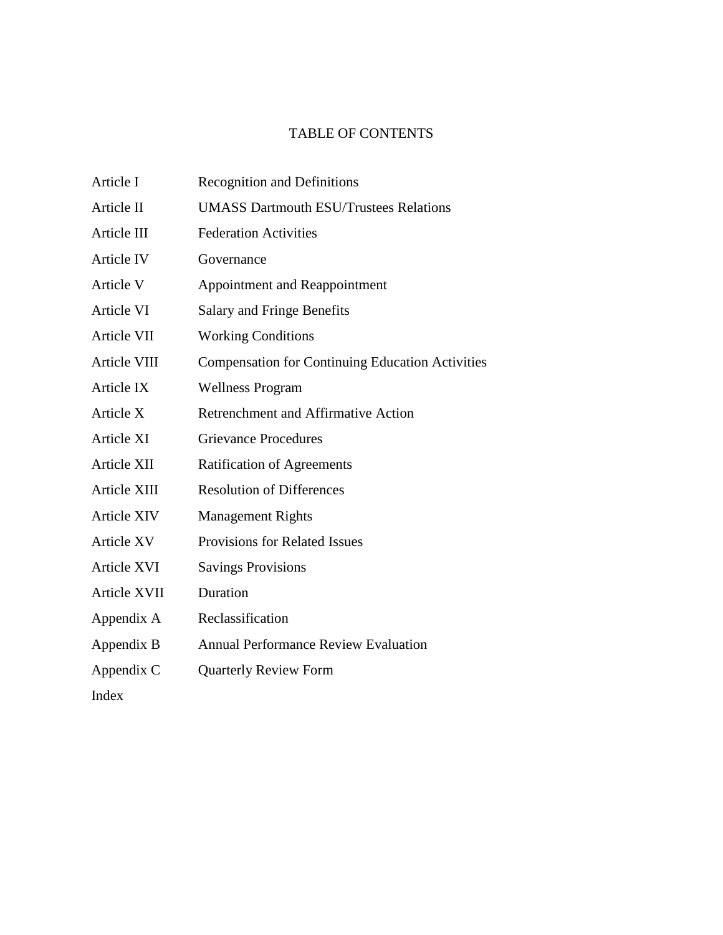# TABLE OF CONTENTS

| Article I          | <b>Recognition and Definitions</b>                      |
|--------------------|---------------------------------------------------------|
| Article II         | <b>UMASS Dartmouth ESU/Trustees Relations</b>           |
| Article III        | <b>Federation Activities</b>                            |
| Article IV         | Governance                                              |
| Article V          | Appointment and Reappointment                           |
| Article VI         | Salary and Fringe Benefits                              |
| Article VII        | <b>Working Conditions</b>                               |
| Article VIII       | <b>Compensation for Continuing Education Activities</b> |
| Article IX         | <b>Wellness Program</b>                                 |
| Article X          | Retrenchment and Affirmative Action                     |
| Article XI         | <b>Grievance Procedures</b>                             |
| Article XII        | <b>Ratification of Agreements</b>                       |
| Article XIII       | <b>Resolution of Differences</b>                        |
| <b>Article XIV</b> | <b>Management Rights</b>                                |
| <b>Article XV</b>  | <b>Provisions for Related Issues</b>                    |
| <b>Article XVI</b> | <b>Savings Provisions</b>                               |
| Article XVII       | Duration                                                |
| Appendix A         | Reclassification                                        |
| Appendix B         | <b>Annual Performance Review Evaluation</b>             |
| Appendix C         | <b>Quarterly Review Form</b>                            |
| Index              |                                                         |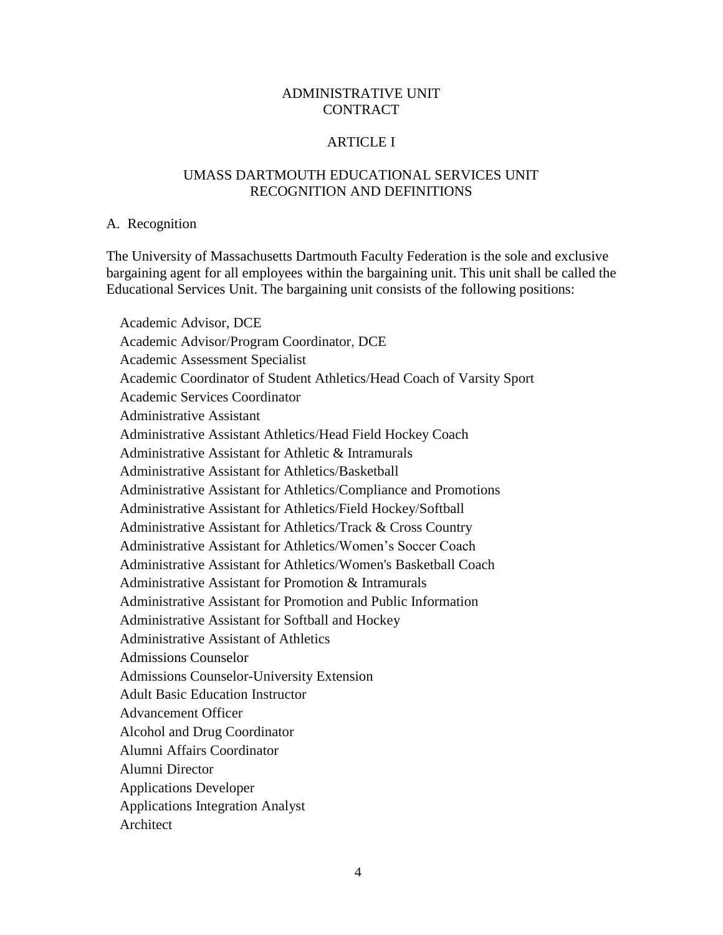### ADMINISTRATIVE UNIT CONTRACT

#### ARTICLE I

### UMASS DARTMOUTH EDUCATIONAL SERVICES UNIT RECOGNITION AND DEFINITIONS

#### A. Recognition

The University of Massachusetts Dartmouth Faculty Federation is the sole and exclusive bargaining agent for all employees within the bargaining unit. This unit shall be called the Educational Services Unit. The bargaining unit consists of the following positions:

Academic Advisor, DCE Academic Advisor/Program Coordinator, DCE Academic Assessment Specialist Academic Coordinator of Student Athletics/Head Coach of Varsity Sport Academic Services Coordinator Administrative Assistant Administrative Assistant Athletics/Head Field Hockey Coach Administrative Assistant for Athletic & Intramurals Administrative Assistant for Athletics/Basketball Administrative Assistant for Athletics/Compliance and Promotions Administrative Assistant for Athletics/Field Hockey/Softball Administrative Assistant for Athletics/Track & Cross Country Administrative Assistant for Athletics/Women's Soccer Coach Administrative Assistant for Athletics/Women's Basketball Coach Administrative Assistant for Promotion & Intramurals Administrative Assistant for Promotion and Public Information Administrative Assistant for Softball and Hockey Administrative Assistant of Athletics Admissions Counselor Admissions Counselor-University Extension Adult Basic Education Instructor Advancement Officer Alcohol and Drug Coordinator Alumni Affairs Coordinator Alumni Director Applications Developer Applications Integration Analyst Architect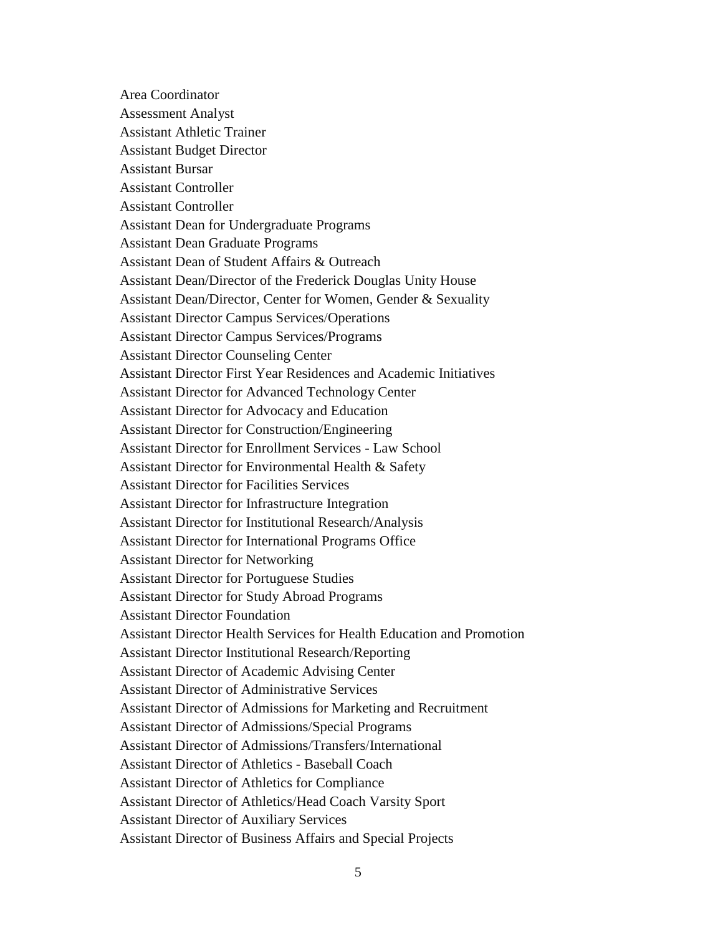Area Coordinator Assessment Analyst Assistant Athletic Trainer Assistant Budget Director Assistant Bursar Assistant Controller Assistant Controller Assistant Dean for Undergraduate Programs Assistant Dean Graduate Programs Assistant Dean of Student Affairs & Outreach Assistant Dean/Director of the Frederick Douglas Unity House Assistant Dean/Director, Center for Women, Gender & Sexuality Assistant Director Campus Services/Operations Assistant Director Campus Services/Programs Assistant Director Counseling Center Assistant Director First Year Residences and Academic Initiatives Assistant Director for Advanced Technology Center Assistant Director for Advocacy and Education Assistant Director for Construction/Engineering Assistant Director for Enrollment Services - Law School Assistant Director for Environmental Health & Safety Assistant Director for Facilities Services Assistant Director for Infrastructure Integration Assistant Director for Institutional Research/Analysis Assistant Director for International Programs Office Assistant Director for Networking Assistant Director for Portuguese Studies Assistant Director for Study Abroad Programs Assistant Director Foundation Assistant Director Health Services for Health Education and Promotion Assistant Director Institutional Research/Reporting Assistant Director of Academic Advising Center Assistant Director of Administrative Services Assistant Director of Admissions for Marketing and Recruitment Assistant Director of Admissions/Special Programs Assistant Director of Admissions/Transfers/International Assistant Director of Athletics - Baseball Coach Assistant Director of Athletics for Compliance Assistant Director of Athletics/Head Coach Varsity Sport Assistant Director of Auxiliary Services Assistant Director of Business Affairs and Special Projects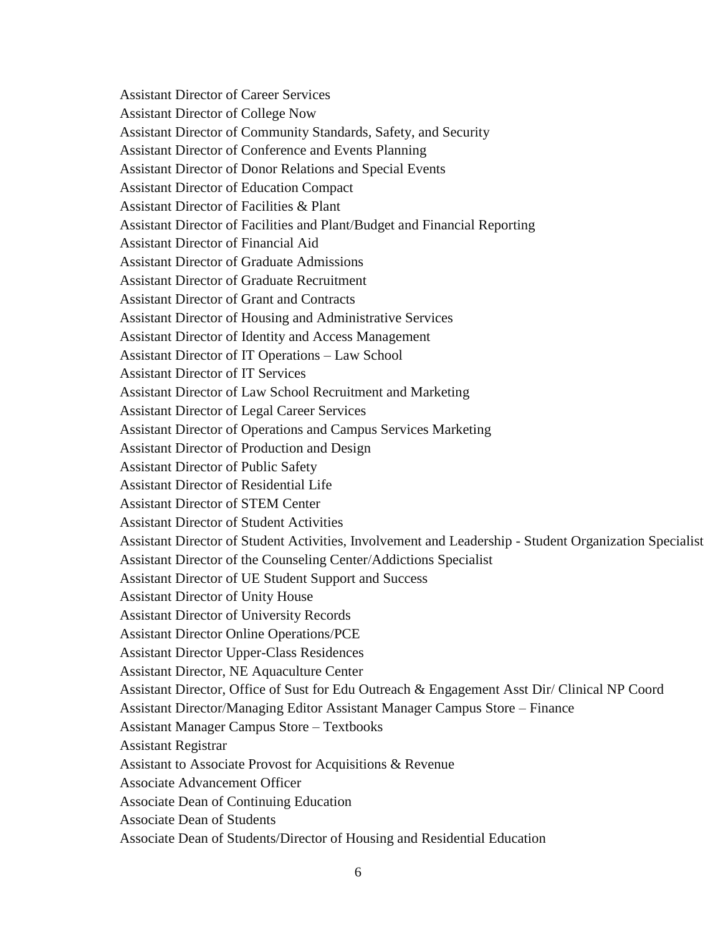Assistant Director of Career Services Assistant Director of College Now Assistant Director of Community Standards, Safety, and Security Assistant Director of Conference and Events Planning Assistant Director of Donor Relations and Special Events Assistant Director of Education Compact Assistant Director of Facilities & Plant Assistant Director of Facilities and Plant/Budget and Financial Reporting Assistant Director of Financial Aid Assistant Director of Graduate Admissions Assistant Director of Graduate Recruitment Assistant Director of Grant and Contracts Assistant Director of Housing and Administrative Services Assistant Director of Identity and Access Management Assistant Director of IT Operations – Law School Assistant Director of IT Services Assistant Director of Law School Recruitment and Marketing Assistant Director of Legal Career Services Assistant Director of Operations and Campus Services Marketing Assistant Director of Production and Design Assistant Director of Public Safety Assistant Director of Residential Life Assistant Director of STEM Center Assistant Director of Student Activities Assistant Director of Student Activities, Involvement and Leadership - Student Organization Specialist Assistant Director of the Counseling Center/Addictions Specialist Assistant Director of UE Student Support and Success Assistant Director of Unity House Assistant Director of University Records Assistant Director Online Operations/PCE Assistant Director Upper-Class Residences Assistant Director, NE Aquaculture Center Assistant Director, Office of Sust for Edu Outreach & Engagement Asst Dir/ Clinical NP Coord Assistant Director/Managing Editor Assistant Manager Campus Store – Finance Assistant Manager Campus Store – Textbooks Assistant Registrar Assistant to Associate Provost for Acquisitions & Revenue Associate Advancement Officer Associate Dean of Continuing Education Associate Dean of Students Associate Dean of Students/Director of Housing and Residential Education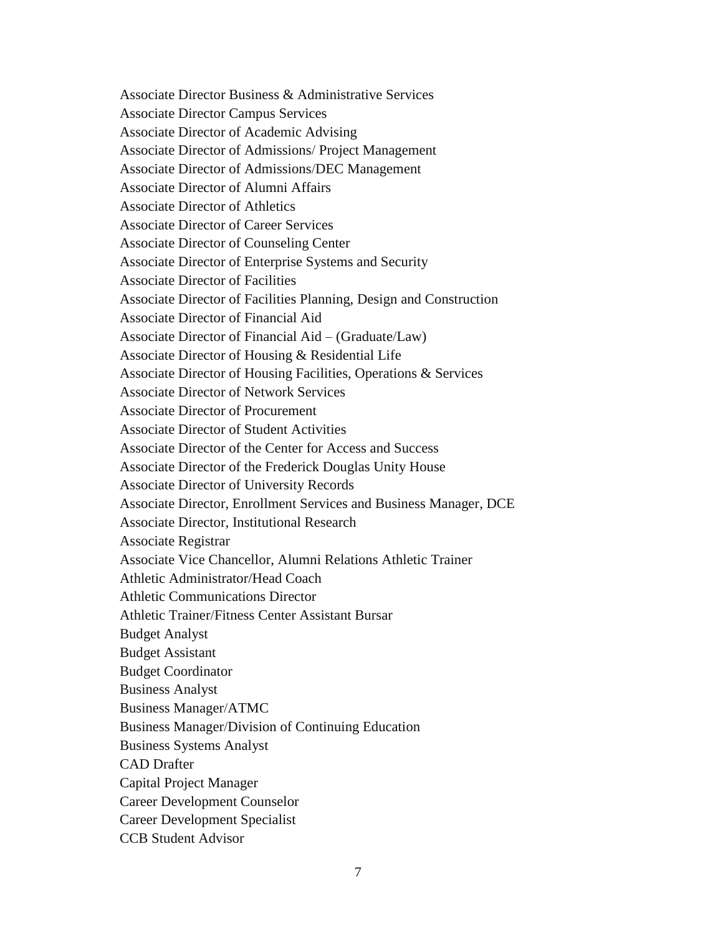Associate Director Business & Administrative Services Associate Director Campus Services Associate Director of Academic Advising Associate Director of Admissions/ Project Management Associate Director of Admissions/DEC Management Associate Director of Alumni Affairs Associate Director of Athletics Associate Director of Career Services Associate Director of Counseling Center Associate Director of Enterprise Systems and Security Associate Director of Facilities Associate Director of Facilities Planning, Design and Construction Associate Director of Financial Aid Associate Director of Financial Aid – (Graduate/Law) Associate Director of Housing & Residential Life Associate Director of Housing Facilities, Operations & Services Associate Director of Network Services Associate Director of Procurement Associate Director of Student Activities Associate Director of the Center for Access and Success Associate Director of the Frederick Douglas Unity House Associate Director of University Records Associate Director, Enrollment Services and Business Manager, DCE Associate Director, Institutional Research Associate Registrar Associate Vice Chancellor, Alumni Relations Athletic Trainer Athletic Administrator/Head Coach Athletic Communications Director Athletic Trainer/Fitness Center Assistant Bursar Budget Analyst Budget Assistant Budget Coordinator Business Analyst Business Manager/ATMC Business Manager/Division of Continuing Education Business Systems Analyst CAD Drafter Capital Project Manager Career Development Counselor Career Development Specialist CCB Student Advisor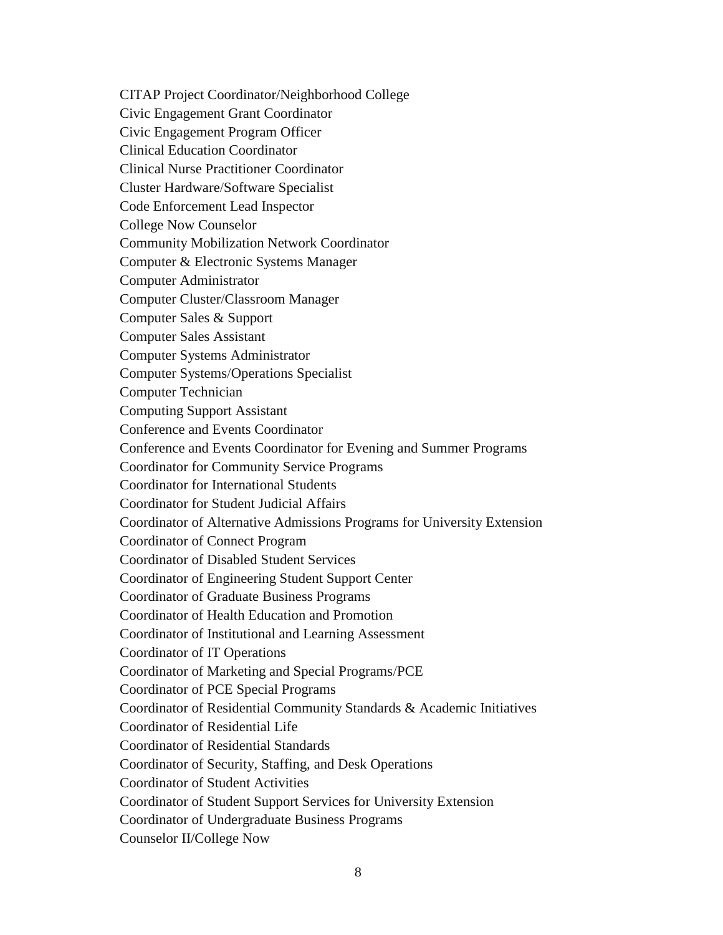CITAP Project Coordinator/Neighborhood College

Civic Engagement Grant Coordinator

Civic Engagement Program Officer

Clinical Education Coordinator

Clinical Nurse Practitioner Coordinator

Cluster Hardware/Software Specialist

Code Enforcement Lead Inspector

College Now Counselor

Community Mobilization Network Coordinator

Computer & Electronic Systems Manager

Computer Administrator

Computer Cluster/Classroom Manager

Computer Sales & Support

Computer Sales Assistant

Computer Systems Administrator

Computer Systems/Operations Specialist

Computer Technician

Computing Support Assistant

Conference and Events Coordinator

Conference and Events Coordinator for Evening and Summer Programs

Coordinator for Community Service Programs

Coordinator for International Students

Coordinator for Student Judicial Affairs

Coordinator of Alternative Admissions Programs for University Extension

Coordinator of Connect Program

Coordinator of Disabled Student Services

Coordinator of Engineering Student Support Center

Coordinator of Graduate Business Programs

Coordinator of Health Education and Promotion

Coordinator of Institutional and Learning Assessment

Coordinator of IT Operations

Coordinator of Marketing and Special Programs/PCE

Coordinator of PCE Special Programs

Coordinator of Residential Community Standards & Academic Initiatives

Coordinator of Residential Life

Coordinator of Residential Standards

Coordinator of Security, Staffing, and Desk Operations

Coordinator of Student Activities

Coordinator of Student Support Services for University Extension

Coordinator of Undergraduate Business Programs

Counselor II/College Now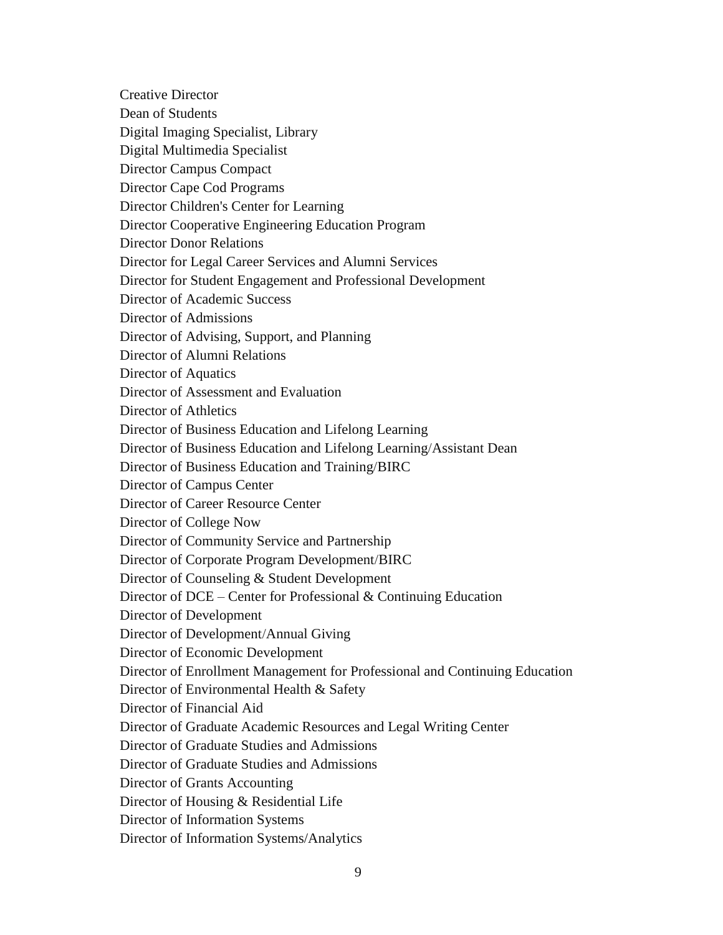Creative Director Dean of Students Digital Imaging Specialist, Library Digital Multimedia Specialist Director Campus Compact Director Cape Cod Programs Director Children's Center for Learning Director Cooperative Engineering Education Program Director Donor Relations Director for Legal Career Services and Alumni Services Director for Student Engagement and Professional Development Director of Academic Success Director of Admissions Director of Advising, Support, and Planning Director of Alumni Relations Director of Aquatics Director of Assessment and Evaluation Director of Athletics Director of Business Education and Lifelong Learning Director of Business Education and Lifelong Learning/Assistant Dean Director of Business Education and Training/BIRC Director of Campus Center Director of Career Resource Center Director of College Now Director of Community Service and Partnership Director of Corporate Program Development/BIRC Director of Counseling & Student Development Director of DCE – Center for Professional & Continuing Education Director of Development Director of Development/Annual Giving Director of Economic Development Director of Enrollment Management for Professional and Continuing Education Director of Environmental Health & Safety Director of Financial Aid Director of Graduate Academic Resources and Legal Writing Center Director of Graduate Studies and Admissions Director of Graduate Studies and Admissions Director of Grants Accounting Director of Housing & Residential Life Director of Information Systems Director of Information Systems/Analytics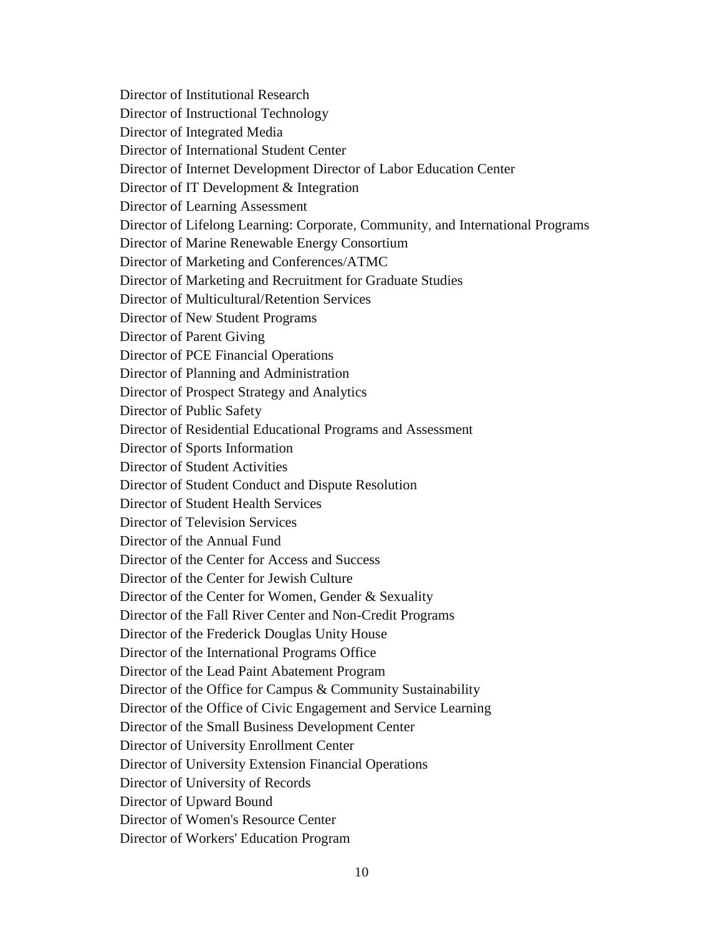Director of Institutional Research Director of Instructional Technology Director of Integrated Media Director of International Student Center Director of Internet Development Director of Labor Education Center Director of IT Development & Integration Director of Learning Assessment Director of Lifelong Learning: Corporate, Community, and International Programs Director of Marine Renewable Energy Consortium Director of Marketing and Conferences/ATMC Director of Marketing and Recruitment for Graduate Studies Director of Multicultural/Retention Services Director of New Student Programs Director of Parent Giving Director of PCE Financial Operations Director of Planning and Administration Director of Prospect Strategy and Analytics Director of Public Safety Director of Residential Educational Programs and Assessment Director of Sports Information Director of Student Activities Director of Student Conduct and Dispute Resolution Director of Student Health Services Director of Television Services Director of the Annual Fund Director of the Center for Access and Success Director of the Center for Jewish Culture Director of the Center for Women, Gender & Sexuality Director of the Fall River Center and Non-Credit Programs Director of the Frederick Douglas Unity House Director of the International Programs Office Director of the Lead Paint Abatement Program Director of the Office for Campus & Community Sustainability Director of the Office of Civic Engagement and Service Learning Director of the Small Business Development Center Director of University Enrollment Center Director of University Extension Financial Operations Director of University of Records Director of Upward Bound Director of Women's Resource Center Director of Workers' Education Program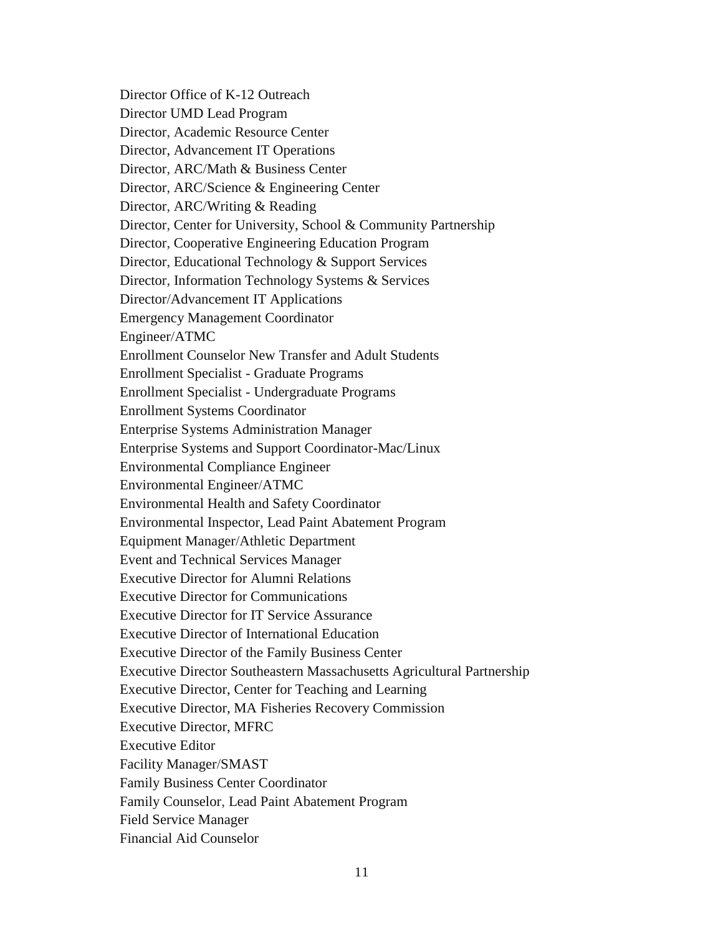Director Office of K-12 Outreach Director UMD Lead Program Director, Academic Resource Center Director, Advancement IT Operations Director, ARC/Math & Business Center Director, ARC/Science & Engineering Center Director, ARC/Writing & Reading Director, Center for University, School & Community Partnership Director, Cooperative Engineering Education Program Director, Educational Technology & Support Services Director, Information Technology Systems & Services Director/Advancement IT Applications Emergency Management Coordinator Engineer/ATMC Enrollment Counselor New Transfer and Adult Students Enrollment Specialist - Graduate Programs Enrollment Specialist - Undergraduate Programs Enrollment Systems Coordinator Enterprise Systems Administration Manager Enterprise Systems and Support Coordinator-Mac/Linux Environmental Compliance Engineer Environmental Engineer/ATMC Environmental Health and Safety Coordinator Environmental Inspector, Lead Paint Abatement Program Equipment Manager/Athletic Department Event and Technical Services Manager Executive Director for Alumni Relations Executive Director for Communications Executive Director for IT Service Assurance Executive Director of International Education Executive Director of the Family Business Center Executive Director Southeastern Massachusetts Agricultural Partnership Executive Director, Center for Teaching and Learning Executive Director, MA Fisheries Recovery Commission Executive Director, MFRC Executive Editor Facility Manager/SMAST Family Business Center Coordinator Family Counselor, Lead Paint Abatement Program Field Service Manager Financial Aid Counselor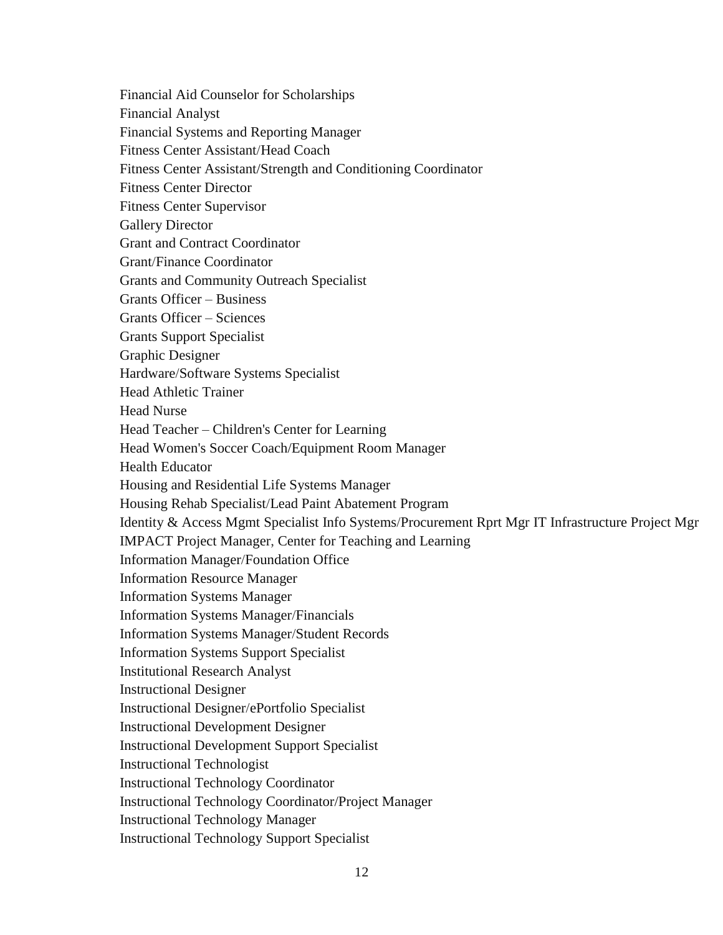Financial Aid Counselor for Scholarships Financial Analyst Financial Systems and Reporting Manager Fitness Center Assistant/Head Coach Fitness Center Assistant/Strength and Conditioning Coordinator Fitness Center Director Fitness Center Supervisor Gallery Director Grant and Contract Coordinator Grant/Finance Coordinator Grants and Community Outreach Specialist Grants Officer – Business Grants Officer – Sciences Grants Support Specialist Graphic Designer Hardware/Software Systems Specialist Head Athletic Trainer Head Nurse Head Teacher – Children's Center for Learning Head Women's Soccer Coach/Equipment Room Manager Health Educator Housing and Residential Life Systems Manager Housing Rehab Specialist/Lead Paint Abatement Program Identity & Access Mgmt Specialist Info Systems/Procurement Rprt Mgr IT Infrastructure Project Mgr IMPACT Project Manager, Center for Teaching and Learning Information Manager/Foundation Office Information Resource Manager Information Systems Manager Information Systems Manager/Financials Information Systems Manager/Student Records Information Systems Support Specialist Institutional Research Analyst Instructional Designer Instructional Designer/ePortfolio Specialist Instructional Development Designer Instructional Development Support Specialist Instructional Technologist Instructional Technology Coordinator Instructional Technology Coordinator/Project Manager Instructional Technology Manager Instructional Technology Support Specialist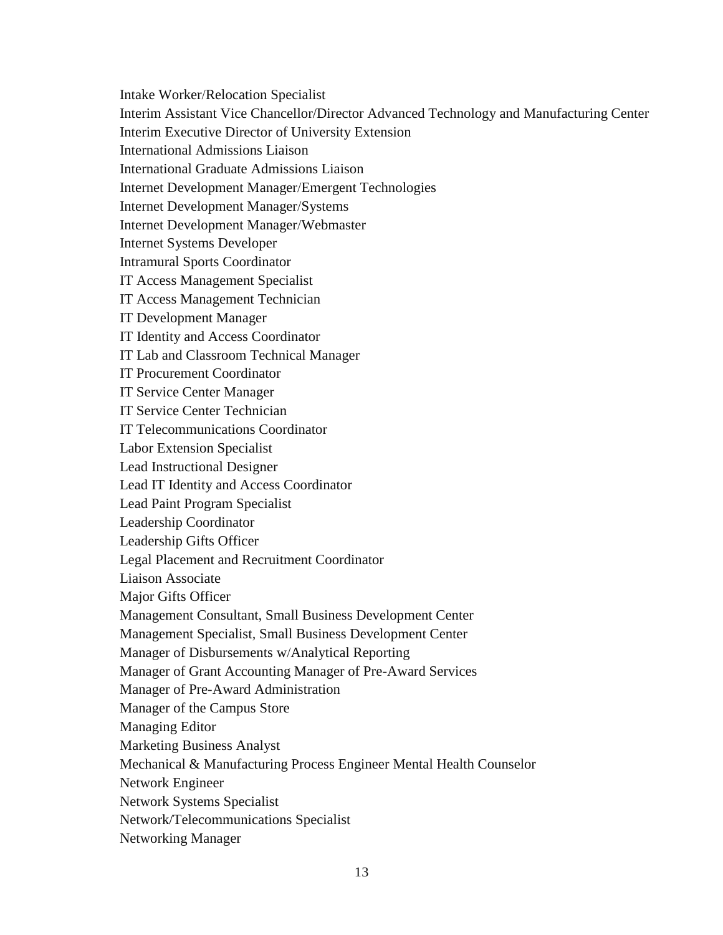Intake Worker/Relocation Specialist

Interim Assistant Vice Chancellor/Director Advanced Technology and Manufacturing Center

Interim Executive Director of University Extension

International Admissions Liaison

International Graduate Admissions Liaison

Internet Development Manager/Emergent Technologies

Internet Development Manager/Systems

Internet Development Manager/Webmaster

Internet Systems Developer

Intramural Sports Coordinator

IT Access Management Specialist

IT Access Management Technician

IT Development Manager

IT Identity and Access Coordinator

IT Lab and Classroom Technical Manager

IT Procurement Coordinator

IT Service Center Manager

IT Service Center Technician

IT Telecommunications Coordinator

Labor Extension Specialist

Lead Instructional Designer

Lead IT Identity and Access Coordinator

Lead Paint Program Specialist

Leadership Coordinator

Leadership Gifts Officer

Legal Placement and Recruitment Coordinator

Liaison Associate

Major Gifts Officer

Management Consultant, Small Business Development Center

Management Specialist, Small Business Development Center

Manager of Disbursements w/Analytical Reporting

Manager of Grant Accounting Manager of Pre-Award Services

Manager of Pre-Award Administration

Manager of the Campus Store

Managing Editor

Marketing Business Analyst

Mechanical & Manufacturing Process Engineer Mental Health Counselor

Network Engineer

Network Systems Specialist

Network/Telecommunications Specialist

Networking Manager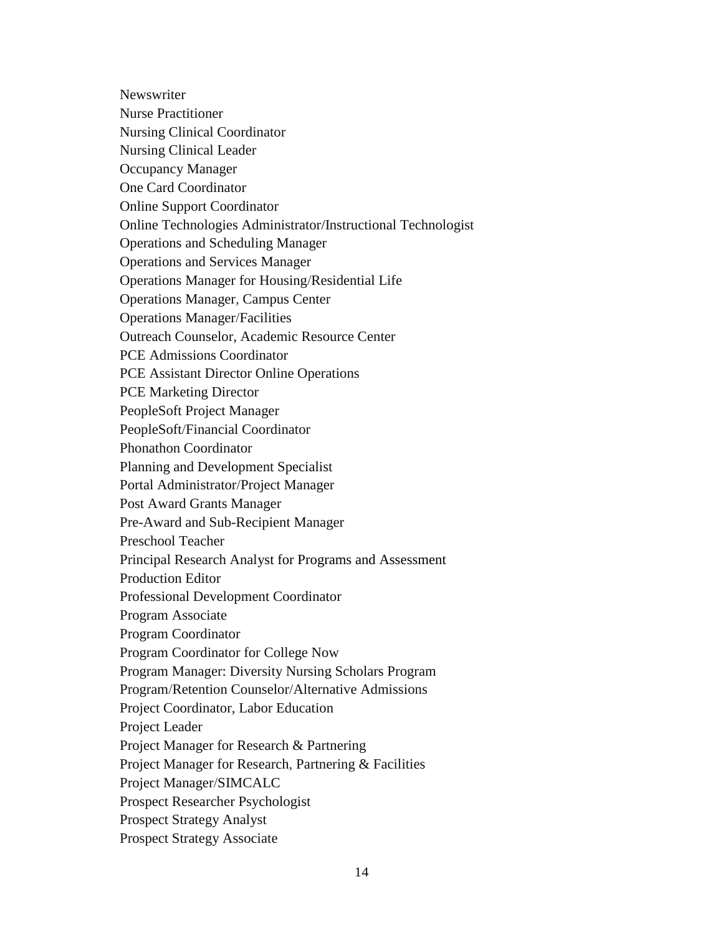**Newswriter** Nurse Practitioner Nursing Clinical Coordinator Nursing Clinical Leader Occupancy Manager One Card Coordinator Online Support Coordinator Online Technologies Administrator/Instructional Technologist Operations and Scheduling Manager Operations and Services Manager Operations Manager for Housing/Residential Life Operations Manager, Campus Center Operations Manager/Facilities Outreach Counselor, Academic Resource Center PCE Admissions Coordinator PCE Assistant Director Online Operations PCE Marketing Director PeopleSoft Project Manager PeopleSoft/Financial Coordinator Phonathon Coordinator Planning and Development Specialist Portal Administrator/Project Manager Post Award Grants Manager Pre-Award and Sub-Recipient Manager Preschool Teacher Principal Research Analyst for Programs and Assessment Production Editor Professional Development Coordinator Program Associate Program Coordinator Program Coordinator for College Now Program Manager: Diversity Nursing Scholars Program Program/Retention Counselor/Alternative Admissions Project Coordinator, Labor Education Project Leader Project Manager for Research & Partnering Project Manager for Research, Partnering & Facilities Project Manager/SIMCALC Prospect Researcher Psychologist Prospect Strategy Analyst Prospect Strategy Associate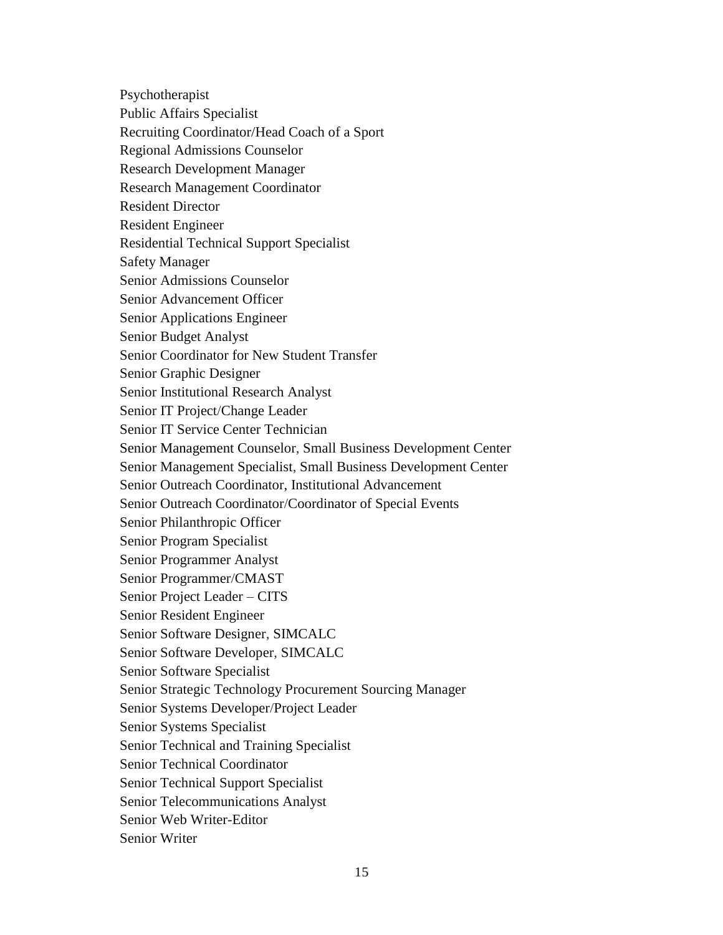Psychotherapist

Public Affairs Specialist

Recruiting Coordinator/Head Coach of a Sport

Regional Admissions Counselor

Research Development Manager

Research Management Coordinator

Resident Director

Resident Engineer

Residential Technical Support Specialist

Safety Manager

Senior Admissions Counselor

Senior Advancement Officer

Senior Applications Engineer

Senior Budget Analyst

Senior Coordinator for New Student Transfer

Senior Graphic Designer

Senior Institutional Research Analyst

Senior IT Project/Change Leader

Senior IT Service Center Technician

Senior Management Counselor, Small Business Development Center

Senior Management Specialist, Small Business Development Center

Senior Outreach Coordinator, Institutional Advancement

Senior Outreach Coordinator/Coordinator of Special Events

Senior Philanthropic Officer

Senior Program Specialist

Senior Programmer Analyst

Senior Programmer/CMAST

Senior Project Leader – CITS

Senior Resident Engineer

Senior Software Designer, SIMCALC

Senior Software Developer, SIMCALC

Senior Software Specialist

Senior Strategic Technology Procurement Sourcing Manager

Senior Systems Developer/Project Leader

Senior Systems Specialist

Senior Technical and Training Specialist

Senior Technical Coordinator

Senior Technical Support Specialist

Senior Telecommunications Analyst

Senior Web Writer-Editor

Senior Writer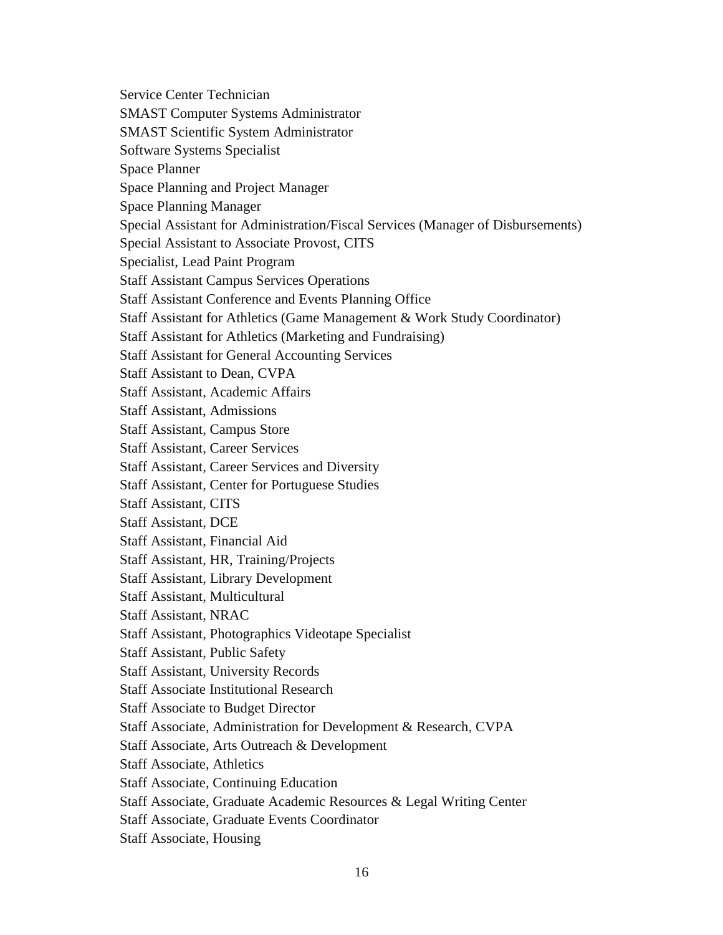Service Center Technician SMAST Computer Systems Administrator SMAST Scientific System Administrator Software Systems Specialist Space Planner Space Planning and Project Manager Space Planning Manager Special Assistant for Administration/Fiscal Services (Manager of Disbursements) Special Assistant to Associate Provost, CITS Specialist, Lead Paint Program Staff Assistant Campus Services Operations Staff Assistant Conference and Events Planning Office Staff Assistant for Athletics (Game Management & Work Study Coordinator) Staff Assistant for Athletics (Marketing and Fundraising) Staff Assistant for General Accounting Services Staff Assistant to Dean, CVPA Staff Assistant, Academic Affairs Staff Assistant, Admissions Staff Assistant, Campus Store Staff Assistant, Career Services Staff Assistant, Career Services and Diversity Staff Assistant, Center for Portuguese Studies Staff Assistant, CITS Staff Assistant, DCE Staff Assistant, Financial Aid Staff Assistant, HR, Training/Projects Staff Assistant, Library Development Staff Assistant, Multicultural Staff Assistant, NRAC Staff Assistant, Photographics Videotape Specialist Staff Assistant, Public Safety Staff Assistant, University Records Staff Associate Institutional Research Staff Associate to Budget Director Staff Associate, Administration for Development & Research, CVPA Staff Associate, Arts Outreach & Development Staff Associate, Athletics Staff Associate, Continuing Education Staff Associate, Graduate Academic Resources & Legal Writing Center Staff Associate, Graduate Events Coordinator Staff Associate, Housing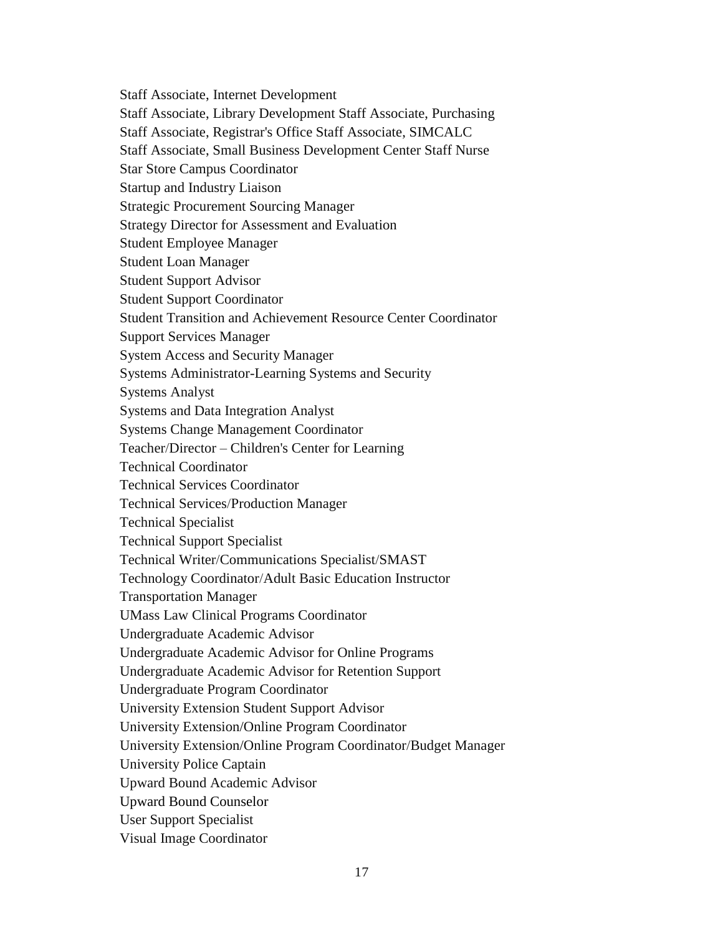Staff Associate, Internet Development Staff Associate, Library Development Staff Associate, Purchasing Staff Associate, Registrar's Office Staff Associate, SIMCALC Staff Associate, Small Business Development Center Staff Nurse Star Store Campus Coordinator Startup and Industry Liaison Strategic Procurement Sourcing Manager Strategy Director for Assessment and Evaluation Student Employee Manager Student Loan Manager Student Support Advisor Student Support Coordinator Student Transition and Achievement Resource Center Coordinator Support Services Manager System Access and Security Manager Systems Administrator-Learning Systems and Security Systems Analyst Systems and Data Integration Analyst Systems Change Management Coordinator Teacher/Director – Children's Center for Learning Technical Coordinator Technical Services Coordinator Technical Services/Production Manager Technical Specialist Technical Support Specialist Technical Writer/Communications Specialist/SMAST Technology Coordinator/Adult Basic Education Instructor Transportation Manager UMass Law Clinical Programs Coordinator Undergraduate Academic Advisor Undergraduate Academic Advisor for Online Programs Undergraduate Academic Advisor for Retention Support Undergraduate Program Coordinator University Extension Student Support Advisor University Extension/Online Program Coordinator University Extension/Online Program Coordinator/Budget Manager University Police Captain Upward Bound Academic Advisor Upward Bound Counselor User Support Specialist Visual Image Coordinator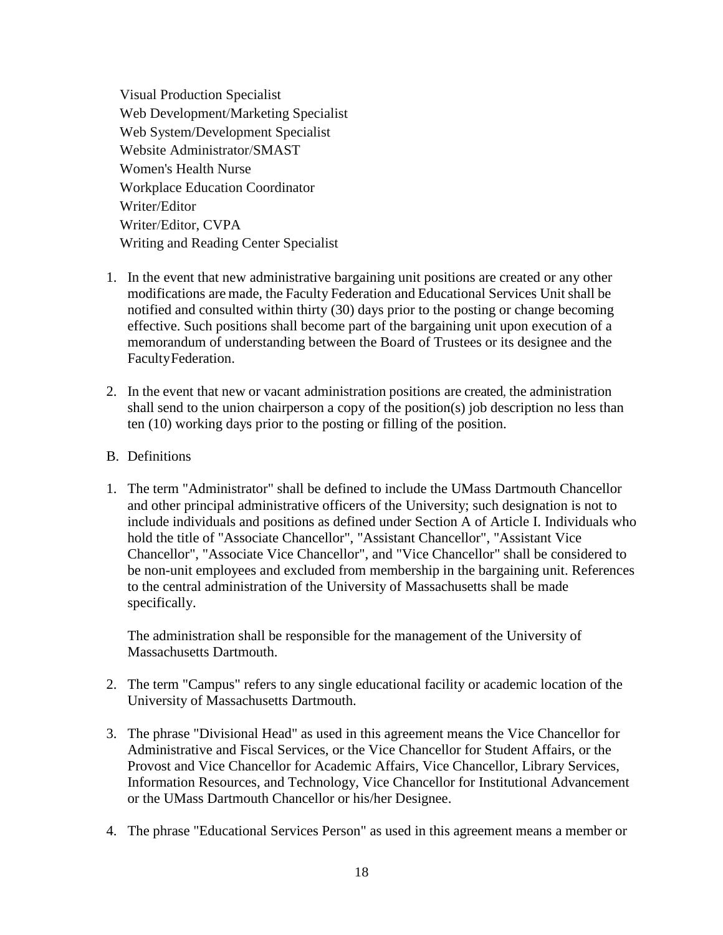Visual Production Specialist Web Development/Marketing Specialist Web System/Development Specialist Website Administrator/SMAST Women's Health Nurse Workplace Education Coordinator Writer/Editor Writer/Editor, CVPA Writing and Reading Center Specialist

- 1. In the event that new administrative bargaining unit positions are created or any other modifications are made, the Faculty Federation and Educational Services Unit shall be notified and consulted within thirty (30) days prior to the posting or change becoming effective. Such positions shall become part of the bargaining unit upon execution of a memorandum of understanding between the Board of Trustees or its designee and the FacultyFederation.
- 2. In the event that new or vacant administration positions are created, the administration shall send to the union chairperson a copy of the position(s) job description no less than ten (10) working days prior to the posting or filling of the position.

### B. Definitions

1. The term "Administrator" shall be defined to include the UMass Dartmouth Chancellor and other principal administrative officers of the University; such designation is not to include individuals and positions as defined under Section A of Article I. Individuals who hold the title of "Associate Chancellor", "Assistant Chancellor", "Assistant Vice Chancellor", "Associate Vice Chancellor", and "Vice Chancellor" shall be considered to be non-unit employees and excluded from membership in the bargaining unit. References to the central administration of the University of Massachusetts shall be made specifically.

The administration shall be responsible for the management of the University of Massachusetts Dartmouth.

- 2. The term "Campus" refers to any single educational facility or academic location of the University of Massachusetts Dartmouth.
- 3. The phrase "Divisional Head" as used in this agreement means the Vice Chancellor for Administrative and Fiscal Services, or the Vice Chancellor for Student Affairs, or the Provost and Vice Chancellor for Academic Affairs, Vice Chancellor, Library Services, Information Resources, and Technology, Vice Chancellor for Institutional Advancement or the UMass Dartmouth Chancellor or his/her Designee.
- 4. The phrase "Educational Services Person" as used in this agreement means a member or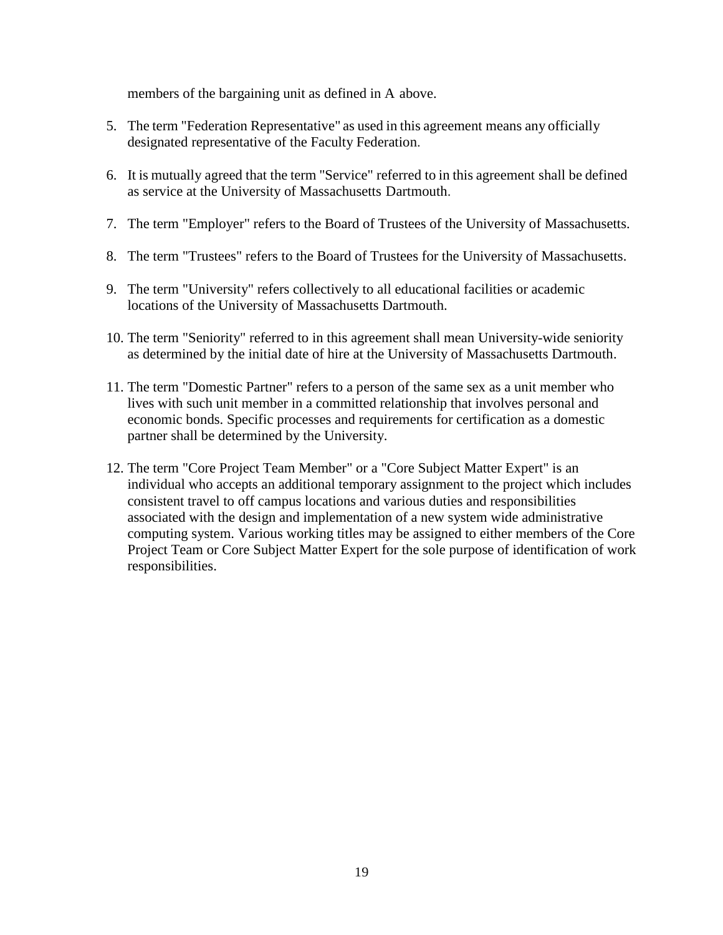members of the bargaining unit as defined in A above.

- 5. The term "Federation Representative" as used in this agreement means any officially designated representative of the Faculty Federation.
- 6. It is mutually agreed that the term "Service" referred to in this agreement shall be defined as service at the University of Massachusetts Dartmouth.
- 7. The term "Employer" refers to the Board of Trustees of the University of Massachusetts.
- 8. The term "Trustees" refers to the Board of Trustees for the University of Massachusetts.
- 9. The term "University" refers collectively to all educational facilities or academic locations of the University of Massachusetts Dartmouth.
- 10. The term "Seniority" referred to in this agreement shall mean University-wide seniority as determined by the initial date of hire at the University of Massachusetts Dartmouth.
- 11. The term "Domestic Partner" refers to a person of the same sex as a unit member who lives with such unit member in a committed relationship that involves personal and economic bonds. Specific processes and requirements for certification as a domestic partner shall be determined by the University.
- 12. The term "Core Project Team Member" or a "Core Subject Matter Expert" is an individual who accepts an additional temporary assignment to the project which includes consistent travel to off campus locations and various duties and responsibilities associated with the design and implementation of a new system wide administrative computing system. Various working titles may be assigned to either members of the Core Project Team or Core Subject Matter Expert for the sole purpose of identification of work responsibilities.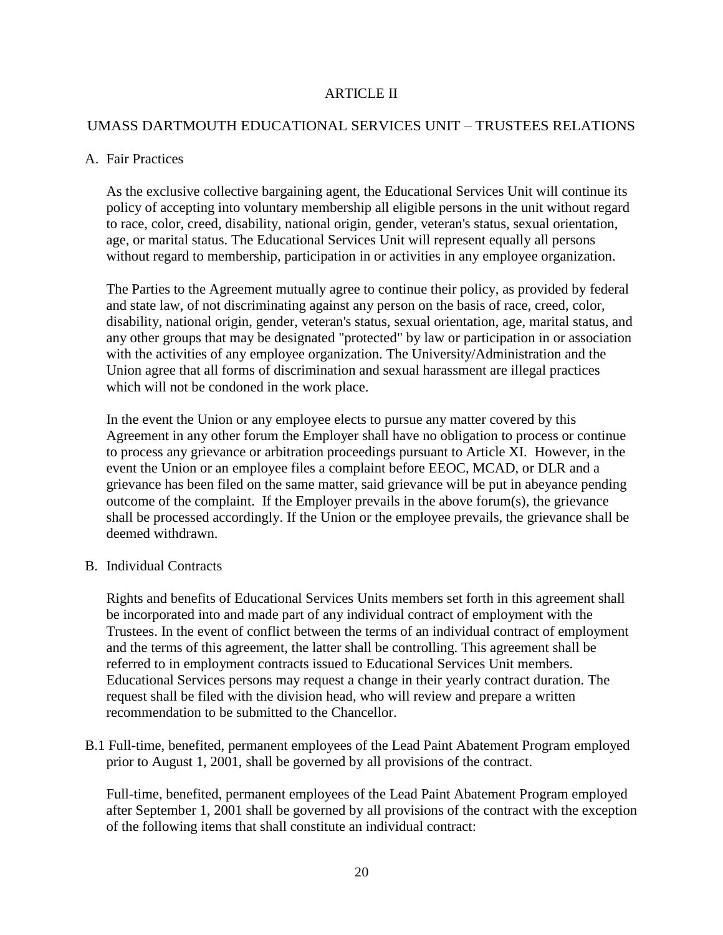### ARTICLE II

### UMASS DARTMOUTH EDUCATIONAL SERVICES UNIT – TRUSTEES RELATIONS

#### A. Fair Practices

As the exclusive collective bargaining agent, the Educational Services Unit will continue its policy of accepting into voluntary membership all eligible persons in the unit without regard to race, color, creed, disability, national origin, gender, veteran's status, sexual orientation, age, or marital status. The Educational Services Unit will represent equally all persons without regard to membership, participation in or activities in any employee organization.

The Parties to the Agreement mutually agree to continue their policy, as provided by federal and state law, of not discriminating against any person on the basis of race, creed, color, disability, national origin, gender, veteran's status, sexual orientation, age, marital status, and any other groups that may be designated "protected" by law or participation in or association with the activities of any employee organization. The University/Administration and the Union agree that all forms of discrimination and sexual harassment are illegal practices which will not be condoned in the work place.

In the event the Union or any employee elects to pursue any matter covered by this Agreement in any other forum the Employer shall have no obligation to process or continue to process any grievance or arbitration proceedings pursuant to Article XI. However, in the event the Union or an employee files a complaint before EEOC, MCAD, or DLR and a grievance has been filed on the same matter, said grievance will be put in abeyance pending outcome of the complaint. If the Employer prevails in the above forum(s), the grievance shall be processed accordingly. If the Union or the employee prevails, the grievance shall be deemed withdrawn.

#### B. Individual Contracts

Rights and benefits of Educational Services Units members set forth in this agreement shall be incorporated into and made part of any individual contract of employment with the Trustees. In the event of conflict between the terms of an individual contract of employment and the terms of this agreement, the latter shall be controlling. This agreement shall be referred to in employment contracts issued to Educational Services Unit members. Educational Services persons may request a change in their yearly contract duration. The request shall be filed with the division head, who will review and prepare a written recommendation to be submitted to the Chancellor.

B.1 Full-time, benefited, permanent employees of the Lead Paint Abatement Program employed prior to August 1, 2001, shall be governed by all provisions of the contract.

Full-time, benefited, permanent employees of the Lead Paint Abatement Program employed after September 1, 2001 shall be governed by all provisions of the contract with the exception of the following items that shall constitute an individual contract: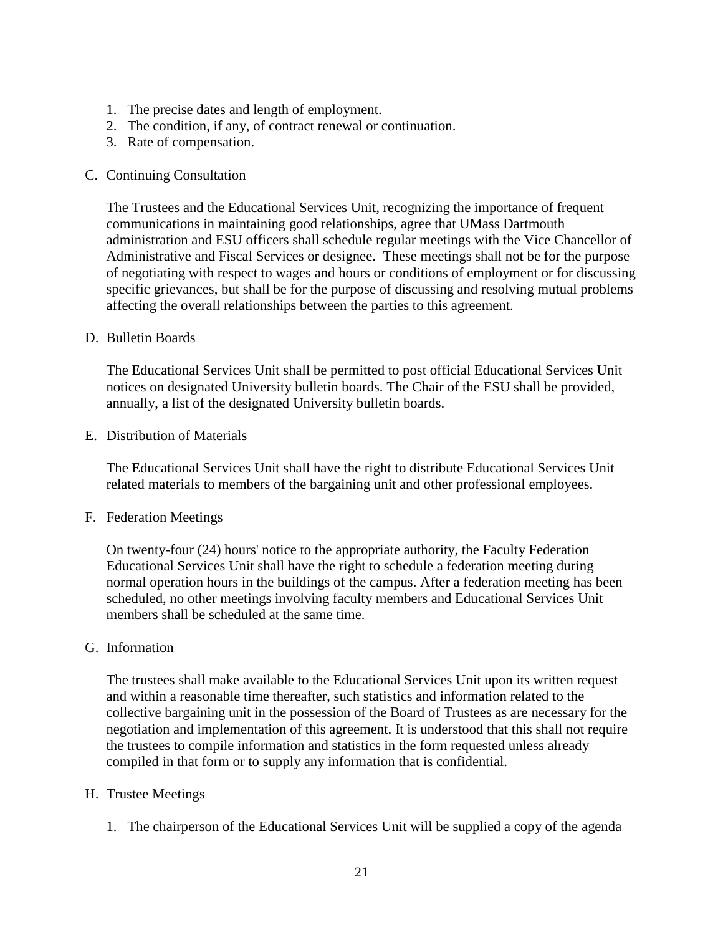- 1. The precise dates and length of employment.
- 2. The condition, if any, of contract renewal or continuation.
- 3. Rate of compensation.

### C. Continuing Consultation

The Trustees and the Educational Services Unit, recognizing the importance of frequent communications in maintaining good relationships, agree that UMass Dartmouth administration and ESU officers shall schedule regular meetings with the Vice Chancellor of Administrative and Fiscal Services or designee. These meetings shall not be for the purpose of negotiating with respect to wages and hours or conditions of employment or for discussing specific grievances, but shall be for the purpose of discussing and resolving mutual problems affecting the overall relationships between the parties to this agreement.

### D. Bulletin Boards

The Educational Services Unit shall be permitted to post official Educational Services Unit notices on designated University bulletin boards. The Chair of the ESU shall be provided, annually, a list of the designated University bulletin boards.

### E. Distribution of Materials

The Educational Services Unit shall have the right to distribute Educational Services Unit related materials to members of the bargaining unit and other professional employees.

### F. Federation Meetings

On twenty-four (24) hours' notice to the appropriate authority, the Faculty Federation Educational Services Unit shall have the right to schedule a federation meeting during normal operation hours in the buildings of the campus. After a federation meeting has been scheduled, no other meetings involving faculty members and Educational Services Unit members shall be scheduled at the same time.

## G. Information

The trustees shall make available to the Educational Services Unit upon its written request and within a reasonable time thereafter, such statistics and information related to the collective bargaining unit in the possession of the Board of Trustees as are necessary for the negotiation and implementation of this agreement. It is understood that this shall not require the trustees to compile information and statistics in the form requested unless already compiled in that form or to supply any information that is confidential.

### H. Trustee Meetings

1. The chairperson of the Educational Services Unit will be supplied a copy of the agenda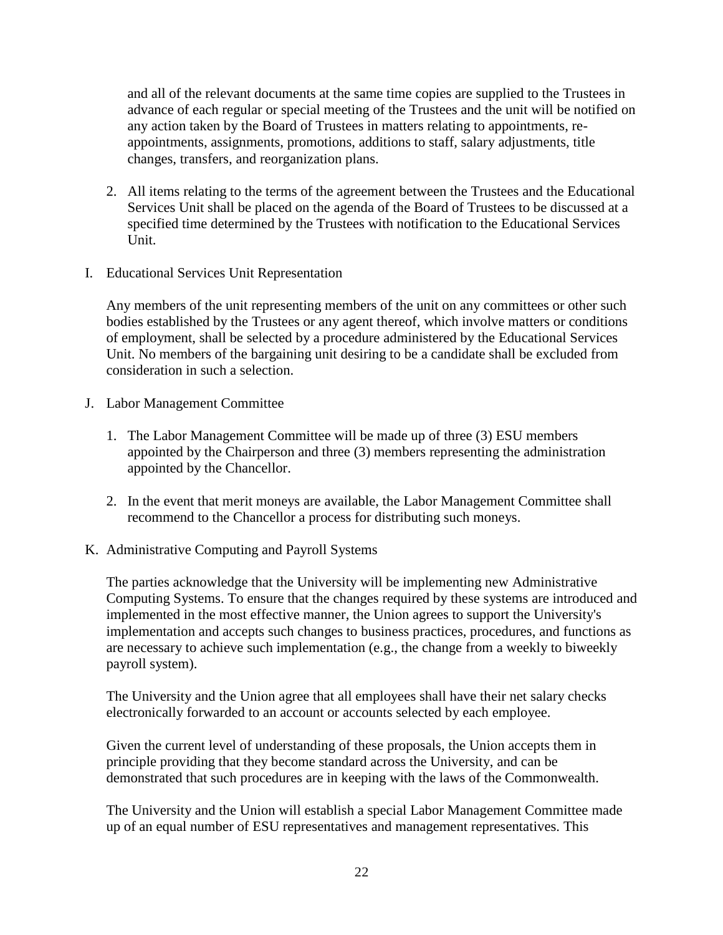and all of the relevant documents at the same time copies are supplied to the Trustees in advance of each regular or special meeting of the Trustees and the unit will be notified on any action taken by the Board of Trustees in matters relating to appointments, reappointments, assignments, promotions, additions to staff, salary adjustments, title changes, transfers, and reorganization plans.

- 2. All items relating to the terms of the agreement between the Trustees and the Educational Services Unit shall be placed on the agenda of the Board of Trustees to be discussed at a specified time determined by the Trustees with notification to the Educational Services Unit.
- I. Educational Services Unit Representation

Any members of the unit representing members of the unit on any committees or other such bodies established by the Trustees or any agent thereof, which involve matters or conditions of employment, shall be selected by a procedure administered by the Educational Services Unit. No members of the bargaining unit desiring to be a candidate shall be excluded from consideration in such a selection.

- J. Labor Management Committee
	- 1. The Labor Management Committee will be made up of three (3) ESU members appointed by the Chairperson and three (3) members representing the administration appointed by the Chancellor.
	- 2. In the event that merit moneys are available, the Labor Management Committee shall recommend to the Chancellor a process for distributing such moneys.
- K. Administrative Computing and Payroll Systems

The parties acknowledge that the University will be implementing new Administrative Computing Systems. To ensure that the changes required by these systems are introduced and implemented in the most effective manner, the Union agrees to support the University's implementation and accepts such changes to business practices, procedures, and functions as are necessary to achieve such implementation (e.g., the change from a weekly to biweekly payroll system).

The University and the Union agree that all employees shall have their net salary checks electronically forwarded to an account or accounts selected by each employee.

Given the current level of understanding of these proposals, the Union accepts them in principle providing that they become standard across the University, and can be demonstrated that such procedures are in keeping with the laws of the Commonwealth.

The University and the Union will establish a special Labor Management Committee made up of an equal number of ESU representatives and management representatives. This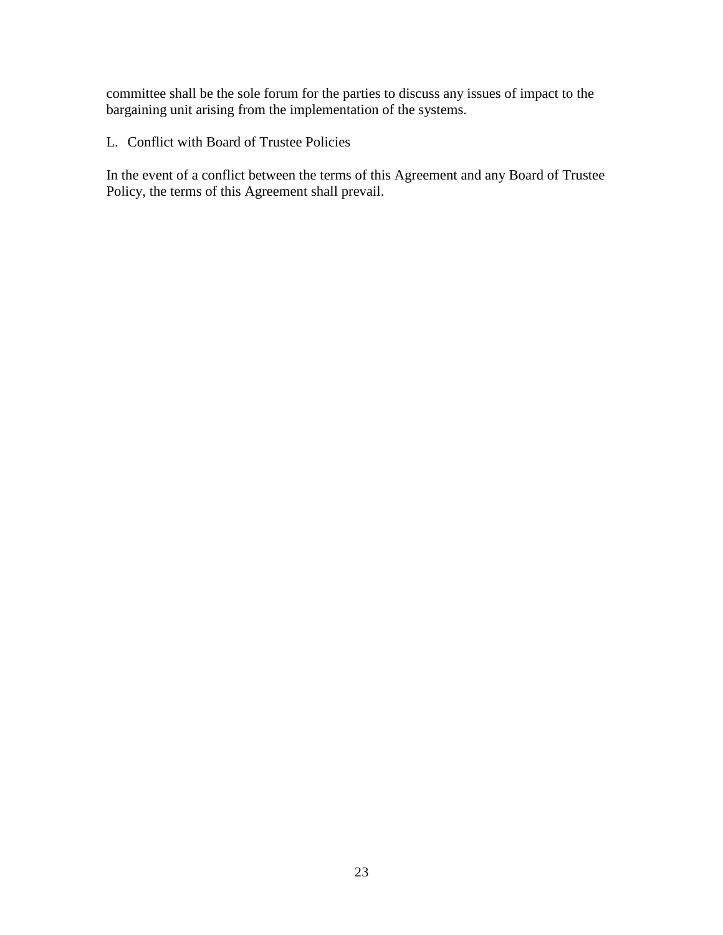committee shall be the sole forum for the parties to discuss any issues of impact to the bargaining unit arising from the implementation of the systems.

L. Conflict with Board of Trustee Policies

In the event of a conflict between the terms of this Agreement and any Board of Trustee Policy, the terms of this Agreement shall prevail.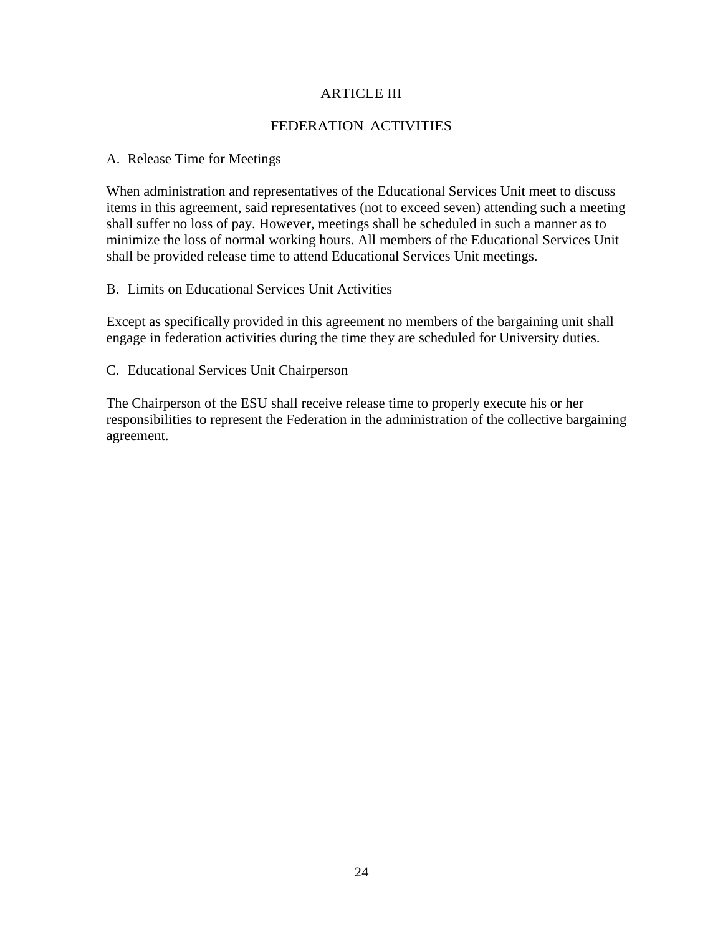### ARTICLE III

### FEDERATION ACTIVITIES

#### A. Release Time for Meetings

When administration and representatives of the Educational Services Unit meet to discuss items in this agreement, said representatives (not to exceed seven) attending such a meeting shall suffer no loss of pay. However, meetings shall be scheduled in such a manner as to minimize the loss of normal working hours. All members of the Educational Services Unit shall be provided release time to attend Educational Services Unit meetings.

### B. Limits on Educational Services Unit Activities

Except as specifically provided in this agreement no members of the bargaining unit shall engage in federation activities during the time they are scheduled for University duties.

C. Educational Services Unit Chairperson

The Chairperson of the ESU shall receive release time to properly execute his or her responsibilities to represent the Federation in the administration of the collective bargaining agreement.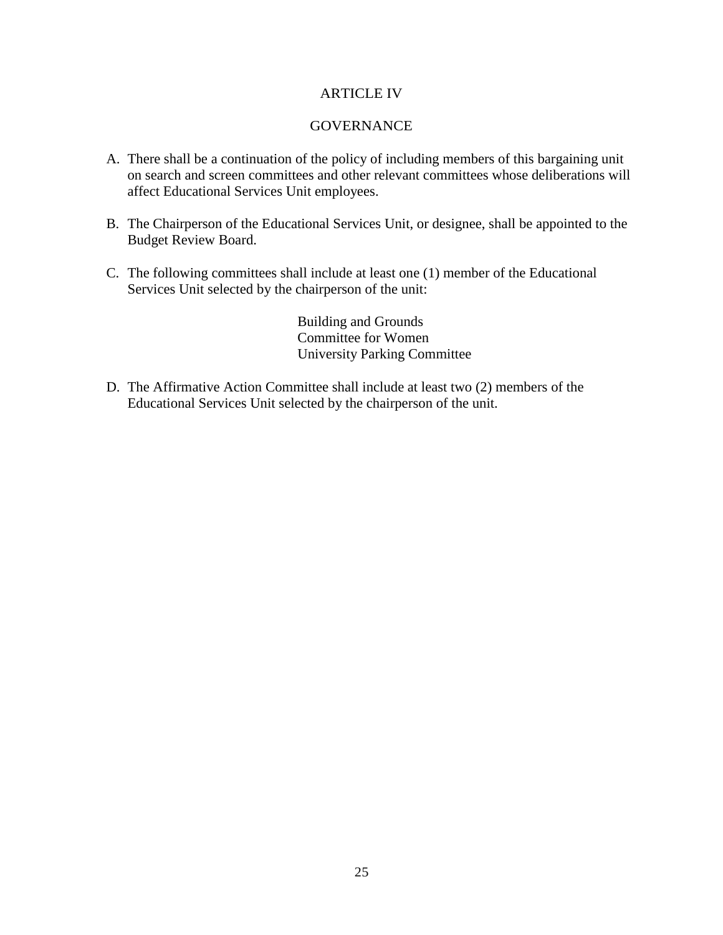### ARTICLE IV

### GOVERNANCE

- A. There shall be a continuation of the policy of including members of this bargaining unit on search and screen committees and other relevant committees whose deliberations will affect Educational Services Unit employees.
- B. The Chairperson of the Educational Services Unit, or designee, shall be appointed to the Budget Review Board.
- C. The following committees shall include at least one (1) member of the Educational Services Unit selected by the chairperson of the unit:

Building and Grounds Committee for Women University Parking Committee

D. The Affirmative Action Committee shall include at least two (2) members of the Educational Services Unit selected by the chairperson of the unit.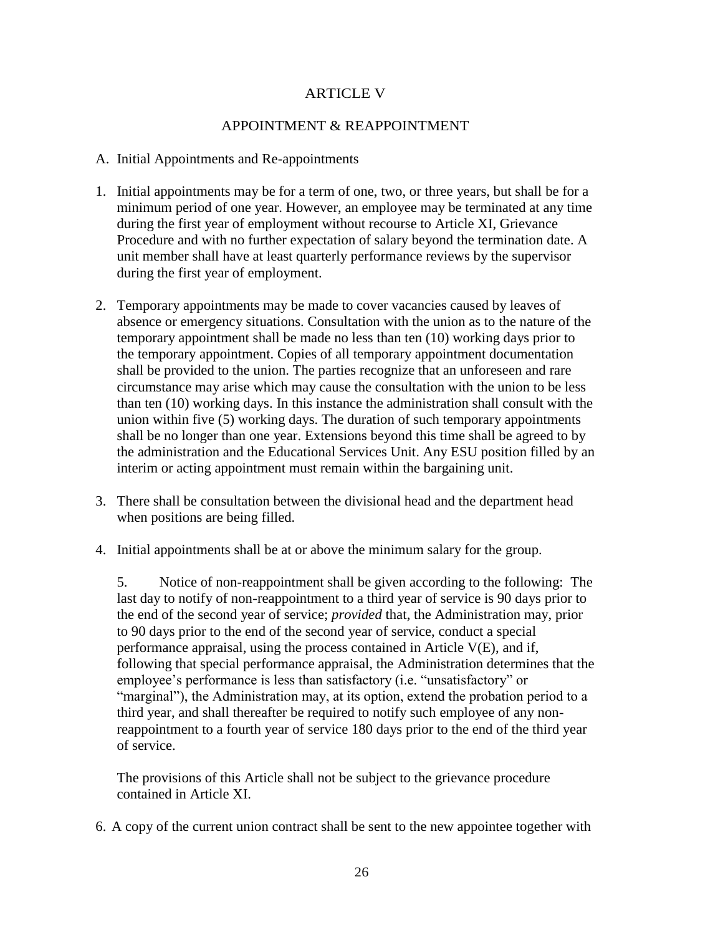## ARTICLE V

### APPOINTMENT & REAPPOINTMENT

#### A. Initial Appointments and Re-appointments

- 1. Initial appointments may be for a term of one, two, or three years, but shall be for a minimum period of one year. However, an employee may be terminated at any time during the first year of employment without recourse to Article XI, Grievance Procedure and with no further expectation of salary beyond the termination date. A unit member shall have at least quarterly performance reviews by the supervisor during the first year of employment.
- 2. Temporary appointments may be made to cover vacancies caused by leaves of absence or emergency situations. Consultation with the union as to the nature of the temporary appointment shall be made no less than ten (10) working days prior to the temporary appointment. Copies of all temporary appointment documentation shall be provided to the union. The parties recognize that an unforeseen and rare circumstance may arise which may cause the consultation with the union to be less than ten (10) working days. In this instance the administration shall consult with the union within five (5) working days. The duration of such temporary appointments shall be no longer than one year. Extensions beyond this time shall be agreed to by the administration and the Educational Services Unit. Any ESU position filled by an interim or acting appointment must remain within the bargaining unit.
- 3. There shall be consultation between the divisional head and the department head when positions are being filled.
- 4. Initial appointments shall be at or above the minimum salary for the group.

5. Notice of non-reappointment shall be given according to the following: The last day to notify of non-reappointment to a third year of service is 90 days prior to the end of the second year of service; *provided* that, the Administration may, prior to 90 days prior to the end of the second year of service, conduct a special performance appraisal, using the process contained in Article V(E), and if, following that special performance appraisal, the Administration determines that the employee's performance is less than satisfactory (i.e. "unsatisfactory" or "marginal"), the Administration may, at its option, extend the probation period to a third year, and shall thereafter be required to notify such employee of any nonreappointment to a fourth year of service 180 days prior to the end of the third year of service.

The provisions of this Article shall not be subject to the grievance procedure contained in Article XI.

6. A copy of the current union contract shall be sent to the new appointee together with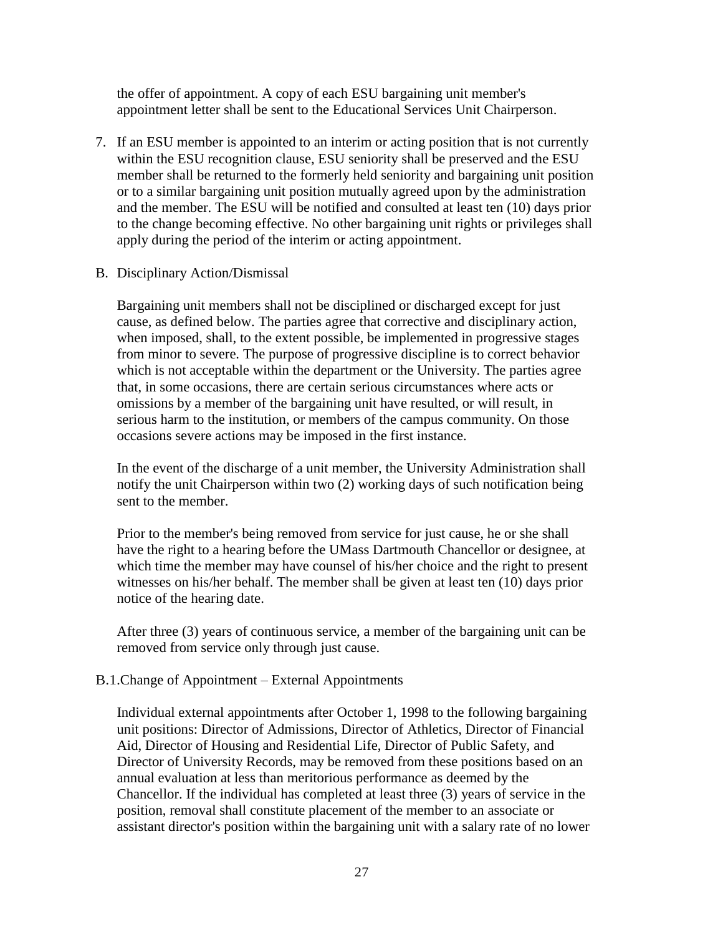the offer of appointment. A copy of each ESU bargaining unit member's appointment letter shall be sent to the Educational Services Unit Chairperson.

7. If an ESU member is appointed to an interim or acting position that is not currently within the ESU recognition clause, ESU seniority shall be preserved and the ESU member shall be returned to the formerly held seniority and bargaining unit position or to a similar bargaining unit position mutually agreed upon by the administration and the member. The ESU will be notified and consulted at least ten (10) days prior to the change becoming effective. No other bargaining unit rights or privileges shall apply during the period of the interim or acting appointment.

#### B. Disciplinary Action/Dismissal

Bargaining unit members shall not be disciplined or discharged except for just cause, as defined below. The parties agree that corrective and disciplinary action, when imposed, shall, to the extent possible, be implemented in progressive stages from minor to severe. The purpose of progressive discipline is to correct behavior which is not acceptable within the department or the University. The parties agree that, in some occasions, there are certain serious circumstances where acts or omissions by a member of the bargaining unit have resulted, or will result, in serious harm to the institution, or members of the campus community. On those occasions severe actions may be imposed in the first instance.

In the event of the discharge of a unit member, the University Administration shall notify the unit Chairperson within two (2) working days of such notification being sent to the member.

Prior to the member's being removed from service for just cause, he or she shall have the right to a hearing before the UMass Dartmouth Chancellor or designee, at which time the member may have counsel of his/her choice and the right to present witnesses on his/her behalf. The member shall be given at least ten (10) days prior notice of the hearing date.

After three (3) years of continuous service, a member of the bargaining unit can be removed from service only through just cause.

### B.1.Change of Appointment – External Appointments

Individual external appointments after October 1, 1998 to the following bargaining unit positions: Director of Admissions, Director of Athletics, Director of Financial Aid, Director of Housing and Residential Life, Director of Public Safety, and Director of University Records, may be removed from these positions based on an annual evaluation at less than meritorious performance as deemed by the Chancellor. If the individual has completed at least three (3) years of service in the position, removal shall constitute placement of the member to an associate or assistant director's position within the bargaining unit with a salary rate of no lower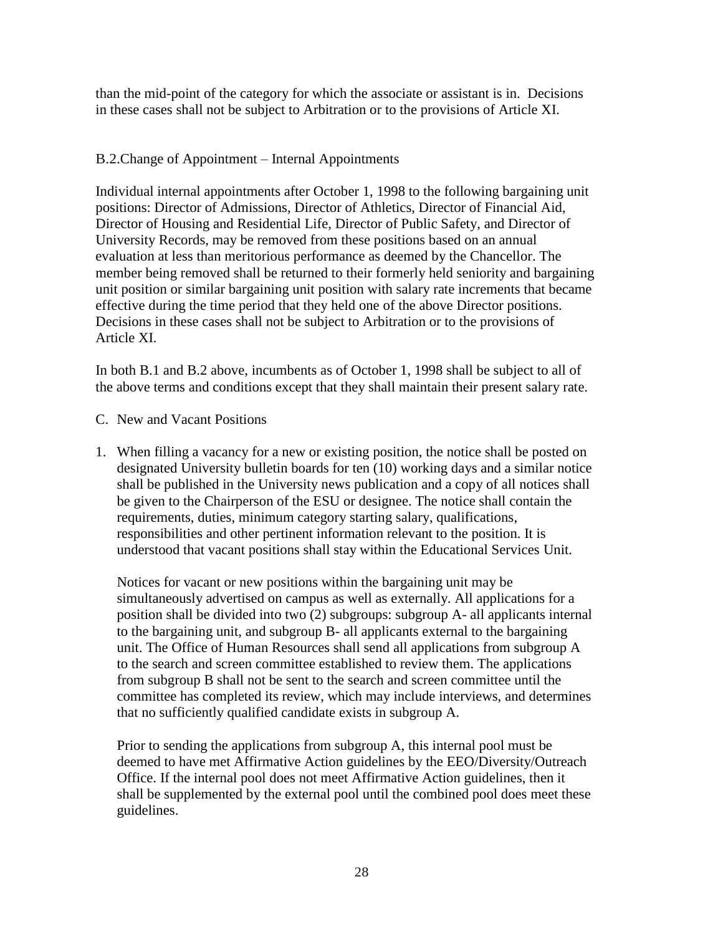than the mid-point of the category for which the associate or assistant is in. Decisions in these cases shall not be subject to Arbitration or to the provisions of Article XI.

## B.2.Change of Appointment – Internal Appointments

Individual internal appointments after October 1, 1998 to the following bargaining unit positions: Director of Admissions, Director of Athletics, Director of Financial Aid, Director of Housing and Residential Life, Director of Public Safety, and Director of University Records, may be removed from these positions based on an annual evaluation at less than meritorious performance as deemed by the Chancellor. The member being removed shall be returned to their formerly held seniority and bargaining unit position or similar bargaining unit position with salary rate increments that became effective during the time period that they held one of the above Director positions. Decisions in these cases shall not be subject to Arbitration or to the provisions of Article XI.

In both B.1 and B.2 above, incumbents as of October 1, 1998 shall be subject to all of the above terms and conditions except that they shall maintain their present salary rate.

- C. New and Vacant Positions
- 1. When filling a vacancy for a new or existing position, the notice shall be posted on designated University bulletin boards for ten (10) working days and a similar notice shall be published in the University news publication and a copy of all notices shall be given to the Chairperson of the ESU or designee. The notice shall contain the requirements, duties, minimum category starting salary, qualifications, responsibilities and other pertinent information relevant to the position. It is understood that vacant positions shall stay within the Educational Services Unit.

Notices for vacant or new positions within the bargaining unit may be simultaneously advertised on campus as well as externally. All applications for a position shall be divided into two (2) subgroups: subgroup A- all applicants internal to the bargaining unit, and subgroup B- all applicants external to the bargaining unit. The Office of Human Resources shall send all applications from subgroup A to the search and screen committee established to review them. The applications from subgroup B shall not be sent to the search and screen committee until the committee has completed its review, which may include interviews, and determines that no sufficiently qualified candidate exists in subgroup A.

Prior to sending the applications from subgroup A, this internal pool must be deemed to have met Affirmative Action guidelines by the EEO/Diversity/Outreach Office. If the internal pool does not meet Affirmative Action guidelines, then it shall be supplemented by the external pool until the combined pool does meet these guidelines.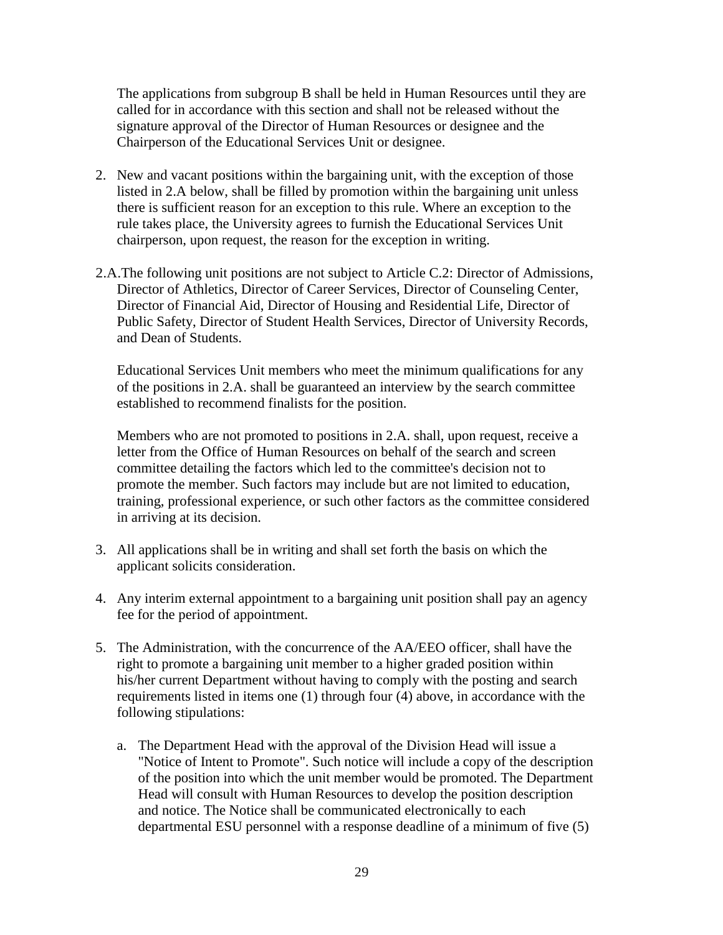The applications from subgroup B shall be held in Human Resources until they are called for in accordance with this section and shall not be released without the signature approval of the Director of Human Resources or designee and the Chairperson of the Educational Services Unit or designee.

- 2. New and vacant positions within the bargaining unit, with the exception of those listed in 2.A below, shall be filled by promotion within the bargaining unit unless there is sufficient reason for an exception to this rule. Where an exception to the rule takes place, the University agrees to furnish the Educational Services Unit chairperson, upon request, the reason for the exception in writing.
- 2.A.The following unit positions are not subject to Article C.2: Director of Admissions, Director of Athletics, Director of Career Services, Director of Counseling Center, Director of Financial Aid, Director of Housing and Residential Life, Director of Public Safety, Director of Student Health Services, Director of University Records, and Dean of Students.

Educational Services Unit members who meet the minimum qualifications for any of the positions in 2.A. shall be guaranteed an interview by the search committee established to recommend finalists for the position.

Members who are not promoted to positions in 2.A. shall, upon request, receive a letter from the Office of Human Resources on behalf of the search and screen committee detailing the factors which led to the committee's decision not to promote the member. Such factors may include but are not limited to education, training, professional experience, or such other factors as the committee considered in arriving at its decision.

- 3. All applications shall be in writing and shall set forth the basis on which the applicant solicits consideration.
- 4. Any interim external appointment to a bargaining unit position shall pay an agency fee for the period of appointment.
- 5. The Administration, with the concurrence of the AA/EEO officer, shall have the right to promote a bargaining unit member to a higher graded position within his/her current Department without having to comply with the posting and search requirements listed in items one (1) through four (4) above, in accordance with the following stipulations:
	- a. The Department Head with the approval of the Division Head will issue a "Notice of Intent to Promote". Such notice will include a copy of the description of the position into which the unit member would be promoted. The Department Head will consult with Human Resources to develop the position description and notice. The Notice shall be communicated electronically to each departmental ESU personnel with a response deadline of a minimum of five (5)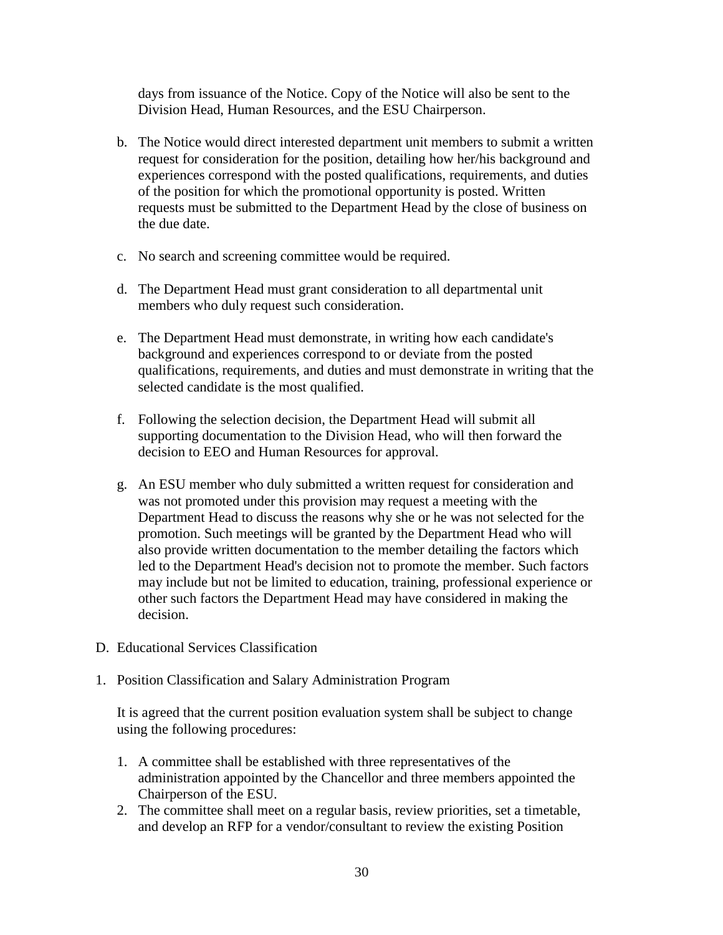days from issuance of the Notice. Copy of the Notice will also be sent to the Division Head, Human Resources, and the ESU Chairperson.

- b. The Notice would direct interested department unit members to submit a written request for consideration for the position, detailing how her/his background and experiences correspond with the posted qualifications, requirements, and duties of the position for which the promotional opportunity is posted. Written requests must be submitted to the Department Head by the close of business on the due date.
- c. No search and screening committee would be required.
- d. The Department Head must grant consideration to all departmental unit members who duly request such consideration.
- e. The Department Head must demonstrate, in writing how each candidate's background and experiences correspond to or deviate from the posted qualifications, requirements, and duties and must demonstrate in writing that the selected candidate is the most qualified.
- f. Following the selection decision, the Department Head will submit all supporting documentation to the Division Head, who will then forward the decision to EEO and Human Resources for approval.
- g. An ESU member who duly submitted a written request for consideration and was not promoted under this provision may request a meeting with the Department Head to discuss the reasons why she or he was not selected for the promotion. Such meetings will be granted by the Department Head who will also provide written documentation to the member detailing the factors which led to the Department Head's decision not to promote the member. Such factors may include but not be limited to education, training, professional experience or other such factors the Department Head may have considered in making the decision.
- D. Educational Services Classification
- 1. Position Classification and Salary Administration Program

It is agreed that the current position evaluation system shall be subject to change using the following procedures:

- 1. A committee shall be established with three representatives of the administration appointed by the Chancellor and three members appointed the Chairperson of the ESU.
- 2. The committee shall meet on a regular basis, review priorities, set a timetable, and develop an RFP for a vendor/consultant to review the existing Position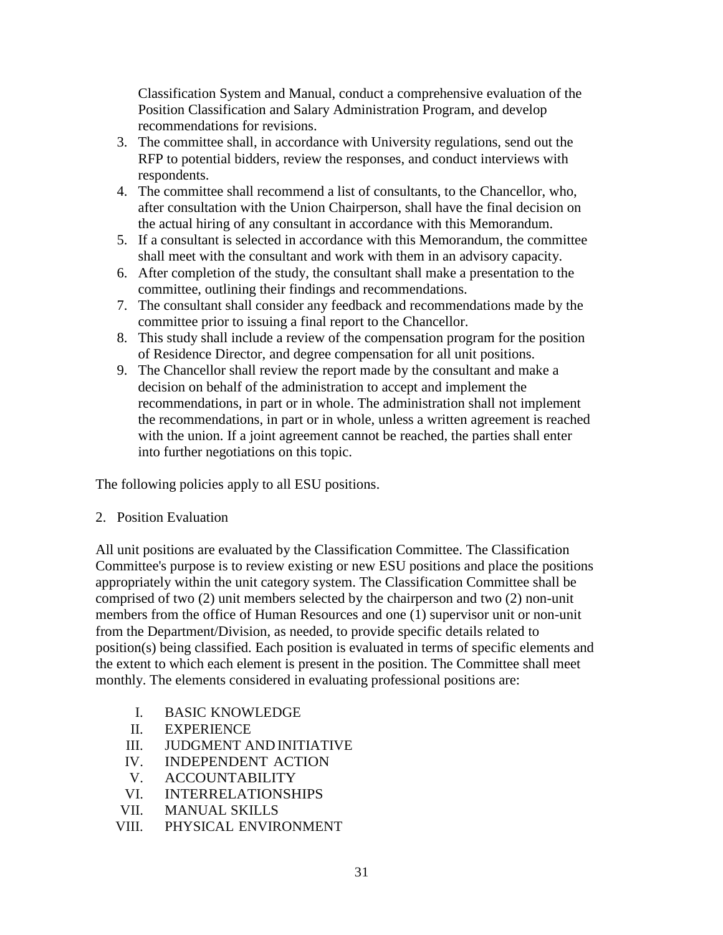Classification System and Manual, conduct a comprehensive evaluation of the Position Classification and Salary Administration Program, and develop recommendations for revisions.

- 3. The committee shall, in accordance with University regulations, send out the RFP to potential bidders, review the responses, and conduct interviews with respondents.
- 4. The committee shall recommend a list of consultants, to the Chancellor, who, after consultation with the Union Chairperson, shall have the final decision on the actual hiring of any consultant in accordance with this Memorandum.
- 5. If a consultant is selected in accordance with this Memorandum, the committee shall meet with the consultant and work with them in an advisory capacity.
- 6. After completion of the study, the consultant shall make a presentation to the committee, outlining their findings and recommendations.
- 7. The consultant shall consider any feedback and recommendations made by the committee prior to issuing a final report to the Chancellor.
- 8. This study shall include a review of the compensation program for the position of Residence Director, and degree compensation for all unit positions.
- 9. The Chancellor shall review the report made by the consultant and make a decision on behalf of the administration to accept and implement the recommendations, in part or in whole. The administration shall not implement the recommendations, in part or in whole, unless a written agreement is reached with the union. If a joint agreement cannot be reached, the parties shall enter into further negotiations on this topic.

The following policies apply to all ESU positions.

### 2. Position Evaluation

All unit positions are evaluated by the Classification Committee. The Classification Committee's purpose is to review existing or new ESU positions and place the positions appropriately within the unit category system. The Classification Committee shall be comprised of two (2) unit members selected by the chairperson and two (2) non-unit members from the office of Human Resources and one (1) supervisor unit or non-unit from the Department/Division, as needed, to provide specific details related to position(s) being classified. Each position is evaluated in terms of specific elements and the extent to which each element is present in the position. The Committee shall meet monthly. The elements considered in evaluating professional positions are:

- I. BASIC KNOWLEDGE
- II. EXPERIENCE
- III. JUDGMENT AND INITIATIVE
- IV. INDEPENDENT ACTION
- V. ACCOUNTABILITY
- VI. INTERRELATIONSHIPS
- VII. MANUAL SKILLS
- VIII. PHYSICAL ENVIRONMENT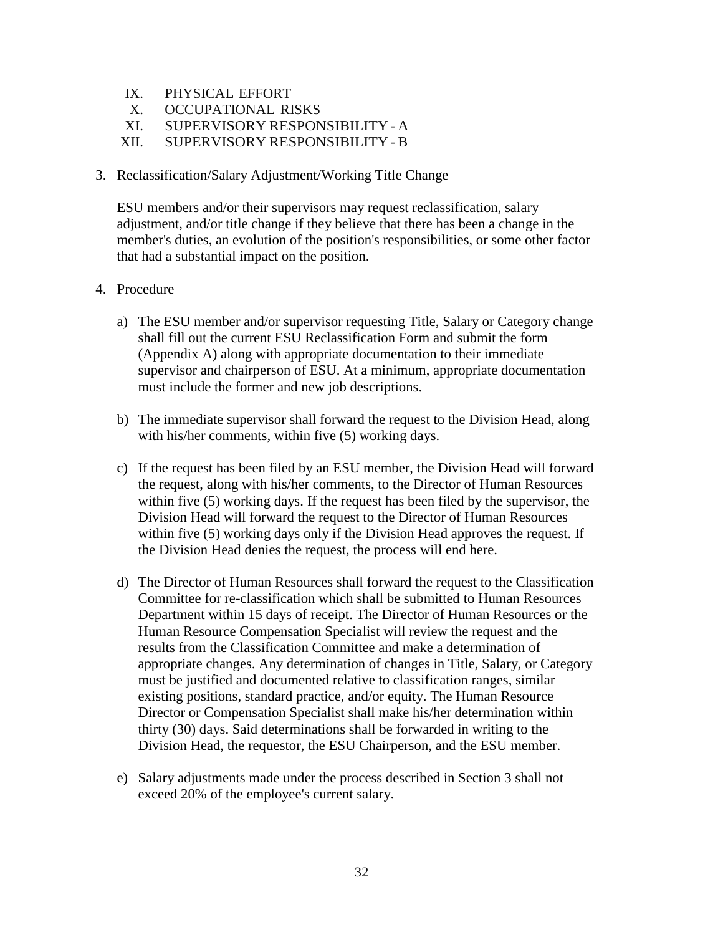- IX. PHYSICAL EFFORT
- X. OCCUPATIONAL RISKS
- XI. SUPERVISORY RESPONSIBILITY -A
- XII. SUPERVISORY RESPONSIBILITY -B
- 3. Reclassification/Salary Adjustment/Working Title Change

ESU members and/or their supervisors may request reclassification, salary adjustment, and/or title change if they believe that there has been a change in the member's duties, an evolution of the position's responsibilities, or some other factor that had a substantial impact on the position.

- 4. Procedure
	- a) The ESU member and/or supervisor requesting Title, Salary or Category change shall fill out the current ESU Reclassification Form and submit the form (Appendix A) along with appropriate documentation to their immediate supervisor and chairperson of ESU. At a minimum, appropriate documentation must include the former and new job descriptions.
	- b) The immediate supervisor shall forward the request to the Division Head, along with his/her comments, within five (5) working days.
	- c) If the request has been filed by an ESU member, the Division Head will forward the request, along with his/her comments, to the Director of Human Resources within five (5) working days. If the request has been filed by the supervisor, the Division Head will forward the request to the Director of Human Resources within five (5) working days only if the Division Head approves the request. If the Division Head denies the request, the process will end here.
	- d) The Director of Human Resources shall forward the request to the Classification Committee for re-classification which shall be submitted to Human Resources Department within 15 days of receipt. The Director of Human Resources or the Human Resource Compensation Specialist will review the request and the results from the Classification Committee and make a determination of appropriate changes. Any determination of changes in Title, Salary, or Category must be justified and documented relative to classification ranges, similar existing positions, standard practice, and/or equity. The Human Resource Director or Compensation Specialist shall make his/her determination within thirty (30) days. Said determinations shall be forwarded in writing to the Division Head, the requestor, the ESU Chairperson, and the ESU member.
	- e) Salary adjustments made under the process described in Section 3 shall not exceed 20% of the employee's current salary.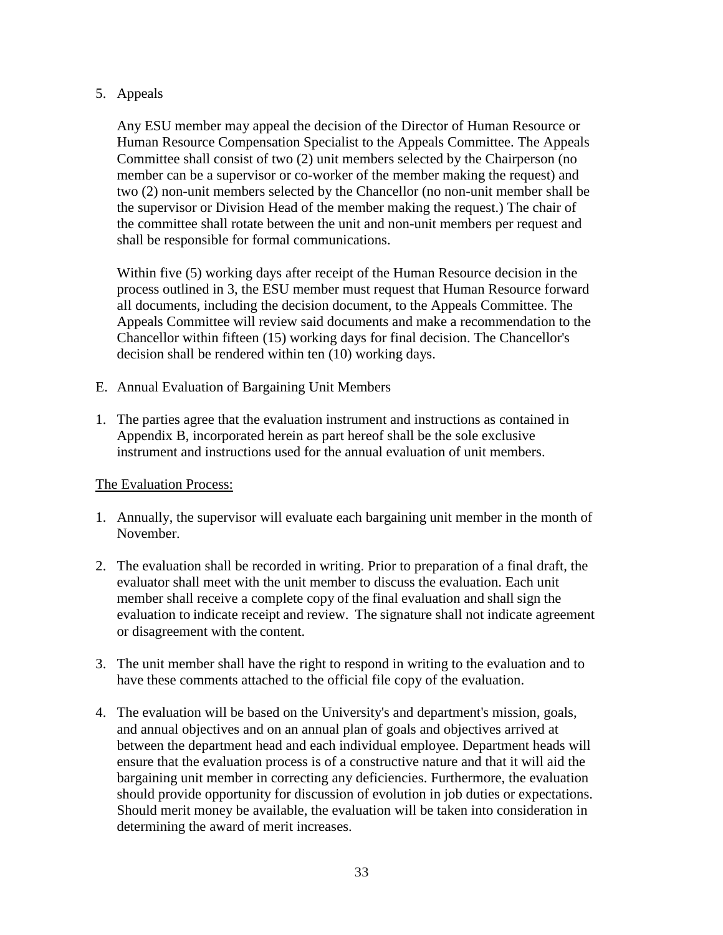### 5. Appeals

Any ESU member may appeal the decision of the Director of Human Resource or Human Resource Compensation Specialist to the Appeals Committee. The Appeals Committee shall consist of two (2) unit members selected by the Chairperson (no member can be a supervisor or co-worker of the member making the request) and two (2) non-unit members selected by the Chancellor (no non-unit member shall be the supervisor or Division Head of the member making the request.) The chair of the committee shall rotate between the unit and non-unit members per request and shall be responsible for formal communications.

Within five (5) working days after receipt of the Human Resource decision in the process outlined in 3, the ESU member must request that Human Resource forward all documents, including the decision document, to the Appeals Committee. The Appeals Committee will review said documents and make a recommendation to the Chancellor within fifteen (15) working days for final decision. The Chancellor's decision shall be rendered within ten (10) working days.

- E. Annual Evaluation of Bargaining Unit Members
- 1. The parties agree that the evaluation instrument and instructions as contained in Appendix B, incorporated herein as part hereof shall be the sole exclusive instrument and instructions used for the annual evaluation of unit members.

## The Evaluation Process:

- 1. Annually, the supervisor will evaluate each bargaining unit member in the month of November.
- 2. The evaluation shall be recorded in writing. Prior to preparation of a final draft, the evaluator shall meet with the unit member to discuss the evaluation. Each unit member shall receive a complete copy of the final evaluation and shall sign the evaluation to indicate receipt and review. The signature shall not indicate agreement or disagreement with the content.
- 3. The unit member shall have the right to respond in writing to the evaluation and to have these comments attached to the official file copy of the evaluation.
- 4. The evaluation will be based on the University's and department's mission, goals, and annual objectives and on an annual plan of goals and objectives arrived at between the department head and each individual employee. Department heads will ensure that the evaluation process is of a constructive nature and that it will aid the bargaining unit member in correcting any deficiencies. Furthermore, the evaluation should provide opportunity for discussion of evolution in job duties or expectations. Should merit money be available, the evaluation will be taken into consideration in determining the award of merit increases.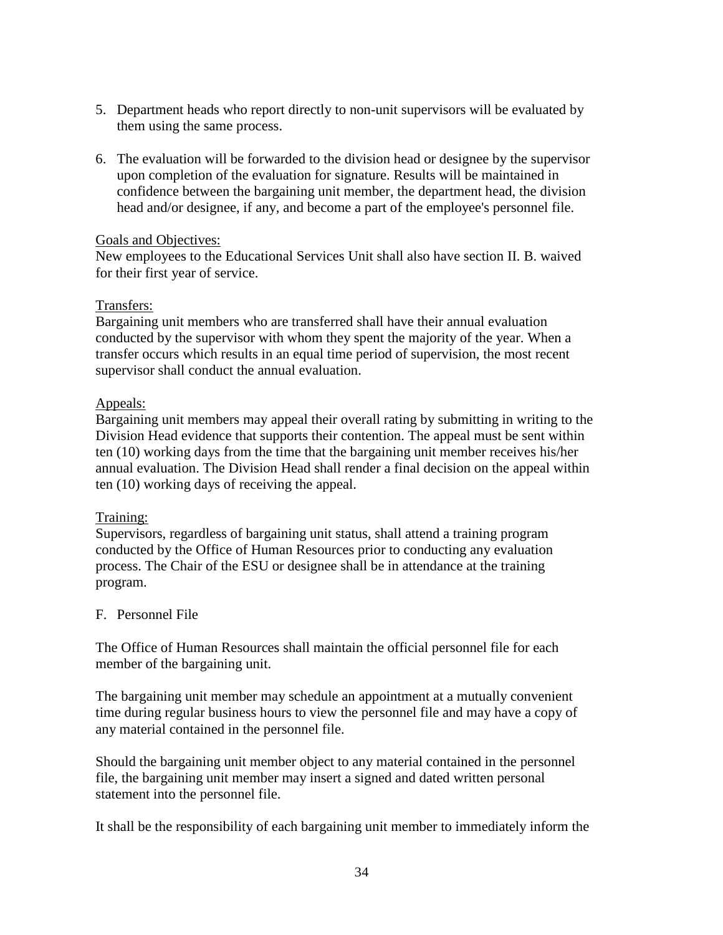- 5. Department heads who report directly to non-unit supervisors will be evaluated by them using the same process.
- 6. The evaluation will be forwarded to the division head or designee by the supervisor upon completion of the evaluation for signature. Results will be maintained in confidence between the bargaining unit member, the department head, the division head and/or designee, if any, and become a part of the employee's personnel file.

### Goals and Objectives:

New employees to the Educational Services Unit shall also have section II. B. waived for their first year of service.

### Transfers:

Bargaining unit members who are transferred shall have their annual evaluation conducted by the supervisor with whom they spent the majority of the year. When a transfer occurs which results in an equal time period of supervision, the most recent supervisor shall conduct the annual evaluation.

### Appeals:

Bargaining unit members may appeal their overall rating by submitting in writing to the Division Head evidence that supports their contention. The appeal must be sent within ten (10) working days from the time that the bargaining unit member receives his/her annual evaluation. The Division Head shall render a final decision on the appeal within ten (10) working days of receiving the appeal.

## Training:

Supervisors, regardless of bargaining unit status, shall attend a training program conducted by the Office of Human Resources prior to conducting any evaluation process. The Chair of the ESU or designee shall be in attendance at the training program.

## F. Personnel File

The Office of Human Resources shall maintain the official personnel file for each member of the bargaining unit.

The bargaining unit member may schedule an appointment at a mutually convenient time during regular business hours to view the personnel file and may have a copy of any material contained in the personnel file.

Should the bargaining unit member object to any material contained in the personnel file, the bargaining unit member may insert a signed and dated written personal statement into the personnel file.

It shall be the responsibility of each bargaining unit member to immediately inform the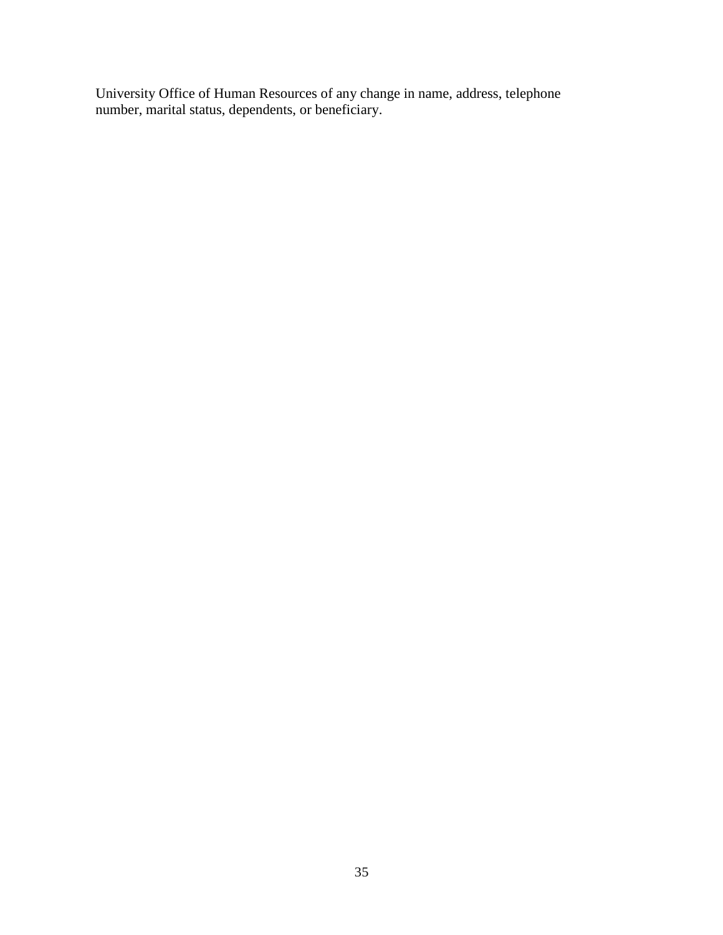University Office of Human Resources of any change in name, address, telephone number, marital status, dependents, or beneficiary.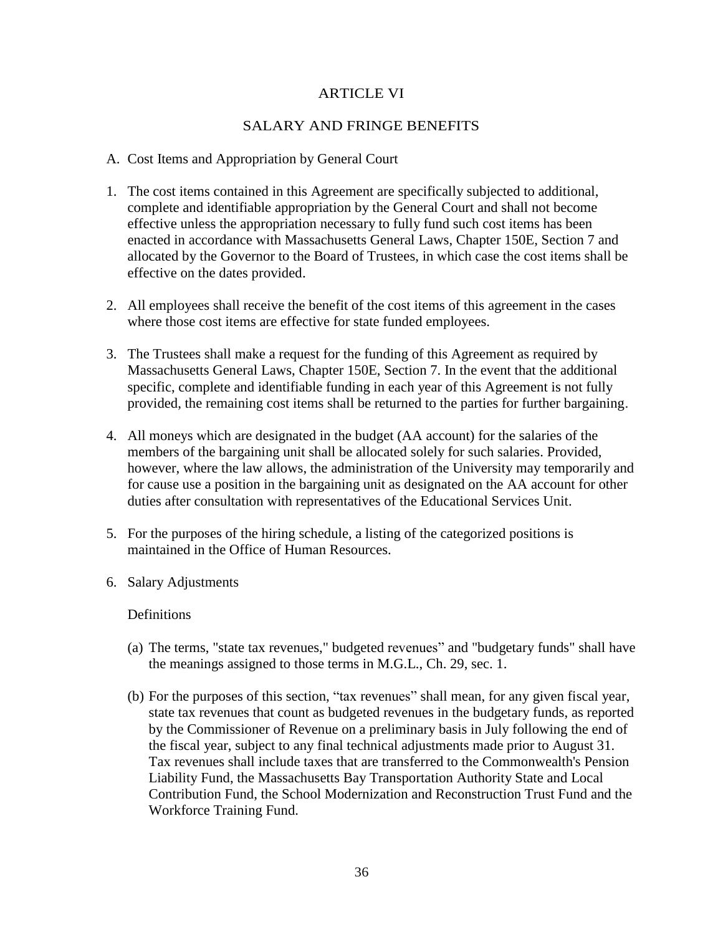### ARTICLE VI

### SALARY AND FRINGE BENEFITS

#### A. Cost Items and Appropriation by General Court

- 1. The cost items contained in this Agreement are specifically subjected to additional, complete and identifiable appropriation by the General Court and shall not become effective unless the appropriation necessary to fully fund such cost items has been enacted in accordance with Massachusetts General Laws, Chapter 150E, Section 7 and allocated by the Governor to the Board of Trustees, in which case the cost items shall be effective on the dates provided.
- 2. All employees shall receive the benefit of the cost items of this agreement in the cases where those cost items are effective for state funded employees.
- 3. The Trustees shall make a request for the funding of this Agreement as required by Massachusetts General Laws, Chapter 150E, Section 7. In the event that the additional specific, complete and identifiable funding in each year of this Agreement is not fully provided, the remaining cost items shall be returned to the parties for further bargaining.
- 4. All moneys which are designated in the budget (AA account) for the salaries of the members of the bargaining unit shall be allocated solely for such salaries. Provided, however, where the law allows, the administration of the University may temporarily and for cause use a position in the bargaining unit as designated on the AA account for other duties after consultation with representatives of the Educational Services Unit.
- 5. For the purposes of the hiring schedule, a listing of the categorized positions is maintained in the Office of Human Resources.
- 6. Salary Adjustments

#### **Definitions**

- (a) The terms, "state tax revenues," budgeted revenues" and "budgetary funds" shall have the meanings assigned to those terms in M.G.L., Ch. 29, sec. 1.
- (b) For the purposes of this section, "tax revenues" shall mean, for any given fiscal year, state tax revenues that count as budgeted revenues in the budgetary funds, as reported by the Commissioner of Revenue on a preliminary basis in July following the end of the fiscal year, subject to any final technical adjustments made prior to August 31. Tax revenues shall include taxes that are transferred to the Commonwealth's Pension Liability Fund, the Massachusetts Bay Transportation Authority State and Local Contribution Fund, the School Modernization and Reconstruction Trust Fund and the Workforce Training Fund.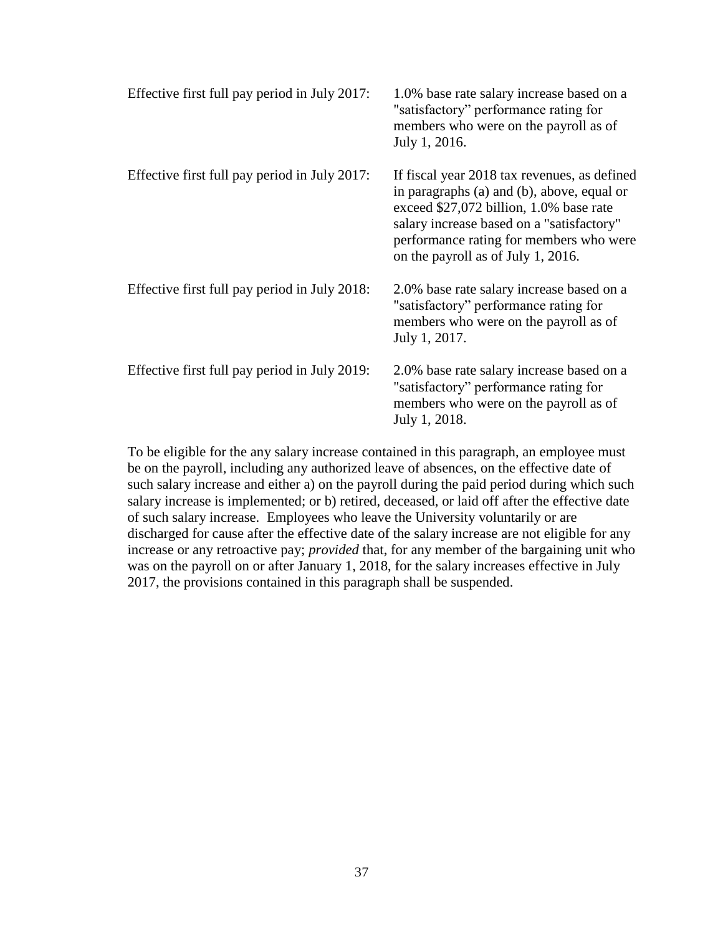| Effective first full pay period in July 2017: | 1.0% base rate salary increase based on a<br>"satisfactory" performance rating for<br>members who were on the payroll as of<br>July 1, 2016.                                                                                                                        |
|-----------------------------------------------|---------------------------------------------------------------------------------------------------------------------------------------------------------------------------------------------------------------------------------------------------------------------|
| Effective first full pay period in July 2017: | If fiscal year 2018 tax revenues, as defined<br>in paragraphs (a) and (b), above, equal or<br>exceed \$27,072 billion, 1.0% base rate<br>salary increase based on a "satisfactory"<br>performance rating for members who were<br>on the payroll as of July 1, 2016. |
| Effective first full pay period in July 2018: | 2.0% base rate salary increase based on a<br>"satisfactory" performance rating for<br>members who were on the payroll as of<br>July 1, 2017.                                                                                                                        |
| Effective first full pay period in July 2019: | 2.0% base rate salary increase based on a<br>"satisfactory" performance rating for<br>members who were on the payroll as of<br>July 1, 2018.                                                                                                                        |

To be eligible for the any salary increase contained in this paragraph, an employee must be on the payroll, including any authorized leave of absences, on the effective date of such salary increase and either a) on the payroll during the paid period during which such salary increase is implemented; or b) retired, deceased, or laid off after the effective date of such salary increase. Employees who leave the University voluntarily or are discharged for cause after the effective date of the salary increase are not eligible for any increase or any retroactive pay; *provided* that, for any member of the bargaining unit who was on the payroll on or after January 1, 2018, for the salary increases effective in July 2017, the provisions contained in this paragraph shall be suspended.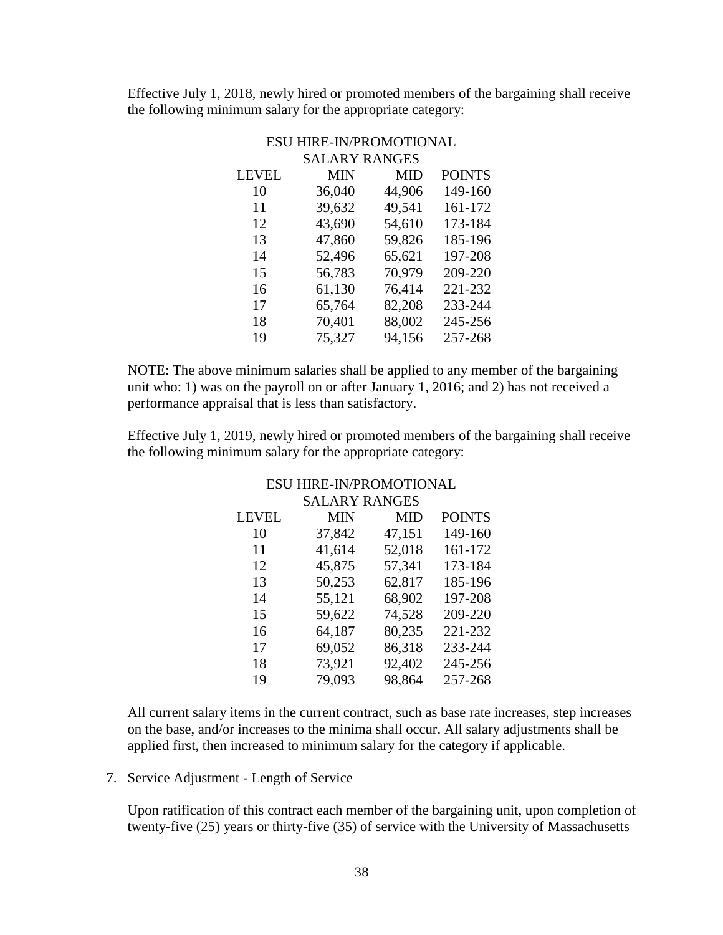Effective July 1, 2018, newly hired or promoted members of the bargaining shall receive the following minimum salary for the appropriate category:

|              | <b>ESU HIRE-IN/PROMOTIONAL</b> |        |               |
|--------------|--------------------------------|--------|---------------|
|              | <b>SALARY RANGES</b>           |        |               |
| <b>LEVEL</b> | MIN                            | MID    | <b>POINTS</b> |
| 10           | 36,040                         | 44,906 | 149-160       |
| 11           | 39,632                         | 49,541 | 161-172       |
| 12           | 43,690                         | 54,610 | 173-184       |
| 13           | 47,860                         | 59,826 | 185-196       |
| 14           | 52,496                         | 65,621 | 197-208       |
| 15           | 56,783                         | 70,979 | 209-220       |
| 16           | 61,130                         | 76,414 | 221-232       |
| 17           | 65,764                         | 82,208 | 233-244       |
| 18           | 70,401                         | 88,002 | 245-256       |
| 19           | 75,327                         | 94,156 | 257-268       |
|              |                                |        |               |

NOTE: The above minimum salaries shall be applied to any member of the bargaining unit who: 1) was on the payroll on or after January 1, 2016; and 2) has not received a performance appraisal that is less than satisfactory.

Effective July 1, 2019, newly hired or promoted members of the bargaining shall receive the following minimum salary for the appropriate category:

|              | <b>SALARY RANGES</b> |            |               |
|--------------|----------------------|------------|---------------|
| <b>LEVEL</b> | <b>MIN</b>           | <b>MID</b> | <b>POINTS</b> |
| 10           | 37,842               | 47,151     | 149-160       |
| 11           | 41,614               | 52,018     | 161-172       |
| 12           | 45,875               | 57,341     | 173-184       |
| 13           | 50,253               | 62,817     | 185-196       |
| 14           | 55,121               | 68,902     | 197-208       |
| 15           | 59,622               | 74,528     | 209-220       |
| 16           | 64,187               | 80,235     | 221-232       |
| 17           | 69,052               | 86,318     | 233-244       |
| 18           | 73,921               | 92,402     | 245-256       |
| 19           | 79,093               | 98,864     | 257-268       |

# ESU HIRE-IN/PROMOTIONAL

All current salary items in the current contract, such as base rate increases, step increases on the base, and/or increases to the minima shall occur. All salary adjustments shall be applied first, then increased to minimum salary for the category if applicable.

7. Service Adjustment - Length of Service

Upon ratification of this contract each member of the bargaining unit, upon completion of twenty-five (25) years or thirty-five (35) of service with the University of Massachusetts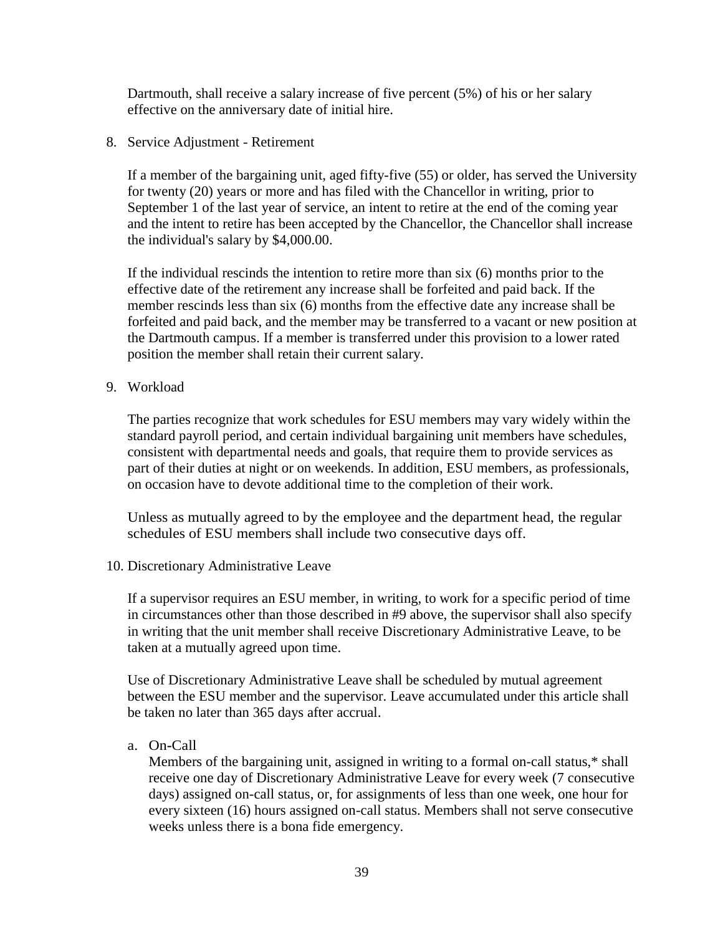Dartmouth, shall receive a salary increase of five percent (5%) of his or her salary effective on the anniversary date of initial hire.

8. Service Adjustment - Retirement

If a member of the bargaining unit, aged fifty-five (55) or older, has served the University for twenty (20) years or more and has filed with the Chancellor in writing, prior to September 1 of the last year of service, an intent to retire at the end of the coming year and the intent to retire has been accepted by the Chancellor, the Chancellor shall increase the individual's salary by \$4,000.00.

If the individual rescinds the intention to retire more than six (6) months prior to the effective date of the retirement any increase shall be forfeited and paid back. If the member rescinds less than six (6) months from the effective date any increase shall be forfeited and paid back, and the member may be transferred to a vacant or new position at the Dartmouth campus. If a member is transferred under this provision to a lower rated position the member shall retain their current salary.

9. Workload

The parties recognize that work schedules for ESU members may vary widely within the standard payroll period, and certain individual bargaining unit members have schedules, consistent with departmental needs and goals, that require them to provide services as part of their duties at night or on weekends. In addition, ESU members, as professionals, on occasion have to devote additional time to the completion of their work.

Unless as mutually agreed to by the employee and the department head, the regular schedules of ESU members shall include two consecutive days off.

10. Discretionary Administrative Leave

If a supervisor requires an ESU member, in writing, to work for a specific period of time in circumstances other than those described in #9 above, the supervisor shall also specify in writing that the unit member shall receive Discretionary Administrative Leave, to be taken at a mutually agreed upon time.

Use of Discretionary Administrative Leave shall be scheduled by mutual agreement between the ESU member and the supervisor. Leave accumulated under this article shall be taken no later than 365 days after accrual.

a. On**-**Call

Members of the bargaining unit, assigned in writing to a formal on-call status,\* shall receive one day of Discretionary Administrative Leave for every week (7 consecutive days) assigned on-call status, or, for assignments of less than one week, one hour for every sixteen (16) hours assigned on-call status. Members shall not serve consecutive weeks unless there is a bona fide emergency.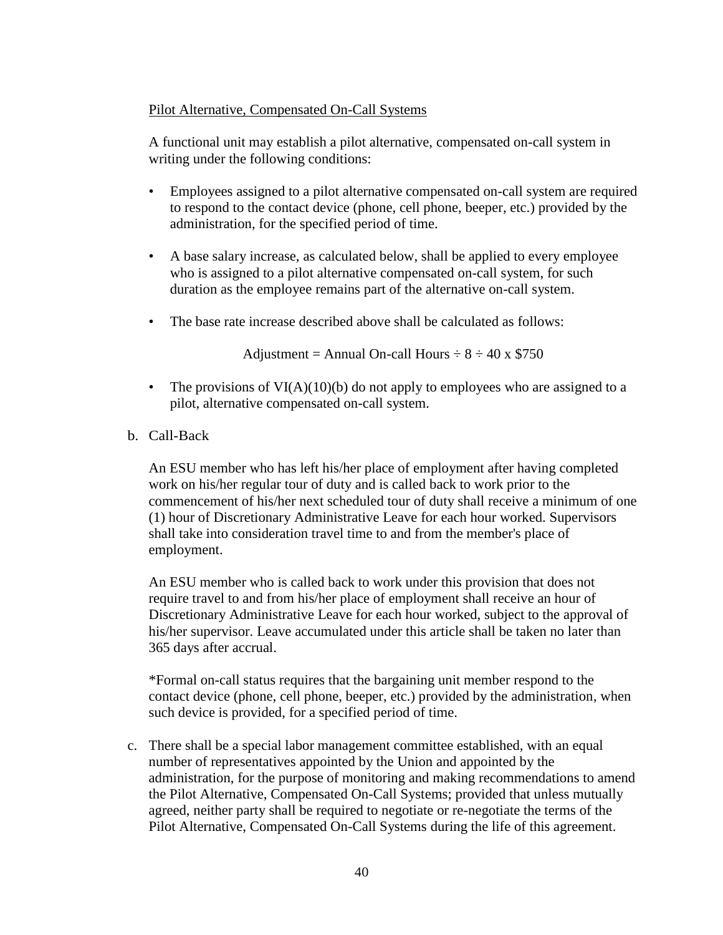## Pilot Alternative, Compensated On-Call Systems

A functional unit may establish a pilot alternative, compensated on-call system in writing under the following conditions:

- Employees assigned to a pilot alternative compensated on-call system are required to respond to the contact device (phone, cell phone, beeper, etc.) provided by the administration, for the specified period of time.
- A base salary increase, as calculated below, shall be applied to every employee who is assigned to a pilot alternative compensated on-call system, for such duration as the employee remains part of the alternative on-call system.
- The base rate increase described above shall be calculated as follows:

Adjustment = Annual On-call Hours  $\div 8 \div 40 \times $750$ 

- The provisions of  $VI(A)(10)(b)$  do not apply to employees who are assigned to a pilot, alternative compensated on-call system.
- b. Call-Back

An ESU member who has left his/her place of employment after having completed work on his/her regular tour of duty and is called back to work prior to the commencement of his/her next scheduled tour of duty shall receive a minimum of one (1) hour of Discretionary Administrative Leave for each hour worked. Supervisors shall take into consideration travel time to and from the member's place of employment.

An ESU member who is called back to work under this provision that does not require travel to and from his/her place of employment shall receive an hour of Discretionary Administrative Leave for each hour worked, subject to the approval of his/her supervisor. Leave accumulated under this article shall be taken no later than 365 days after accrual.

\*Formal on-call status requires that the bargaining unit member respond to the contact device (phone, cell phone, beeper, etc.) provided by the administration, when such device is provided, for a specified period of time.

c. There shall be a special labor management committee established, with an equal number of representatives appointed by the Union and appointed by the administration, for the purpose of monitoring and making recommendations to amend the Pilot Alternative, Compensated On-Call Systems; provided that unless mutually agreed, neither party shall be required to negotiate or re-negotiate the terms of the Pilot Alternative, Compensated On-Call Systems during the life of this agreement.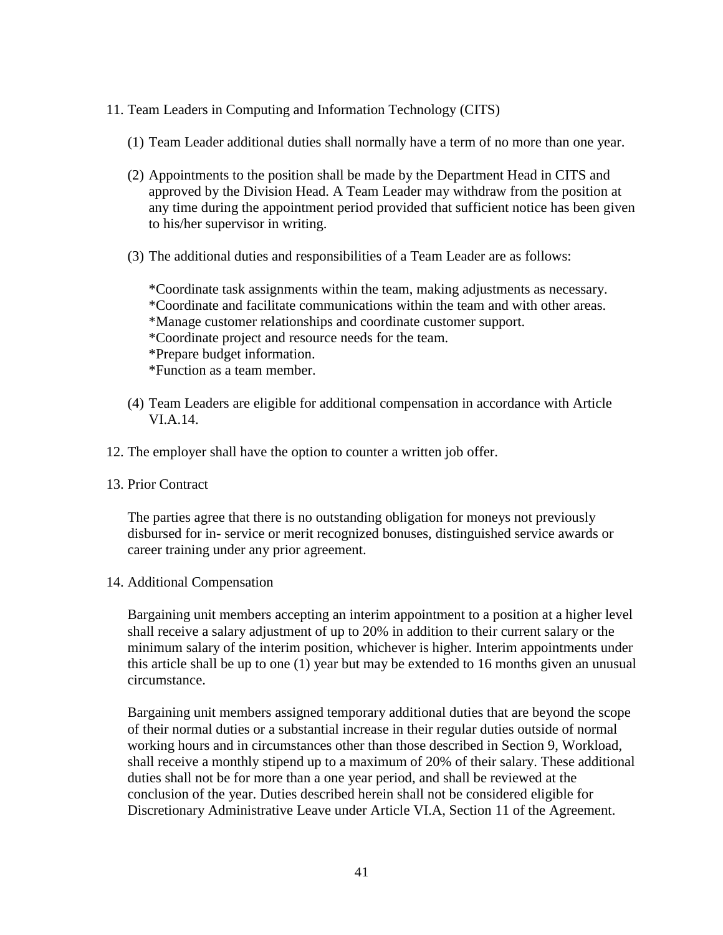- 11. Team Leaders in Computing and Information Technology (CITS)
	- (1) Team Leader additional duties shall normally have a term of no more than one year.
	- (2) Appointments to the position shall be made by the Department Head in CITS and approved by the Division Head. A Team Leader may withdraw from the position at any time during the appointment period provided that sufficient notice has been given to his/her supervisor in writing.
	- (3) The additional duties and responsibilities of a Team Leader are as follows:

\*Coordinate task assignments within the team, making adjustments as necessary. \*Coordinate and facilitate communications within the team and with other areas. \*Manage customer relationships and coordinate customer support. \*Coordinate project and resource needs for the team. \*Prepare budget information. \*Function as a team member.

- (4) Team Leaders are eligible for additional compensation in accordance with Article VI.A.14.
- 12. The employer shall have the option to counter a written job offer.
- 13. Prior Contract

The parties agree that there is no outstanding obligation for moneys not previously disbursed for in- service or merit recognized bonuses, distinguished service awards or career training under any prior agreement.

14. Additional Compensation

Bargaining unit members accepting an interim appointment to a position at a higher level shall receive a salary adjustment of up to 20% in addition to their current salary or the minimum salary of the interim position, whichever is higher. Interim appointments under this article shall be up to one (1) year but may be extended to 16 months given an unusual circumstance.

Bargaining unit members assigned temporary additional duties that are beyond the scope of their normal duties or a substantial increase in their regular duties outside of normal working hours and in circumstances other than those described in Section 9, Workload, shall receive a monthly stipend up to a maximum of 20% of their salary. These additional duties shall not be for more than a one year period, and shall be reviewed at the conclusion of the year. Duties described herein shall not be considered eligible for Discretionary Administrative Leave under Article VI.A, Section 11 of the Agreement.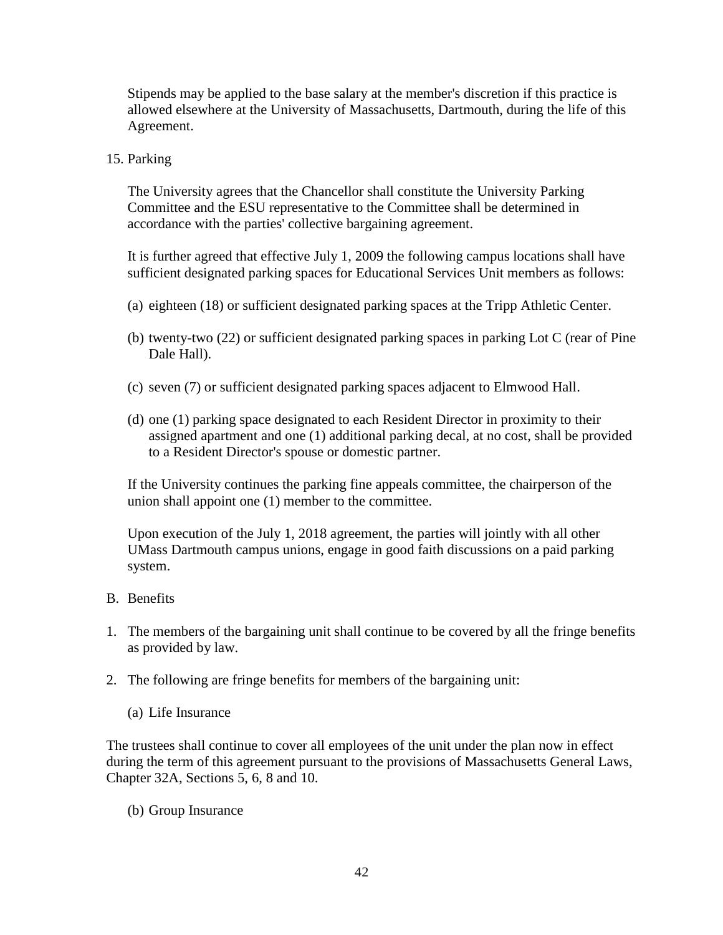Stipends may be applied to the base salary at the member's discretion if this practice is allowed elsewhere at the University of Massachusetts, Dartmouth, during the life of this Agreement.

15. Parking

The University agrees that the Chancellor shall constitute the University Parking Committee and the ESU representative to the Committee shall be determined in accordance with the parties' collective bargaining agreement.

It is further agreed that effective July 1, 2009 the following campus locations shall have sufficient designated parking spaces for Educational Services Unit members as follows:

- (a) eighteen (18) or sufficient designated parking spaces at the Tripp Athletic Center.
- (b) twenty-two (22) or sufficient designated parking spaces in parking Lot C (rear of Pine Dale Hall).
- (c) seven (7) or sufficient designated parking spaces adjacent to Elmwood Hall.
- (d) one (1) parking space designated to each Resident Director in proximity to their assigned apartment and one (1) additional parking decal, at no cost, shall be provided to a Resident Director's spouse or domestic partner.

If the University continues the parking fine appeals committee, the chairperson of the union shall appoint one (1) member to the committee.

Upon execution of the July 1, 2018 agreement, the parties will jointly with all other UMass Dartmouth campus unions, engage in good faith discussions on a paid parking system.

- B. Benefits
- 1. The members of the bargaining unit shall continue to be covered by all the fringe benefits as provided by law.
- 2. The following are fringe benefits for members of the bargaining unit:
	- (a) Life Insurance

The trustees shall continue to cover all employees of the unit under the plan now in effect during the term of this agreement pursuant to the provisions of Massachusetts General Laws, Chapter 32A, Sections 5, 6, 8 and 10.

(b) Group Insurance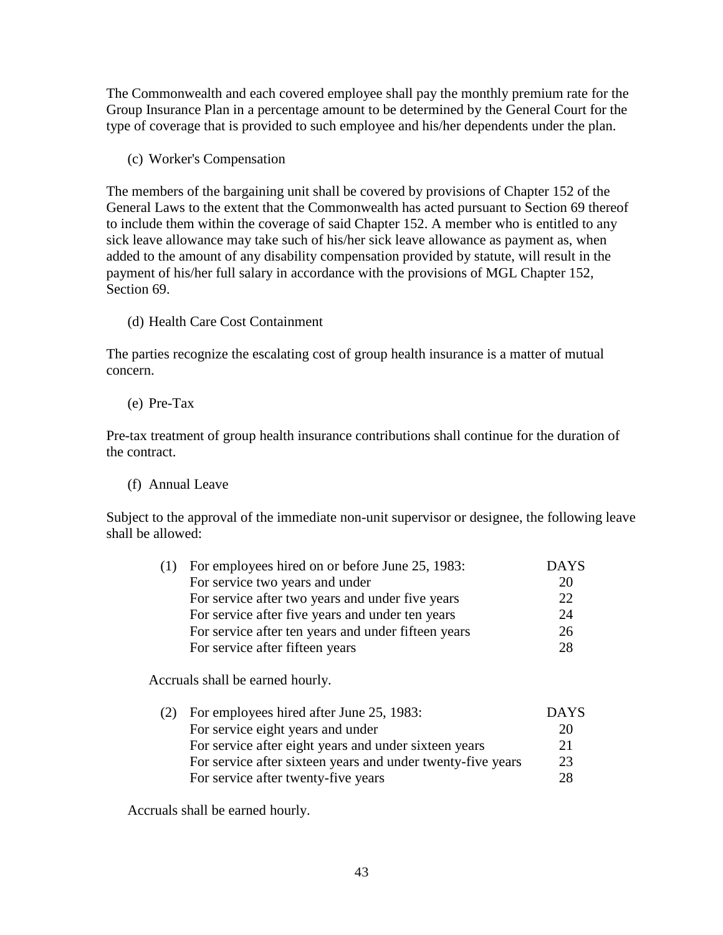The Commonwealth and each covered employee shall pay the monthly premium rate for the Group Insurance Plan in a percentage amount to be determined by the General Court for the type of coverage that is provided to such employee and his/her dependents under the plan.

(c) Worker's Compensation

The members of the bargaining unit shall be covered by provisions of Chapter 152 of the General Laws to the extent that the Commonwealth has acted pursuant to Section 69 thereof to include them within the coverage of said Chapter 152. A member who is entitled to any sick leave allowance may take such of his/her sick leave allowance as payment as, when added to the amount of any disability compensation provided by statute, will result in the payment of his/her full salary in accordance with the provisions of MGL Chapter 152, Section 69.

(d) Health Care Cost Containment

The parties recognize the escalating cost of group health insurance is a matter of mutual concern.

(e) Pre-Tax

Pre-tax treatment of group health insurance contributions shall continue for the duration of the contract.

(f) Annual Leave

Subject to the approval of the immediate non-unit supervisor or designee, the following leave shall be allowed:

| (1) For employees hired on or before June 25, 1983: | <b>DAYS</b> |
|-----------------------------------------------------|-------------|
| For service two years and under                     | 20          |
| For service after two years and under five years    | 22          |
| For service after five years and under ten years    | 24          |
| For service after ten years and under fifteen years | 26          |
| For service after fifteen years                     | 28          |

Accruals shall be earned hourly.

| (2) | For employees hired after June 25, 1983:                    | <b>DAYS</b> |
|-----|-------------------------------------------------------------|-------------|
|     | For service eight years and under                           | 20          |
|     | For service after eight years and under sixteen years       | 21          |
|     | For service after sixteen years and under twenty-five years | 23          |
|     | For service after twenty-five years                         | 28          |
|     |                                                             |             |

Accruals shall be earned hourly.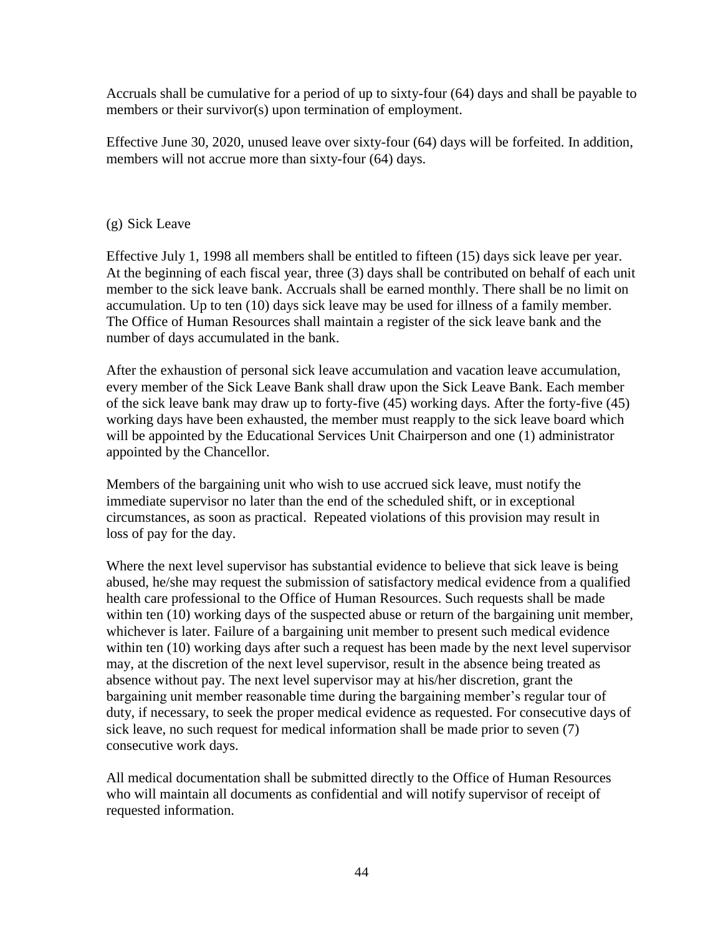Accruals shall be cumulative for a period of up to sixty-four (64) days and shall be payable to members or their survivor(s) upon termination of employment.

Effective June 30, 2020, unused leave over sixty-four (64) days will be forfeited. In addition, members will not accrue more than sixty-four (64) days.

# (g) Sick Leave

Effective July 1, 1998 all members shall be entitled to fifteen (15) days sick leave per year. At the beginning of each fiscal year, three (3) days shall be contributed on behalf of each unit member to the sick leave bank. Accruals shall be earned monthly. There shall be no limit on accumulation. Up to ten (10) days sick leave may be used for illness of a family member. The Office of Human Resources shall maintain a register of the sick leave bank and the number of days accumulated in the bank.

After the exhaustion of personal sick leave accumulation and vacation leave accumulation, every member of the Sick Leave Bank shall draw upon the Sick Leave Bank. Each member of the sick leave bank may draw up to forty-five (45) working days. After the forty-five (45) working days have been exhausted, the member must reapply to the sick leave board which will be appointed by the Educational Services Unit Chairperson and one (1) administrator appointed by the Chancellor.

Members of the bargaining unit who wish to use accrued sick leave, must notify the immediate supervisor no later than the end of the scheduled shift, or in exceptional circumstances, as soon as practical. Repeated violations of this provision may result in loss of pay for the day.

Where the next level supervisor has substantial evidence to believe that sick leave is being abused, he/she may request the submission of satisfactory medical evidence from a qualified health care professional to the Office of Human Resources. Such requests shall be made within ten (10) working days of the suspected abuse or return of the bargaining unit member, whichever is later. Failure of a bargaining unit member to present such medical evidence within ten (10) working days after such a request has been made by the next level supervisor may, at the discretion of the next level supervisor, result in the absence being treated as absence without pay. The next level supervisor may at his/her discretion, grant the bargaining unit member reasonable time during the bargaining member's regular tour of duty, if necessary, to seek the proper medical evidence as requested. For consecutive days of sick leave, no such request for medical information shall be made prior to seven (7) consecutive work days.

All medical documentation shall be submitted directly to the Office of Human Resources who will maintain all documents as confidential and will notify supervisor of receipt of requested information.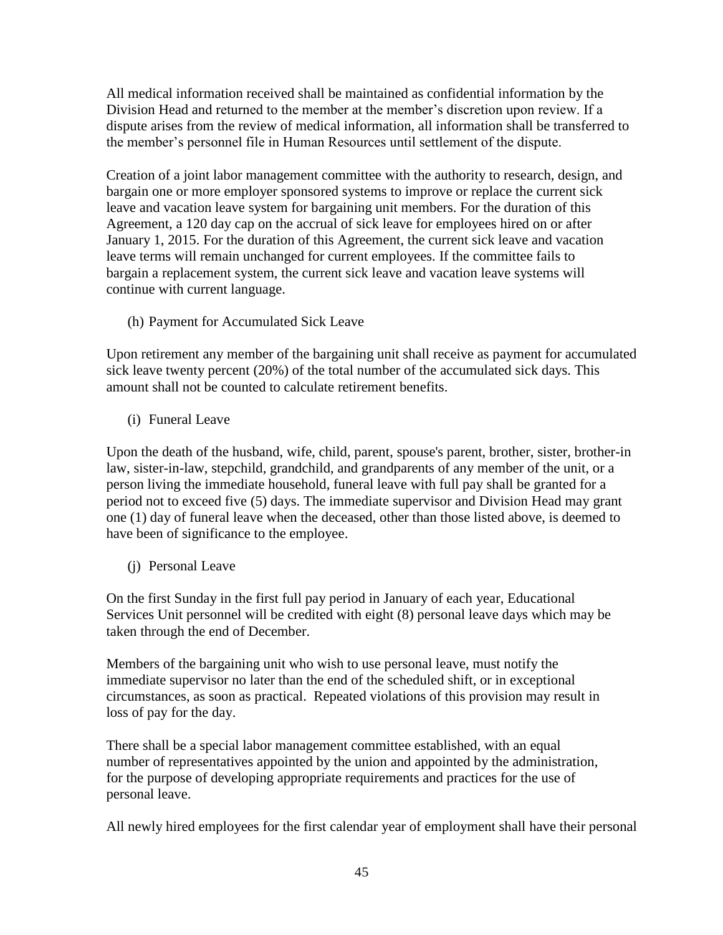All medical information received shall be maintained as confidential information by the Division Head and returned to the member at the member's discretion upon review. If a dispute arises from the review of medical information, all information shall be transferred to the member's personnel file in Human Resources until settlement of the dispute.

Creation of a joint labor management committee with the authority to research, design, and bargain one or more employer sponsored systems to improve or replace the current sick leave and vacation leave system for bargaining unit members. For the duration of this Agreement, a 120 day cap on the accrual of sick leave for employees hired on or after January 1, 2015. For the duration of this Agreement, the current sick leave and vacation leave terms will remain unchanged for current employees. If the committee fails to bargain a replacement system, the current sick leave and vacation leave systems will continue with current language.

(h) Payment for Accumulated Sick Leave

Upon retirement any member of the bargaining unit shall receive as payment for accumulated sick leave twenty percent (20%) of the total number of the accumulated sick days. This amount shall not be counted to calculate retirement benefits.

(i) Funeral Leave

Upon the death of the husband, wife, child, parent, spouse's parent, brother, sister, brother-in law, sister-in-law, stepchild, grandchild, and grandparents of any member of the unit, or a person living the immediate household, funeral leave with full pay shall be granted for a period not to exceed five (5) days. The immediate supervisor and Division Head may grant one (1) day of funeral leave when the deceased, other than those listed above, is deemed to have been of significance to the employee.

(j) Personal Leave

On the first Sunday in the first full pay period in January of each year, Educational Services Unit personnel will be credited with eight (8) personal leave days which may be taken through the end of December.

Members of the bargaining unit who wish to use personal leave, must notify the immediate supervisor no later than the end of the scheduled shift, or in exceptional circumstances, as soon as practical. Repeated violations of this provision may result in loss of pay for the day.

There shall be a special labor management committee established, with an equal number of representatives appointed by the union and appointed by the administration, for the purpose of developing appropriate requirements and practices for the use of personal leave.

All newly hired employees for the first calendar year of employment shall have their personal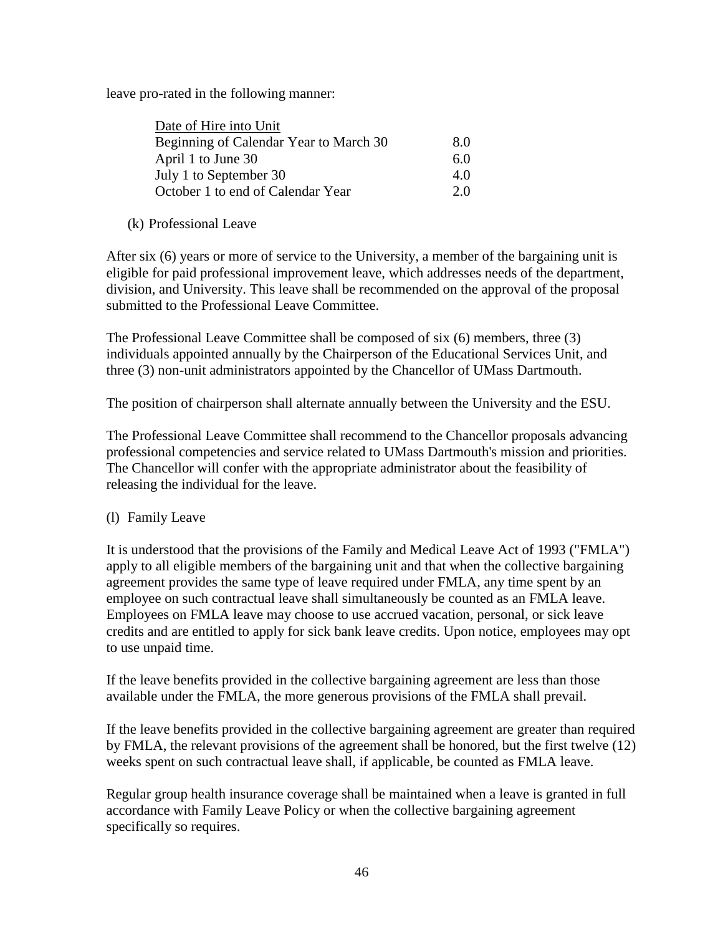leave pro-rated in the following manner:

| Date of Hire into Unit                 |     |
|----------------------------------------|-----|
| Beginning of Calendar Year to March 30 | 8.0 |
| April 1 to June 30                     | 6.0 |
| July 1 to September 30                 | 4.0 |
| October 1 to end of Calendar Year      | 20  |

# (k) Professional Leave

After six (6) years or more of service to the University, a member of the bargaining unit is eligible for paid professional improvement leave, which addresses needs of the department, division, and University. This leave shall be recommended on the approval of the proposal submitted to the Professional Leave Committee.

The Professional Leave Committee shall be composed of six (6) members, three (3) individuals appointed annually by the Chairperson of the Educational Services Unit, and three (3) non-unit administrators appointed by the Chancellor of UMass Dartmouth.

The position of chairperson shall alternate annually between the University and the ESU.

The Professional Leave Committee shall recommend to the Chancellor proposals advancing professional competencies and service related to UMass Dartmouth's mission and priorities. The Chancellor will confer with the appropriate administrator about the feasibility of releasing the individual for the leave.

## (l) Family Leave

It is understood that the provisions of the Family and Medical Leave Act of 1993 ("FMLA") apply to all eligible members of the bargaining unit and that when the collective bargaining agreement provides the same type of leave required under FMLA, any time spent by an employee on such contractual leave shall simultaneously be counted as an FMLA leave. Employees on FMLA leave may choose to use accrued vacation, personal, or sick leave credits and are entitled to apply for sick bank leave credits. Upon notice, employees may opt to use unpaid time.

If the leave benefits provided in the collective bargaining agreement are less than those available under the FMLA, the more generous provisions of the FMLA shall prevail.

If the leave benefits provided in the collective bargaining agreement are greater than required by FMLA, the relevant provisions of the agreement shall be honored, but the first twelve (12) weeks spent on such contractual leave shall, if applicable, be counted as FMLA leave.

Regular group health insurance coverage shall be maintained when a leave is granted in full accordance with Family Leave Policy or when the collective bargaining agreement specifically so requires.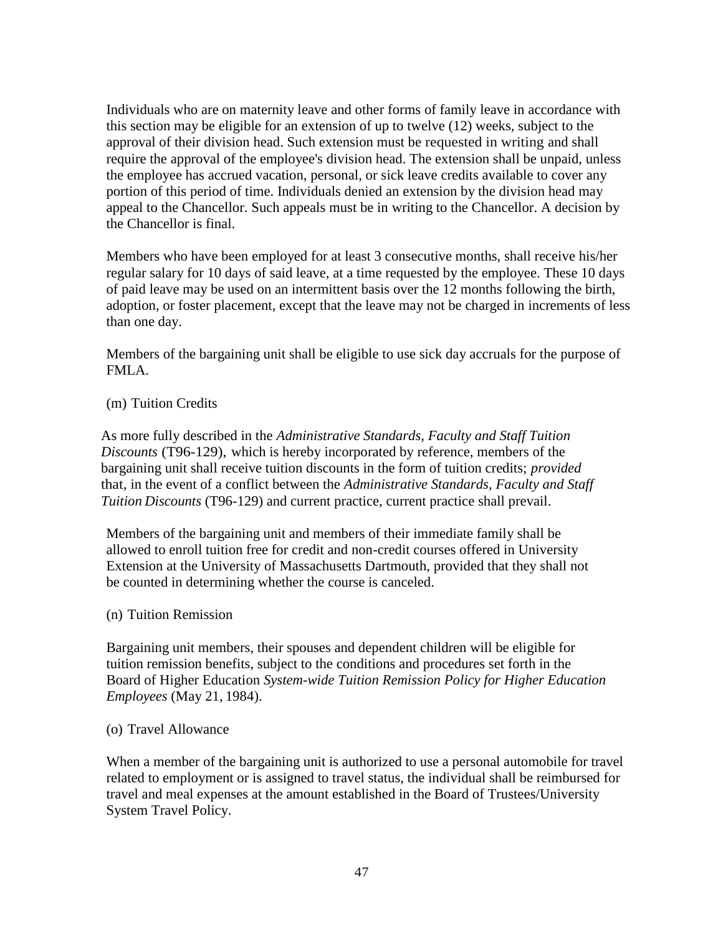Individuals who are on maternity leave and other forms of family leave in accordance with this section may be eligible for an extension of up to twelve (12) weeks, subject to the approval of their division head. Such extension must be requested in writing and shall require the approval of the employee's division head. The extension shall be unpaid, unless the employee has accrued vacation, personal, or sick leave credits available to cover any portion of this period of time. Individuals denied an extension by the division head may appeal to the Chancellor. Such appeals must be in writing to the Chancellor. A decision by the Chancellor is final.

Members who have been employed for at least 3 consecutive months, shall receive his/her regular salary for 10 days of said leave, at a time requested by the employee. These 10 days of paid leave may be used on an intermittent basis over the 12 months following the birth, adoption, or foster placement, except that the leave may not be charged in increments of less than one day.

Members of the bargaining unit shall be eligible to use sick day accruals for the purpose of FMLA.

## (m) Tuition Credits

As more fully described in the *Administrative Standards, Faculty and Staff Tuition Discounts* (T96-129), which is hereby incorporated by reference, members of the bargaining unit shall receive tuition discounts in the form of tuition credits; *provided* that, in the event of a conflict between the *Administrative Standards, Faculty and Staff Tuition Discounts* (T96-129) and current practice, current practice shall prevail.

Members of the bargaining unit and members of their immediate family shall be allowed to enroll tuition free for credit and non-credit courses offered in University Extension at the University of Massachusetts Dartmouth, provided that they shall not be counted in determining whether the course is canceled.

## (n) Tuition Remission

Bargaining unit members, their spouses and dependent children will be eligible for tuition remission benefits, subject to the conditions and procedures set forth in the Board of Higher Education *System-wide Tuition Remission Policy for Higher Education Employees* (May 21, 1984).

#### (o) Travel Allowance

When a member of the bargaining unit is authorized to use a personal automobile for travel related to employment or is assigned to travel status, the individual shall be reimbursed for travel and meal expenses at the amount established in the Board of Trustees/University System Travel Policy.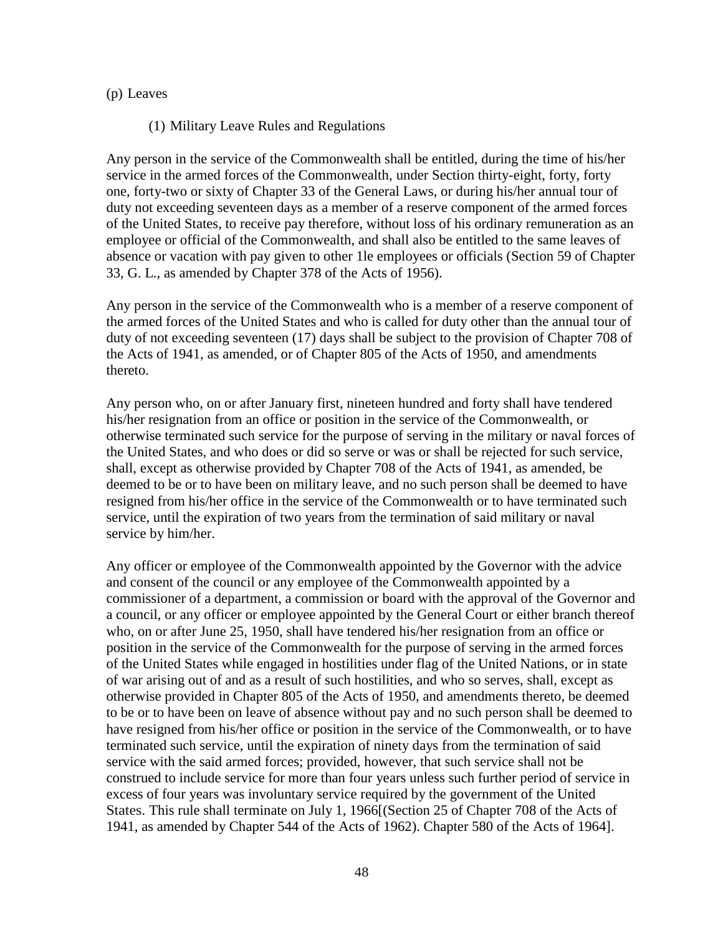### (p) Leaves

### (1) Military Leave Rules and Regulations

Any person in the service of the Commonwealth shall be entitled, during the time of his/her service in the armed forces of the Commonwealth, under Section thirty-eight, forty, forty one, forty-two or sixty of Chapter 33 of the General Laws, or during his/her annual tour of duty not exceeding seventeen days as a member of a reserve component of the armed forces of the United States, to receive pay therefore, without loss of his ordinary remuneration as an employee or official of the Commonwealth, and shall also be entitled to the same leaves of absence or vacation with pay given to other 1le employees or officials (Section 59 of Chapter 33, G. L., as amended by Chapter 378 of the Acts of 1956).

Any person in the service of the Commonwealth who is a member of a reserve component of the armed forces of the United States and who is called for duty other than the annual tour of duty of not exceeding seventeen (17) days shall be subject to the provision of Chapter 708 of the Acts of 1941, as amended, or of Chapter 805 of the Acts of 1950, and amendments thereto.

Any person who, on or after January first, nineteen hundred and forty shall have tendered his/her resignation from an office or position in the service of the Commonwealth, or otherwise terminated such service for the purpose of serving in the military or naval forces of the United States, and who does or did so serve or was or shall be rejected for such service, shall, except as otherwise provided by Chapter 708 of the Acts of 1941, as amended, be deemed to be or to have been on military leave, and no such person shall be deemed to have resigned from his/her office in the service of the Commonwealth or to have terminated such service, until the expiration of two years from the termination of said military or naval service by him/her.

Any officer or employee of the Commonwealth appointed by the Governor with the advice and consent of the council or any employee of the Commonwealth appointed by a commissioner of a department, a commission or board with the approval of the Governor and a council, or any officer or employee appointed by the General Court or either branch thereof who, on or after June 25, 1950, shall have tendered his/her resignation from an office or position in the service of the Commonwealth for the purpose of serving in the armed forces of the United States while engaged in hostilities under flag of the United Nations, or in state of war arising out of and as a result of such hostilities, and who so serves, shall, except as otherwise provided in Chapter 805 of the Acts of 1950, and amendments thereto, be deemed to be or to have been on leave of absence without pay and no such person shall be deemed to have resigned from his/her office or position in the service of the Commonwealth, or to have terminated such service, until the expiration of ninety days from the termination of said service with the said armed forces; provided, however, that such service shall not be construed to include service for more than four years unless such further period of service in excess of four years was involuntary service required by the government of the United States. This rule shall terminate on July 1, 1966[(Section 25 of Chapter 708 of the Acts of 1941, as amended by Chapter 544 of the Acts of 1962). Chapter 580 of the Acts of 1964].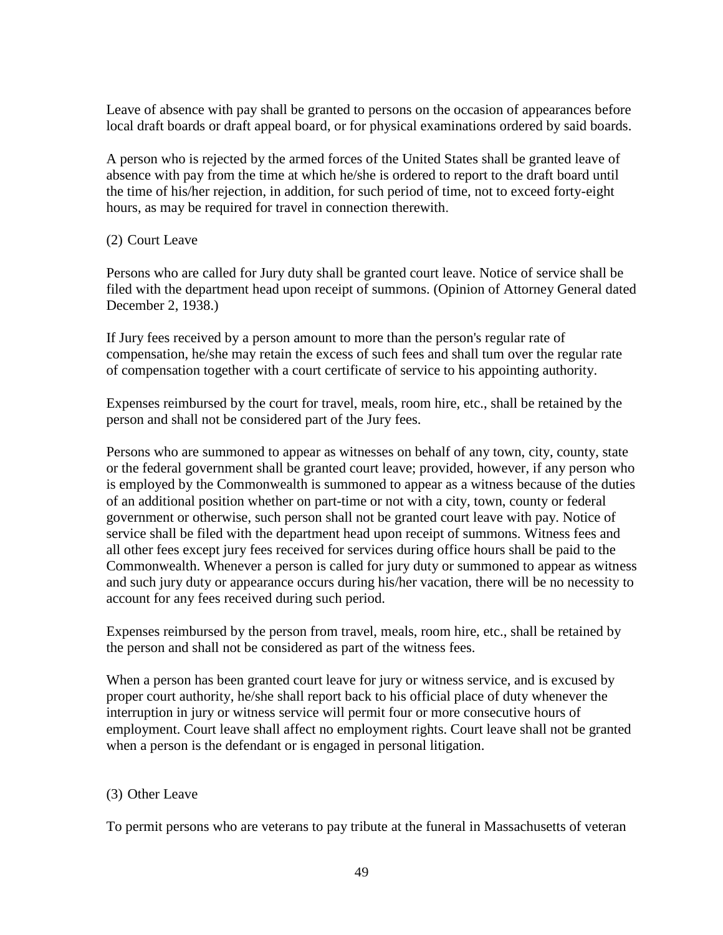Leave of absence with pay shall be granted to persons on the occasion of appearances before local draft boards or draft appeal board, or for physical examinations ordered by said boards.

A person who is rejected by the armed forces of the United States shall be granted leave of absence with pay from the time at which he/she is ordered to report to the draft board until the time of his/her rejection, in addition, for such period of time, not to exceed forty-eight hours, as may be required for travel in connection therewith.

## (2) Court Leave

Persons who are called for Jury duty shall be granted court leave. Notice of service shall be filed with the department head upon receipt of summons. (Opinion of Attorney General dated December 2, 1938.)

If Jury fees received by a person amount to more than the person's regular rate of compensation, he/she may retain the excess of such fees and shall tum over the regular rate of compensation together with a court certificate of service to his appointing authority.

Expenses reimbursed by the court for travel, meals, room hire, etc., shall be retained by the person and shall not be considered part of the Jury fees.

Persons who are summoned to appear as witnesses on behalf of any town, city, county, state or the federal government shall be granted court leave; provided, however, if any person who is employed by the Commonwealth is summoned to appear as a witness because of the duties of an additional position whether on part-time or not with a city, town, county or federal government or otherwise, such person shall not be granted court leave with pay. Notice of service shall be filed with the department head upon receipt of summons. Witness fees and all other fees except jury fees received for services during office hours shall be paid to the Commonwealth. Whenever a person is called for jury duty or summoned to appear as witness and such jury duty or appearance occurs during his/her vacation, there will be no necessity to account for any fees received during such period.

Expenses reimbursed by the person from travel, meals, room hire, etc., shall be retained by the person and shall not be considered as part of the witness fees.

When a person has been granted court leave for jury or witness service, and is excused by proper court authority, he/she shall report back to his official place of duty whenever the interruption in jury or witness service will permit four or more consecutive hours of employment. Court leave shall affect no employment rights. Court leave shall not be granted when a person is the defendant or is engaged in personal litigation.

## (3) Other Leave

To permit persons who are veterans to pay tribute at the funeral in Massachusetts of veteran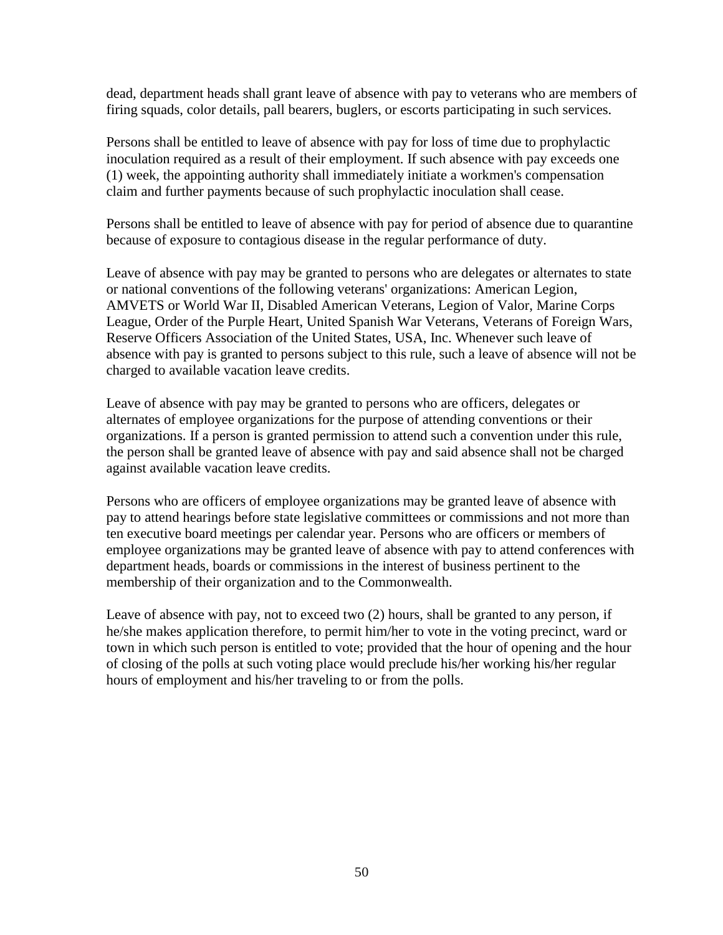dead, department heads shall grant leave of absence with pay to veterans who are members of firing squads, color details, pall bearers, buglers, or escorts participating in such services.

Persons shall be entitled to leave of absence with pay for loss of time due to prophylactic inoculation required as a result of their employment. If such absence with pay exceeds one (1) week, the appointing authority shall immediately initiate a workmen's compensation claim and further payments because of such prophylactic inoculation shall cease.

Persons shall be entitled to leave of absence with pay for period of absence due to quarantine because of exposure to contagious disease in the regular performance of duty.

Leave of absence with pay may be granted to persons who are delegates or alternates to state or national conventions of the following veterans' organizations: American Legion, AMVETS or World War II, Disabled American Veterans, Legion of Valor, Marine Corps League, Order of the Purple Heart, United Spanish War Veterans, Veterans of Foreign Wars, Reserve Officers Association of the United States, USA, Inc. Whenever such leave of absence with pay is granted to persons subject to this rule, such a leave of absence will not be charged to available vacation leave credits.

Leave of absence with pay may be granted to persons who are officers, delegates or alternates of employee organizations for the purpose of attending conventions or their organizations. If a person is granted permission to attend such a convention under this rule, the person shall be granted leave of absence with pay and said absence shall not be charged against available vacation leave credits.

Persons who are officers of employee organizations may be granted leave of absence with pay to attend hearings before state legislative committees or commissions and not more than ten executive board meetings per calendar year. Persons who are officers or members of employee organizations may be granted leave of absence with pay to attend conferences with department heads, boards or commissions in the interest of business pertinent to the membership of their organization and to the Commonwealth.

Leave of absence with pay, not to exceed two (2) hours, shall be granted to any person, if he/she makes application therefore, to permit him/her to vote in the voting precinct, ward or town in which such person is entitled to vote; provided that the hour of opening and the hour of closing of the polls at such voting place would preclude his/her working his/her regular hours of employment and his/her traveling to or from the polls.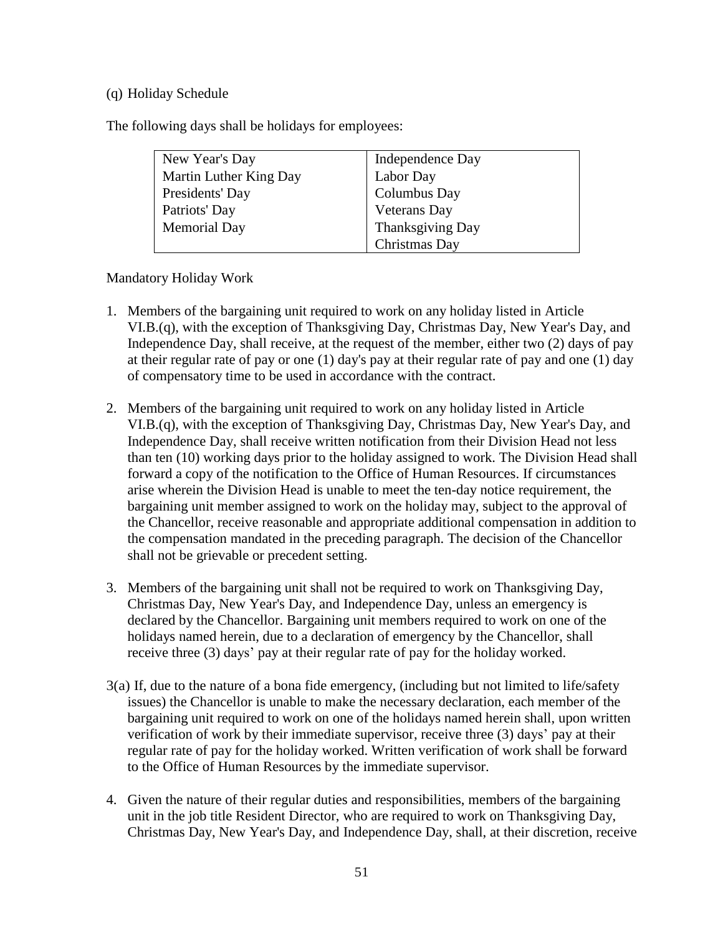## (q) Holiday Schedule

The following days shall be holidays for employees:

| New Year's Day         | Independence Day |
|------------------------|------------------|
| Martin Luther King Day | Labor Day        |
| Presidents' Day        | Columbus Day     |
| Patriots' Day          | Veterans Day     |
| <b>Memorial Day</b>    | Thanksgiving Day |
|                        | Christmas Day    |

Mandatory Holiday Work

- 1. Members of the bargaining unit required to work on any holiday listed in Article VI.B.(q), with the exception of Thanksgiving Day, Christmas Day, New Year's Day, and Independence Day, shall receive, at the request of the member, either two (2) days of pay at their regular rate of pay or one (1) day's pay at their regular rate of pay and one (1) day of compensatory time to be used in accordance with the contract.
- 2. Members of the bargaining unit required to work on any holiday listed in Article VI.B.(q), with the exception of Thanksgiving Day, Christmas Day, New Year's Day, and Independence Day, shall receive written notification from their Division Head not less than ten (10) working days prior to the holiday assigned to work. The Division Head shall forward a copy of the notification to the Office of Human Resources. If circumstances arise wherein the Division Head is unable to meet the ten-day notice requirement, the bargaining unit member assigned to work on the holiday may, subject to the approval of the Chancellor, receive reasonable and appropriate additional compensation in addition to the compensation mandated in the preceding paragraph. The decision of the Chancellor shall not be grievable or precedent setting.
- 3. Members of the bargaining unit shall not be required to work on Thanksgiving Day, Christmas Day, New Year's Day, and Independence Day, unless an emergency is declared by the Chancellor. Bargaining unit members required to work on one of the holidays named herein, due to a declaration of emergency by the Chancellor, shall receive three (3) days' pay at their regular rate of pay for the holiday worked.
- 3(a) If, due to the nature of a bona fide emergency, (including but not limited to life/safety issues) the Chancellor is unable to make the necessary declaration, each member of the bargaining unit required to work on one of the holidays named herein shall, upon written verification of work by their immediate supervisor, receive three (3) days' pay at their regular rate of pay for the holiday worked. Written verification of work shall be forward to the Office of Human Resources by the immediate supervisor.
- 4. Given the nature of their regular duties and responsibilities, members of the bargaining unit in the job title Resident Director, who are required to work on Thanksgiving Day, Christmas Day, New Year's Day, and Independence Day, shall, at their discretion, receive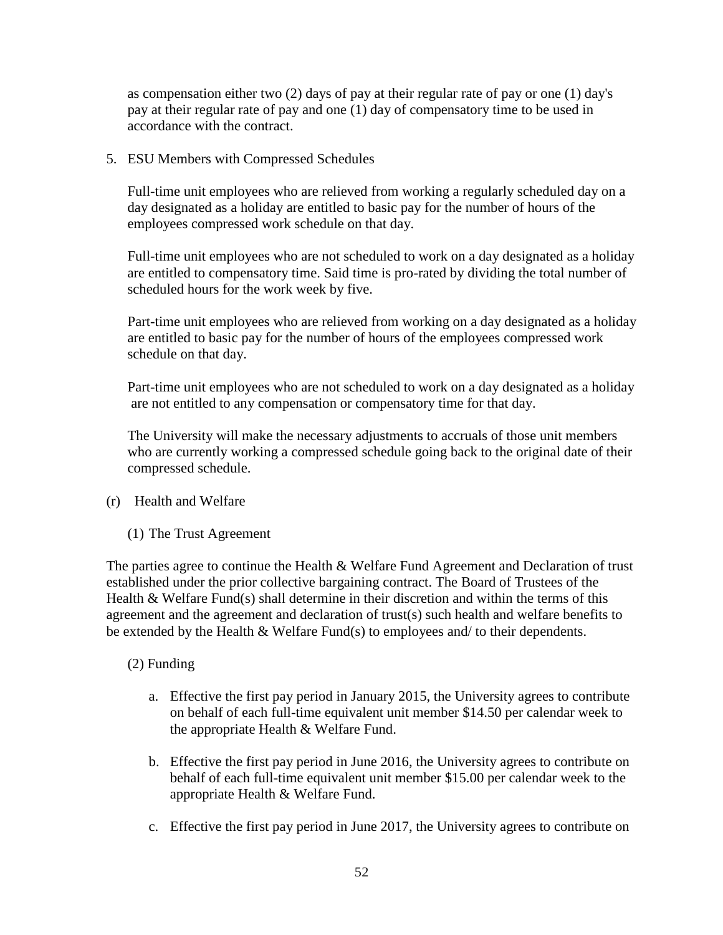as compensation either two (2) days of pay at their regular rate of pay or one (1) day's pay at their regular rate of pay and one (1) day of compensatory time to be used in accordance with the contract.

5. ESU Members with Compressed Schedules

Full-time unit employees who are relieved from working a regularly scheduled day on a day designated as a holiday are entitled to basic pay for the number of hours of the employees compressed work schedule on that day.

Full-time unit employees who are not scheduled to work on a day designated as a holiday are entitled to compensatory time. Said time is pro-rated by dividing the total number of scheduled hours for the work week by five.

Part-time unit employees who are relieved from working on a day designated as a holiday are entitled to basic pay for the number of hours of the employees compressed work schedule on that day.

Part-time unit employees who are not scheduled to work on a day designated as a holiday are not entitled to any compensation or compensatory time for that day.

The University will make the necessary adjustments to accruals of those unit members who are currently working a compressed schedule going back to the original date of their compressed schedule.

- (r) Health and Welfare
	- (1) The Trust Agreement

The parties agree to continue the Health & Welfare Fund Agreement and Declaration of trust established under the prior collective bargaining contract. The Board of Trustees of the Health & Welfare Fund(s) shall determine in their discretion and within the terms of this agreement and the agreement and declaration of trust(s) such health and welfare benefits to be extended by the Health & Welfare Fund(s) to employees and/ to their dependents.

# (2) Funding

- a. Effective the first pay period in January 2015, the University agrees to contribute on behalf of each full-time equivalent unit member \$14.50 per calendar week to the appropriate Health & Welfare Fund.
- b. Effective the first pay period in June 2016, the University agrees to contribute on behalf of each full-time equivalent unit member \$15.00 per calendar week to the appropriate Health & Welfare Fund.
- c. Effective the first pay period in June 2017, the University agrees to contribute on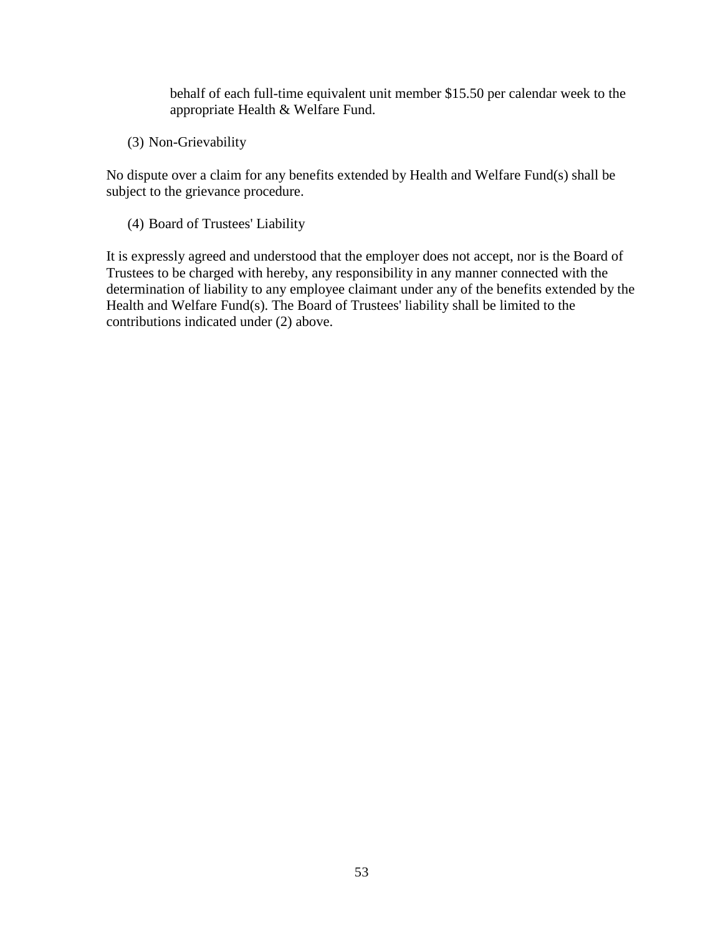behalf of each full-time equivalent unit member \$15.50 per calendar week to the appropriate Health & Welfare Fund.

(3) Non-Grievability

No dispute over a claim for any benefits extended by Health and Welfare Fund(s) shall be subject to the grievance procedure.

(4) Board of Trustees' Liability

It is expressly agreed and understood that the employer does not accept, nor is the Board of Trustees to be charged with hereby, any responsibility in any manner connected with the determination of liability to any employee claimant under any of the benefits extended by the Health and Welfare Fund(s). The Board of Trustees' liability shall be limited to the contributions indicated under (2) above.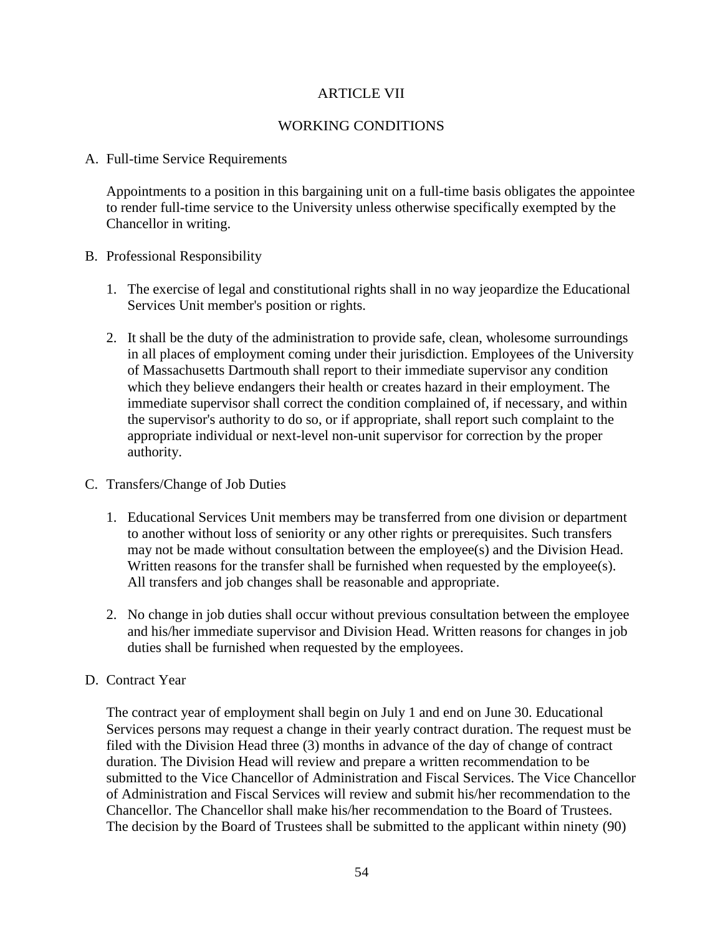# ARTICLE VII

## WORKING CONDITIONS

#### A. Full-time Service Requirements

Appointments to a position in this bargaining unit on a full-time basis obligates the appointee to render full-time service to the University unless otherwise specifically exempted by the Chancellor in writing.

## B. Professional Responsibility

- 1. The exercise of legal and constitutional rights shall in no way jeopardize the Educational Services Unit member's position or rights.
- 2. It shall be the duty of the administration to provide safe, clean, wholesome surroundings in all places of employment coming under their jurisdiction. Employees of the University of Massachusetts Dartmouth shall report to their immediate supervisor any condition which they believe endangers their health or creates hazard in their employment. The immediate supervisor shall correct the condition complained of, if necessary, and within the supervisor's authority to do so, or if appropriate, shall report such complaint to the appropriate individual or next-level non-unit supervisor for correction by the proper authority.

#### C. Transfers/Change of Job Duties

- 1. Educational Services Unit members may be transferred from one division or department to another without loss of seniority or any other rights or prerequisites. Such transfers may not be made without consultation between the employee(s) and the Division Head. Written reasons for the transfer shall be furnished when requested by the employee(s). All transfers and job changes shall be reasonable and appropriate.
- 2. No change in job duties shall occur without previous consultation between the employee and his/her immediate supervisor and Division Head. Written reasons for changes in job duties shall be furnished when requested by the employees.

## D. Contract Year

The contract year of employment shall begin on July 1 and end on June 30. Educational Services persons may request a change in their yearly contract duration. The request must be filed with the Division Head three (3) months in advance of the day of change of contract duration. The Division Head will review and prepare a written recommendation to be submitted to the Vice Chancellor of Administration and Fiscal Services. The Vice Chancellor of Administration and Fiscal Services will review and submit his/her recommendation to the Chancellor. The Chancellor shall make his/her recommendation to the Board of Trustees. The decision by the Board of Trustees shall be submitted to the applicant within ninety (90)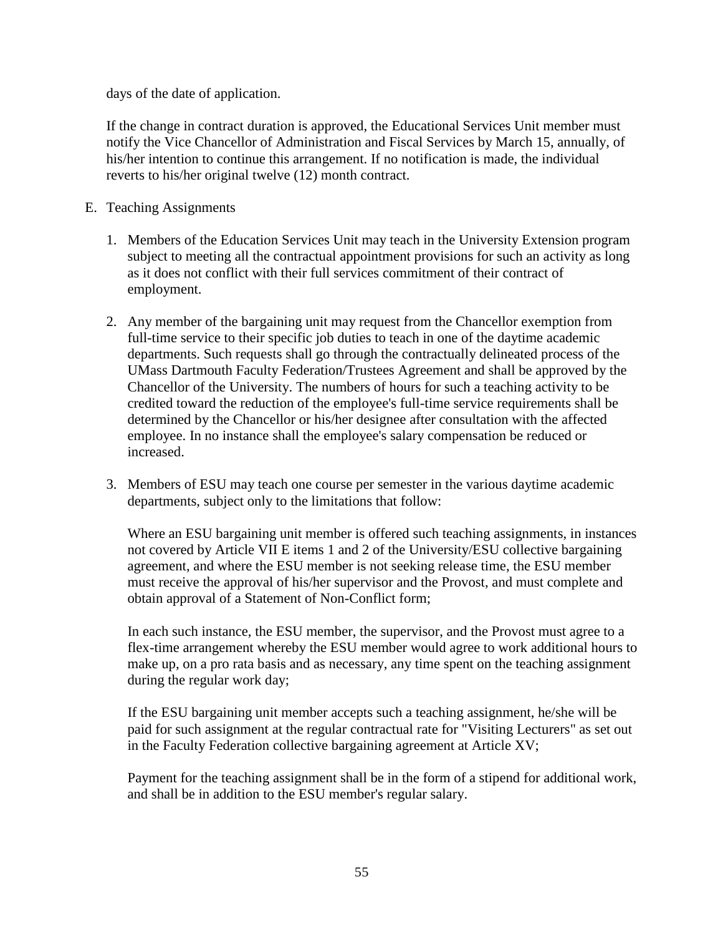days of the date of application.

If the change in contract duration is approved, the Educational Services Unit member must notify the Vice Chancellor of Administration and Fiscal Services by March 15, annually, of his/her intention to continue this arrangement. If no notification is made, the individual reverts to his/her original twelve (12) month contract.

- E. Teaching Assignments
	- 1. Members of the Education Services Unit may teach in the University Extension program subject to meeting all the contractual appointment provisions for such an activity as long as it does not conflict with their full services commitment of their contract of employment.
	- 2. Any member of the bargaining unit may request from the Chancellor exemption from full-time service to their specific job duties to teach in one of the daytime academic departments. Such requests shall go through the contractually delineated process of the UMass Dartmouth Faculty Federation/Trustees Agreement and shall be approved by the Chancellor of the University. The numbers of hours for such a teaching activity to be credited toward the reduction of the employee's full-time service requirements shall be determined by the Chancellor or his/her designee after consultation with the affected employee. In no instance shall the employee's salary compensation be reduced or increased.
	- 3. Members of ESU may teach one course per semester in the various daytime academic departments, subject only to the limitations that follow:

Where an ESU bargaining unit member is offered such teaching assignments, in instances not covered by Article VII E items 1 and 2 of the University/ESU collective bargaining agreement, and where the ESU member is not seeking release time, the ESU member must receive the approval of his/her supervisor and the Provost, and must complete and obtain approval of a Statement of Non-Conflict form;

In each such instance, the ESU member, the supervisor, and the Provost must agree to a flex-time arrangement whereby the ESU member would agree to work additional hours to make up, on a pro rata basis and as necessary, any time spent on the teaching assignment during the regular work day;

If the ESU bargaining unit member accepts such a teaching assignment, he/she will be paid for such assignment at the regular contractual rate for "Visiting Lecturers" as set out in the Faculty Federation collective bargaining agreement at Article XV;

Payment for the teaching assignment shall be in the form of a stipend for additional work, and shall be in addition to the ESU member's regular salary.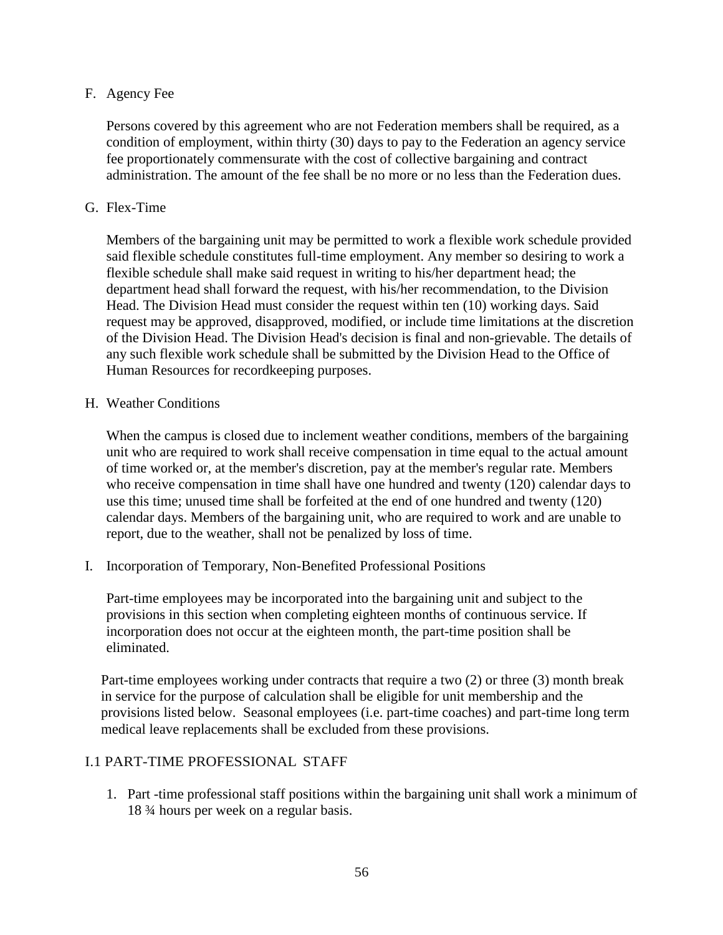## F. Agency Fee

Persons covered by this agreement who are not Federation members shall be required, as a condition of employment, within thirty (30) days to pay to the Federation an agency service fee proportionately commensurate with the cost of collective bargaining and contract administration. The amount of the fee shall be no more or no less than the Federation dues.

## G. Flex-Time

Members of the bargaining unit may be permitted to work a flexible work schedule provided said flexible schedule constitutes full-time employment. Any member so desiring to work a flexible schedule shall make said request in writing to his/her department head; the department head shall forward the request, with his/her recommendation, to the Division Head. The Division Head must consider the request within ten (10) working days. Said request may be approved, disapproved, modified, or include time limitations at the discretion of the Division Head. The Division Head's decision is final and non-grievable. The details of any such flexible work schedule shall be submitted by the Division Head to the Office of Human Resources for recordkeeping purposes.

## H. Weather Conditions

When the campus is closed due to inclement weather conditions, members of the bargaining unit who are required to work shall receive compensation in time equal to the actual amount of time worked or, at the member's discretion, pay at the member's regular rate. Members who receive compensation in time shall have one hundred and twenty (120) calendar days to use this time; unused time shall be forfeited at the end of one hundred and twenty (120) calendar days. Members of the bargaining unit, who are required to work and are unable to report, due to the weather, shall not be penalized by loss of time.

I. Incorporation of Temporary, Non-Benefited Professional Positions

Part-time employees may be incorporated into the bargaining unit and subject to the provisions in this section when completing eighteen months of continuous service. If incorporation does not occur at the eighteen month, the part-time position shall be eliminated.

Part-time employees working under contracts that require a two (2) or three (3) month break in service for the purpose of calculation shall be eligible for unit membership and the provisions listed below. Seasonal employees (i.e. part-time coaches) and part-time long term medical leave replacements shall be excluded from these provisions.

## I.1 PART-TIME PROFESSIONAL STAFF

1. Part -time professional staff positions within the bargaining unit shall work a minimum of 18 ¾ hours per week on a regular basis.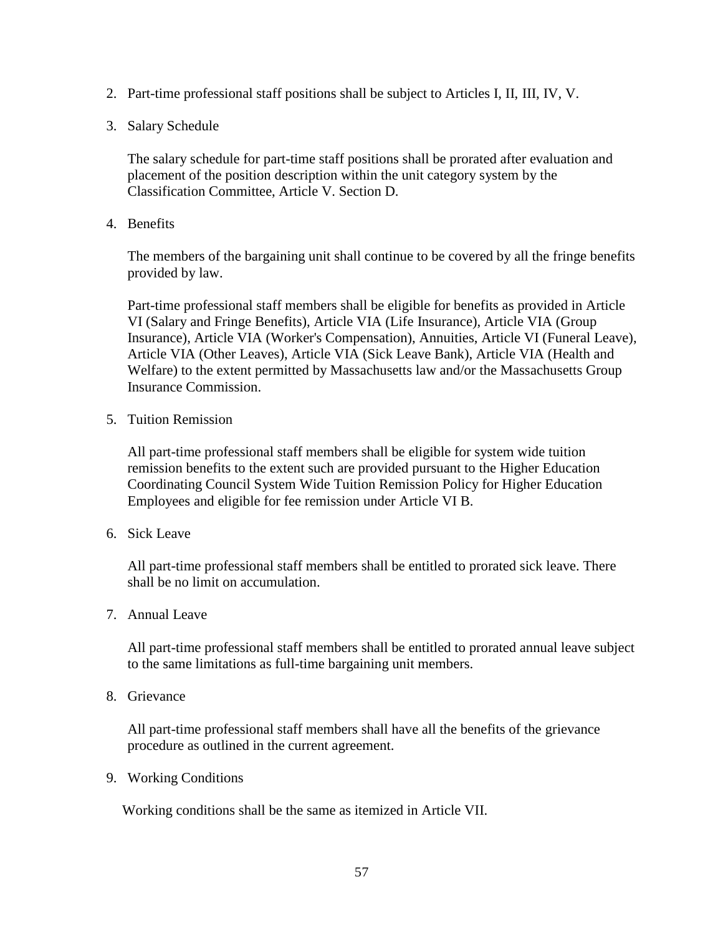- 2. Part-time professional staff positions shall be subject to Articles I, II, III, IV, V.
- 3. Salary Schedule

The salary schedule for part-time staff positions shall be prorated after evaluation and placement of the position description within the unit category system by the Classification Committee, Article V. Section D.

4. Benefits

The members of the bargaining unit shall continue to be covered by all the fringe benefits provided by law.

Part-time professional staff members shall be eligible for benefits as provided in Article VI (Salary and Fringe Benefits), Article VIA (Life Insurance), Article VIA (Group Insurance), Article VIA (Worker's Compensation), Annuities, Article VI (Funeral Leave), Article VIA (Other Leaves), Article VIA (Sick Leave Bank), Article VIA (Health and Welfare) to the extent permitted by Massachusetts law and/or the Massachusetts Group Insurance Commission.

5. Tuition Remission

All part-time professional staff members shall be eligible for system wide tuition remission benefits to the extent such are provided pursuant to the Higher Education Coordinating Council System Wide Tuition Remission Policy for Higher Education Employees and eligible for fee remission under Article VI B.

6. Sick Leave

All part-time professional staff members shall be entitled to prorated sick leave. There shall be no limit on accumulation.

7. Annual Leave

All part-time professional staff members shall be entitled to prorated annual leave subject to the same limitations as full-time bargaining unit members.

8. Grievance

All part-time professional staff members shall have all the benefits of the grievance procedure as outlined in the current agreement.

9. Working Conditions

Working conditions shall be the same as itemized in Article VII.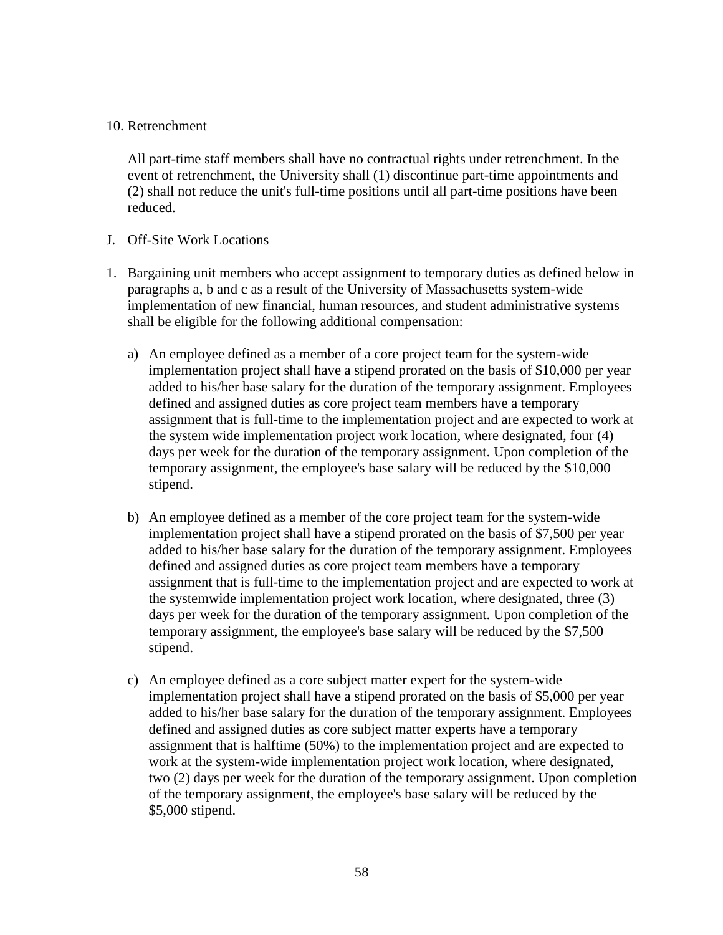#### 10. Retrenchment

All part-time staff members shall have no contractual rights under retrenchment. In the event of retrenchment, the University shall (1) discontinue part-time appointments and (2) shall not reduce the unit's full-time positions until all part-time positions have been reduced.

- J. Off-Site Work Locations
- 1. Bargaining unit members who accept assignment to temporary duties as defined below in paragraphs a, b and c as a result of the University of Massachusetts system-wide implementation of new financial, human resources, and student administrative systems shall be eligible for the following additional compensation:
	- a) An employee defined as a member of a core project team for the system-wide implementation project shall have a stipend prorated on the basis of \$10,000 per year added to his/her base salary for the duration of the temporary assignment. Employees defined and assigned duties as core project team members have a temporary assignment that is full-time to the implementation project and are expected to work at the system wide implementation project work location, where designated, four (4) days per week for the duration of the temporary assignment. Upon completion of the temporary assignment, the employee's base salary will be reduced by the \$10,000 stipend.
	- b) An employee defined as a member of the core project team for the system-wide implementation project shall have a stipend prorated on the basis of \$7,500 per year added to his/her base salary for the duration of the temporary assignment. Employees defined and assigned duties as core project team members have a temporary assignment that is full-time to the implementation project and are expected to work at the systemwide implementation project work location, where designated, three (3) days per week for the duration of the temporary assignment. Upon completion of the temporary assignment, the employee's base salary will be reduced by the \$7,500 stipend.
	- c) An employee defined as a core subject matter expert for the system-wide implementation project shall have a stipend prorated on the basis of \$5,000 per year added to his/her base salary for the duration of the temporary assignment. Employees defined and assigned duties as core subject matter experts have a temporary assignment that is halftime (50%) to the implementation project and are expected to work at the system-wide implementation project work location, where designated, two (2) days per week for the duration of the temporary assignment. Upon completion of the temporary assignment, the employee's base salary will be reduced by the \$5,000 stipend.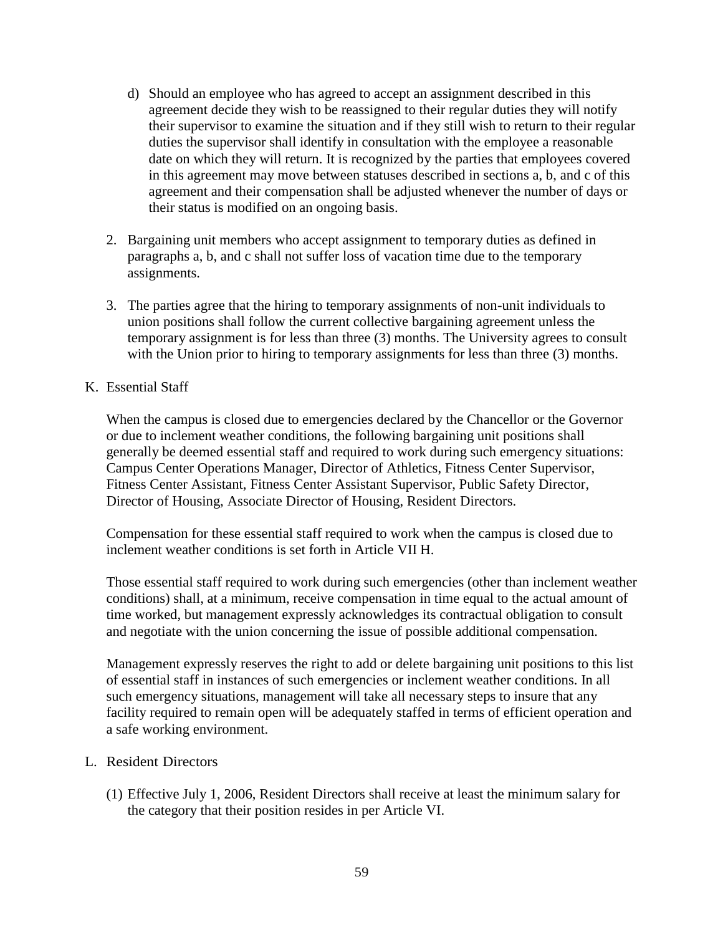- d) Should an employee who has agreed to accept an assignment described in this agreement decide they wish to be reassigned to their regular duties they will notify their supervisor to examine the situation and if they still wish to return to their regular duties the supervisor shall identify in consultation with the employee a reasonable date on which they will return. It is recognized by the parties that employees covered in this agreement may move between statuses described in sections a, b, and c of this agreement and their compensation shall be adjusted whenever the number of days or their status is modified on an ongoing basis.
- 2. Bargaining unit members who accept assignment to temporary duties as defined in paragraphs a, b, and c shall not suffer loss of vacation time due to the temporary assignments.
- 3. The parties agree that the hiring to temporary assignments of non-unit individuals to union positions shall follow the current collective bargaining agreement unless the temporary assignment is for less than three (3) months. The University agrees to consult with the Union prior to hiring to temporary assignments for less than three (3) months.

#### K. Essential Staff

When the campus is closed due to emergencies declared by the Chancellor or the Governor or due to inclement weather conditions, the following bargaining unit positions shall generally be deemed essential staff and required to work during such emergency situations: Campus Center Operations Manager, Director of Athletics, Fitness Center Supervisor, Fitness Center Assistant, Fitness Center Assistant Supervisor, Public Safety Director, Director of Housing, Associate Director of Housing, Resident Directors.

Compensation for these essential staff required to work when the campus is closed due to inclement weather conditions is set forth in Article VII H.

Those essential staff required to work during such emergencies (other than inclement weather conditions) shall, at a minimum, receive compensation in time equal to the actual amount of time worked, but management expressly acknowledges its contractual obligation to consult and negotiate with the union concerning the issue of possible additional compensation.

Management expressly reserves the right to add or delete bargaining unit positions to this list of essential staff in instances of such emergencies or inclement weather conditions. In all such emergency situations, management will take all necessary steps to insure that any facility required to remain open will be adequately staffed in terms of efficient operation and a safe working environment.

#### L. Resident Directors

(1) Effective July 1, 2006, Resident Directors shall receive at least the minimum salary for the category that their position resides in per Article VI.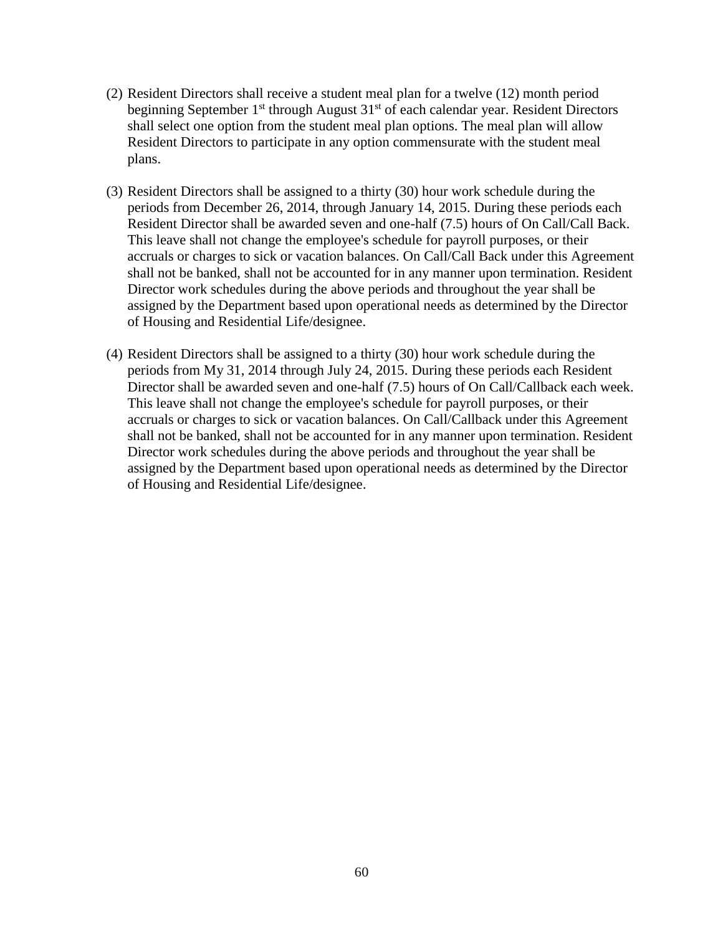- (2) Resident Directors shall receive a student meal plan for a twelve (12) month period beginning September 1<sup>st</sup> through August 31<sup>st</sup> of each calendar year. Resident Directors shall select one option from the student meal plan options. The meal plan will allow Resident Directors to participate in any option commensurate with the student meal plans.
- (3) Resident Directors shall be assigned to a thirty (30) hour work schedule during the periods from December 26, 2014, through January 14, 2015. During these periods each Resident Director shall be awarded seven and one-half (7.5) hours of On Call/Call Back. This leave shall not change the employee's schedule for payroll purposes, or their accruals or charges to sick or vacation balances. On Call/Call Back under this Agreement shall not be banked, shall not be accounted for in any manner upon termination. Resident Director work schedules during the above periods and throughout the year shall be assigned by the Department based upon operational needs as determined by the Director of Housing and Residential Life/designee.
- (4) Resident Directors shall be assigned to a thirty (30) hour work schedule during the periods from My 31, 2014 through July 24, 2015. During these periods each Resident Director shall be awarded seven and one-half (7.5) hours of On Call/Callback each week. This leave shall not change the employee's schedule for payroll purposes, or their accruals or charges to sick or vacation balances. On Call/Callback under this Agreement shall not be banked, shall not be accounted for in any manner upon termination. Resident Director work schedules during the above periods and throughout the year shall be assigned by the Department based upon operational needs as determined by the Director of Housing and Residential Life/designee.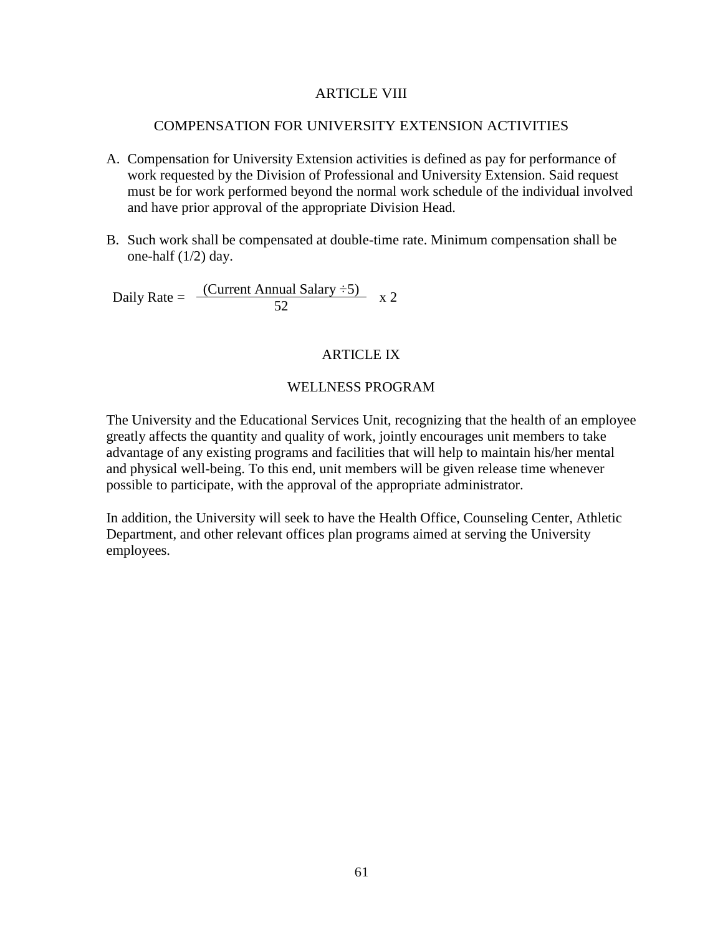### ARTICLE VIII

#### COMPENSATION FOR UNIVERSITY EXTENSION ACTIVITIES

- A. Compensation for University Extension activities is defined as pay for performance of work requested by the Division of Professional and University Extension. Said request must be for work performed beyond the normal work schedule of the individual involved and have prior approval of the appropriate Division Head.
- B. Such work shall be compensated at double-time rate. Minimum compensation shall be one-half (1/2) day.

Daily Rate =  $\frac{(Current Annual salary \div 5)}{52}$  x 2

#### ARTICLE IX

#### WELLNESS PROGRAM

The University and the Educational Services Unit, recognizing that the health of an employee greatly affects the quantity and quality of work, jointly encourages unit members to take advantage of any existing programs and facilities that will help to maintain his/her mental and physical well-being. To this end, unit members will be given release time whenever possible to participate, with the approval of the appropriate administrator.

In addition, the University will seek to have the Health Office, Counseling Center, Athletic Department, and other relevant offices plan programs aimed at serving the University employees.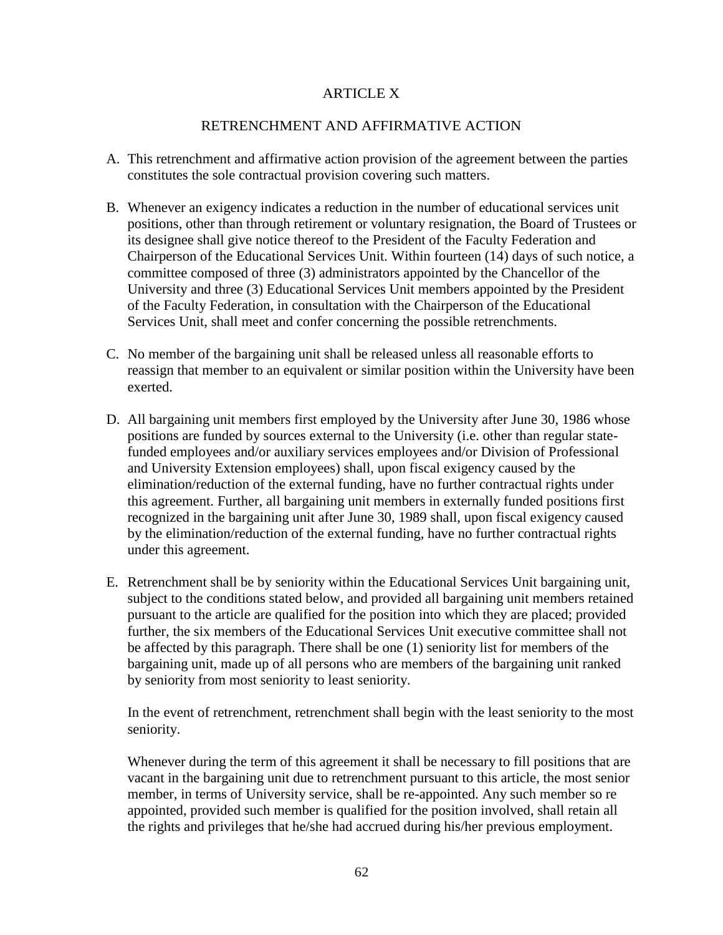# ARTICLE X

## RETRENCHMENT AND AFFIRMATIVE ACTION

- A. This retrenchment and affirmative action provision of the agreement between the parties constitutes the sole contractual provision covering such matters.
- B. Whenever an exigency indicates a reduction in the number of educational services unit positions, other than through retirement or voluntary resignation, the Board of Trustees or its designee shall give notice thereof to the President of the Faculty Federation and Chairperson of the Educational Services Unit. Within fourteen (14) days of such notice, a committee composed of three (3) administrators appointed by the Chancellor of the University and three (3) Educational Services Unit members appointed by the President of the Faculty Federation, in consultation with the Chairperson of the Educational Services Unit, shall meet and confer concerning the possible retrenchments.
- C. No member of the bargaining unit shall be released unless all reasonable efforts to reassign that member to an equivalent or similar position within the University have been exerted.
- D. All bargaining unit members first employed by the University after June 30, 1986 whose positions are funded by sources external to the University (i.e. other than regular statefunded employees and/or auxiliary services employees and/or Division of Professional and University Extension employees) shall, upon fiscal exigency caused by the elimination/reduction of the external funding, have no further contractual rights under this agreement. Further, all bargaining unit members in externally funded positions first recognized in the bargaining unit after June 30, 1989 shall, upon fiscal exigency caused by the elimination/reduction of the external funding, have no further contractual rights under this agreement.
- E. Retrenchment shall be by seniority within the Educational Services Unit bargaining unit, subject to the conditions stated below, and provided all bargaining unit members retained pursuant to the article are qualified for the position into which they are placed; provided further, the six members of the Educational Services Unit executive committee shall not be affected by this paragraph. There shall be one (1) seniority list for members of the bargaining unit, made up of all persons who are members of the bargaining unit ranked by seniority from most seniority to least seniority.

In the event of retrenchment, retrenchment shall begin with the least seniority to the most seniority.

Whenever during the term of this agreement it shall be necessary to fill positions that are vacant in the bargaining unit due to retrenchment pursuant to this article, the most senior member, in terms of University service, shall be re-appointed. Any such member so re appointed, provided such member is qualified for the position involved, shall retain all the rights and privileges that he/she had accrued during his/her previous employment.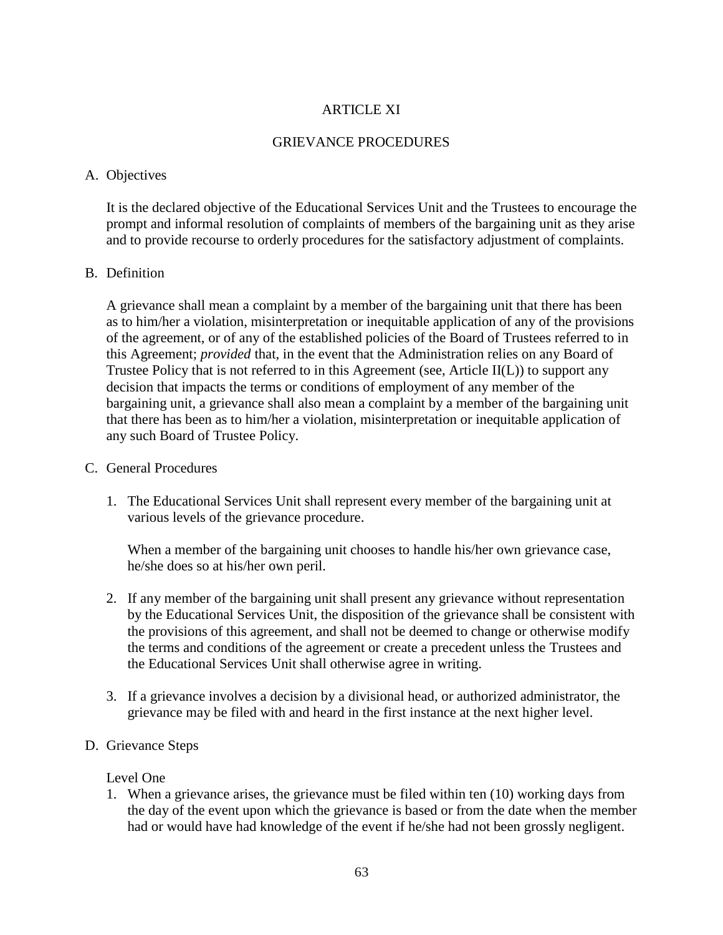# **ARTICLE XI**

# GRIEVANCE PROCEDURES

## A. Objectives

It is the declared objective of the Educational Services Unit and the Trustees to encourage the prompt and informal resolution of complaints of members of the bargaining unit as they arise and to provide recourse to orderly procedures for the satisfactory adjustment of complaints.

## B. Definition

A grievance shall mean a complaint by a member of the bargaining unit that there has been as to him/her a violation, misinterpretation or inequitable application of any of the provisions of the agreement, or of any of the established policies of the Board of Trustees referred to in this Agreement; *provided* that, in the event that the Administration relies on any Board of Trustee Policy that is not referred to in this Agreement (see, Article II(L)) to support any decision that impacts the terms or conditions of employment of any member of the bargaining unit, a grievance shall also mean a complaint by a member of the bargaining unit that there has been as to him/her a violation, misinterpretation or inequitable application of any such Board of Trustee Policy.

## C. General Procedures

1. The Educational Services Unit shall represent every member of the bargaining unit at various levels of the grievance procedure.

When a member of the bargaining unit chooses to handle his/her own grievance case, he/she does so at his/her own peril.

- 2. If any member of the bargaining unit shall present any grievance without representation by the Educational Services Unit, the disposition of the grievance shall be consistent with the provisions of this agreement, and shall not be deemed to change or otherwise modify the terms and conditions of the agreement or create a precedent unless the Trustees and the Educational Services Unit shall otherwise agree in writing.
- 3. If a grievance involves a decision by a divisional head, or authorized administrator, the grievance may be filed with and heard in the first instance at the next higher level.
- D. Grievance Steps

## Level One

1. When a grievance arises, the grievance must be filed within ten (10) working days from the day of the event upon which the grievance is based or from the date when the member had or would have had knowledge of the event if he/she had not been grossly negligent.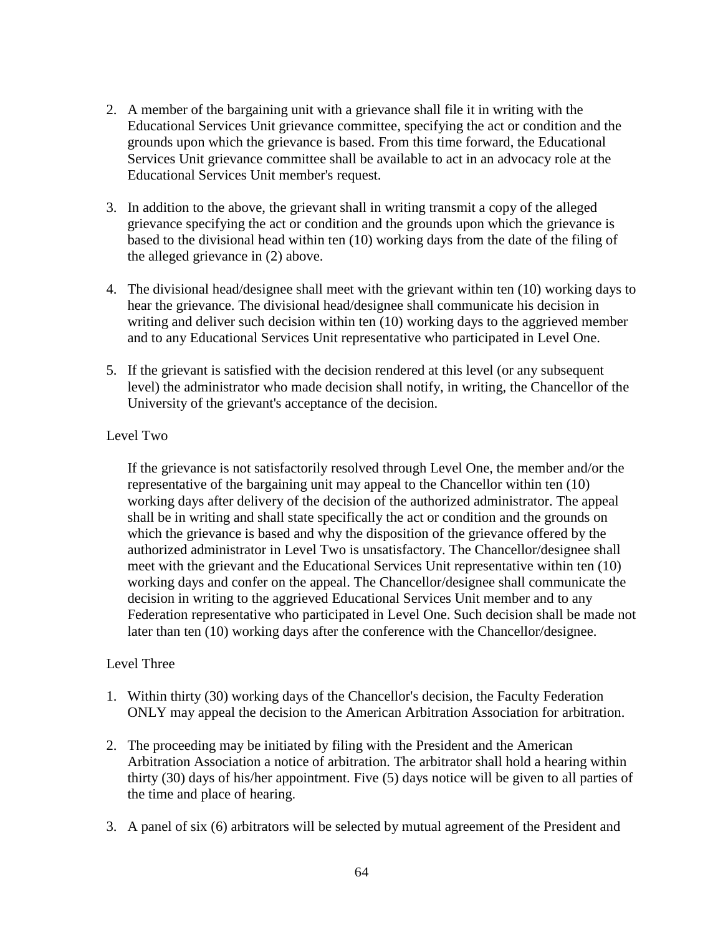- 2. A member of the bargaining unit with a grievance shall file it in writing with the Educational Services Unit grievance committee, specifying the act or condition and the grounds upon which the grievance is based. From this time forward, the Educational Services Unit grievance committee shall be available to act in an advocacy role at the Educational Services Unit member's request.
- 3. In addition to the above, the grievant shall in writing transmit a copy of the alleged grievance specifying the act or condition and the grounds upon which the grievance is based to the divisional head within ten (10) working days from the date of the filing of the alleged grievance in (2) above.
- 4. The divisional head/designee shall meet with the grievant within ten (10) working days to hear the grievance. The divisional head/designee shall communicate his decision in writing and deliver such decision within ten (10) working days to the aggrieved member and to any Educational Services Unit representative who participated in Level One.
- 5. If the grievant is satisfied with the decision rendered at this level (or any subsequent level) the administrator who made decision shall notify, in writing, the Chancellor of the University of the grievant's acceptance of the decision.

# Level Two

If the grievance is not satisfactorily resolved through Level One, the member and/or the representative of the bargaining unit may appeal to the Chancellor within ten (10) working days after delivery of the decision of the authorized administrator. The appeal shall be in writing and shall state specifically the act or condition and the grounds on which the grievance is based and why the disposition of the grievance offered by the authorized administrator in Level Two is unsatisfactory. The Chancellor/designee shall meet with the grievant and the Educational Services Unit representative within ten (10) working days and confer on the appeal. The Chancellor/designee shall communicate the decision in writing to the aggrieved Educational Services Unit member and to any Federation representative who participated in Level One. Such decision shall be made not later than ten (10) working days after the conference with the Chancellor/designee.

# Level Three

- 1. Within thirty (30) working days of the Chancellor's decision, the Faculty Federation ONLY may appeal the decision to the American Arbitration Association for arbitration.
- 2. The proceeding may be initiated by filing with the President and the American Arbitration Association a notice of arbitration. The arbitrator shall hold a hearing within thirty (30) days of his/her appointment. Five (5) days notice will be given to all parties of the time and place of hearing.
- 3. A panel of six (6) arbitrators will be selected by mutual agreement of the President and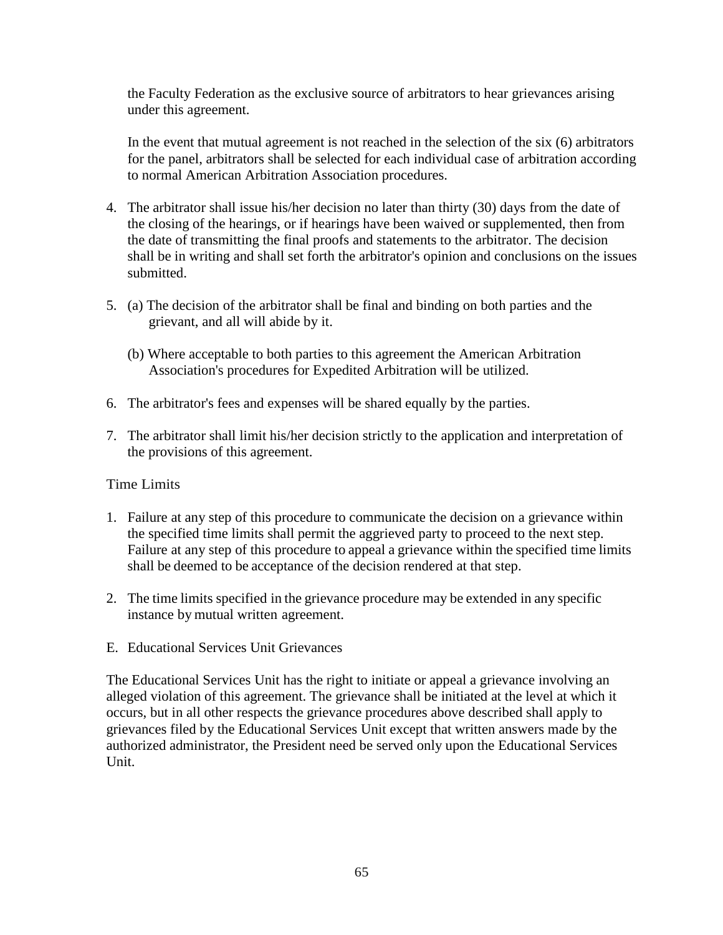the Faculty Federation as the exclusive source of arbitrators to hear grievances arising under this agreement.

In the event that mutual agreement is not reached in the selection of the six (6) arbitrators for the panel, arbitrators shall be selected for each individual case of arbitration according to normal American Arbitration Association procedures.

- 4. The arbitrator shall issue his/her decision no later than thirty (30) days from the date of the closing of the hearings, or if hearings have been waived or supplemented, then from the date of transmitting the final proofs and statements to the arbitrator. The decision shall be in writing and shall set forth the arbitrator's opinion and conclusions on the issues submitted.
- 5. (a) The decision of the arbitrator shall be final and binding on both parties and the grievant, and all will abide by it.
	- (b) Where acceptable to both parties to this agreement the American Arbitration Association's procedures for Expedited Arbitration will be utilized.
- 6. The arbitrator's fees and expenses will be shared equally by the parties.
- 7. The arbitrator shall limit his/her decision strictly to the application and interpretation of the provisions of this agreement.

## Time Limits

- 1. Failure at any step of this procedure to communicate the decision on a grievance within the specified time limits shall permit the aggrieved party to proceed to the next step. Failure at any step of this procedure to appeal a grievance within the specified time limits shall be deemed to be acceptance of the decision rendered at that step.
- 2. The time limits specified in the grievance procedure may be extended in any specific instance by mutual written agreement.
- E. Educational Services Unit Grievances

The Educational Services Unit has the right to initiate or appeal a grievance involving an alleged violation of this agreement. The grievance shall be initiated at the level at which it occurs, but in all other respects the grievance procedures above described shall apply to grievances filed by the Educational Services Unit except that written answers made by the authorized administrator, the President need be served only upon the Educational Services Unit.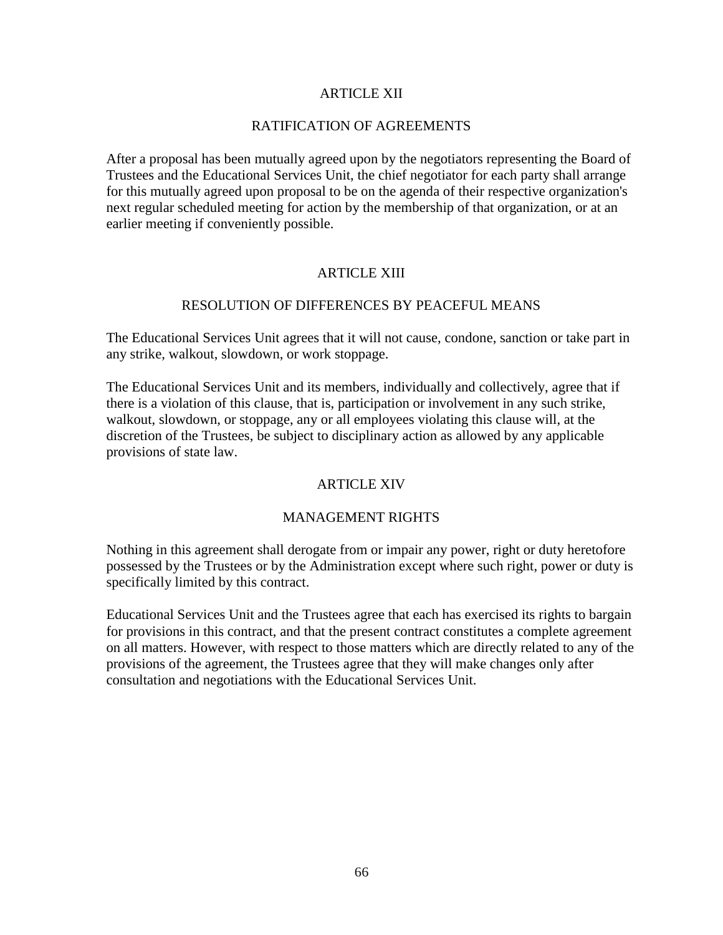## ARTICLE XII

## RATIFICATION OF AGREEMENTS

After a proposal has been mutually agreed upon by the negotiators representing the Board of Trustees and the Educational Services Unit, the chief negotiator for each party shall arrange for this mutually agreed upon proposal to be on the agenda of their respective organization's next regular scheduled meeting for action by the membership of that organization, or at an earlier meeting if conveniently possible.

## ARTICLE XIII

## RESOLUTION OF DIFFERENCES BY PEACEFUL MEANS

The Educational Services Unit agrees that it will not cause, condone, sanction or take part in any strike, walkout, slowdown, or work stoppage.

The Educational Services Unit and its members, individually and collectively, agree that if there is a violation of this clause, that is, participation or involvement in any such strike, walkout, slowdown, or stoppage, any or all employees violating this clause will, at the discretion of the Trustees, be subject to disciplinary action as allowed by any applicable provisions of state law.

## ARTICLE XIV

#### MANAGEMENT RIGHTS

Nothing in this agreement shall derogate from or impair any power, right or duty heretofore possessed by the Trustees or by the Administration except where such right, power or duty is specifically limited by this contract.

Educational Services Unit and the Trustees agree that each has exercised its rights to bargain for provisions in this contract, and that the present contract constitutes a complete agreement on all matters. However, with respect to those matters which are directly related to any of the provisions of the agreement, the Trustees agree that they will make changes only after consultation and negotiations with the Educational Services Unit.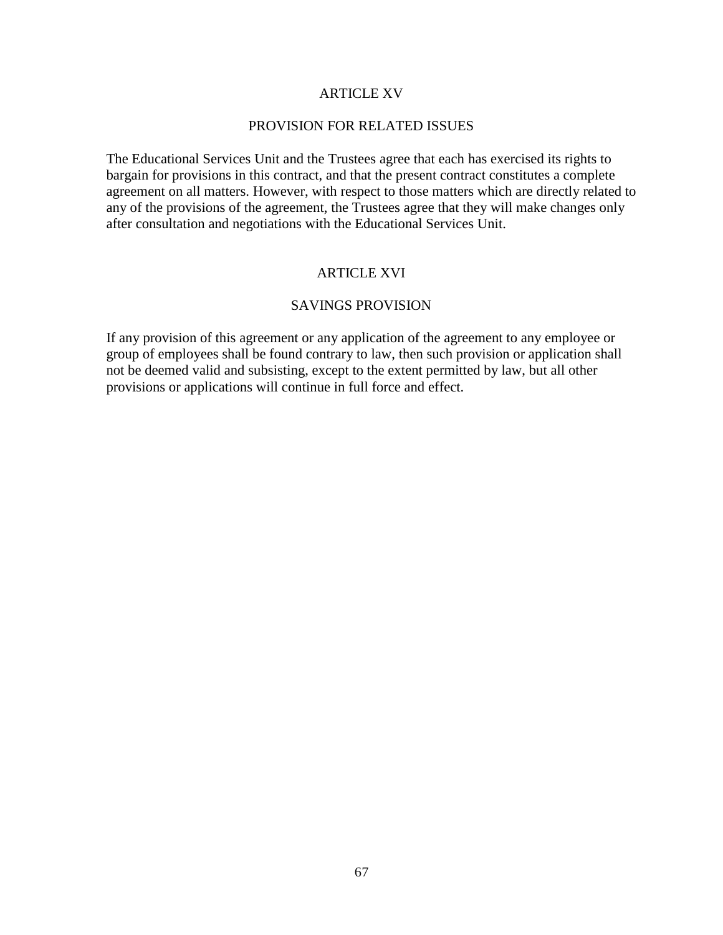### ARTICLE XV

#### PROVISION FOR RELATED ISSUES

The Educational Services Unit and the Trustees agree that each has exercised its rights to bargain for provisions in this contract, and that the present contract constitutes a complete agreement on all matters. However, with respect to those matters which are directly related to any of the provisions of the agreement, the Trustees agree that they will make changes only after consultation and negotiations with the Educational Services Unit.

## ARTICLE XVI

## SAVINGS PROVISION

If any provision of this agreement or any application of the agreement to any employee or group of employees shall be found contrary to law, then such provision or application shall not be deemed valid and subsisting, except to the extent permitted by law, but all other provisions or applications will continue in full force and effect.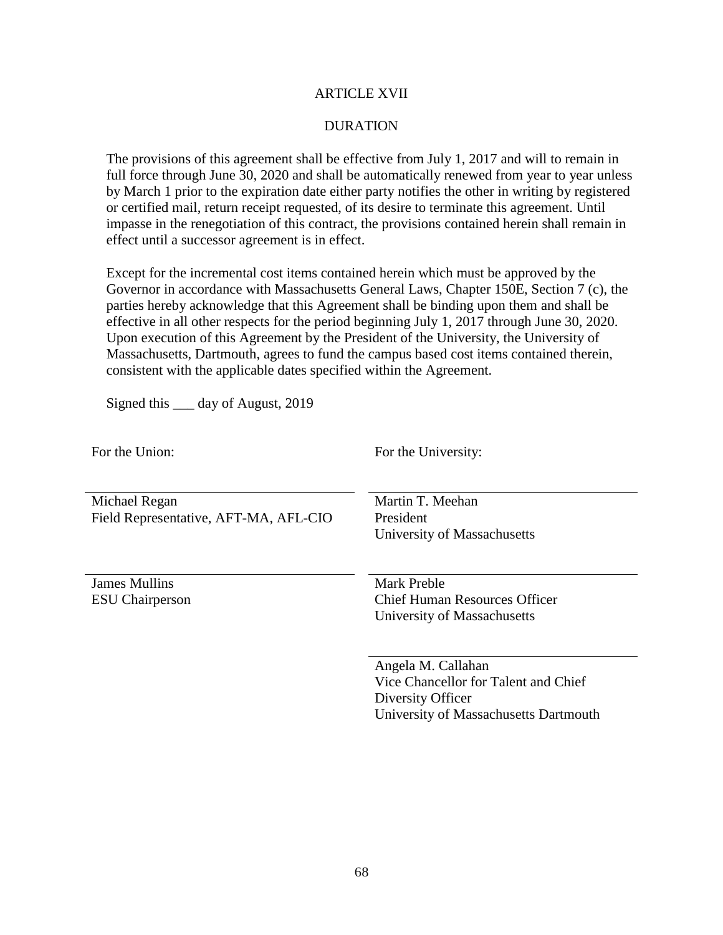### ARTICLE XVII

### DURATION

The provisions of this agreement shall be effective from July 1, 2017 and will to remain in full force through June 30, 2020 and shall be automatically renewed from year to year unless by March 1 prior to the expiration date either party notifies the other in writing by registered or certified mail, return receipt requested, of its desire to terminate this agreement. Until impasse in the renegotiation of this contract, the provisions contained herein shall remain in effect until a successor agreement is in effect.

Except for the incremental cost items contained herein which must be approved by the Governor in accordance with Massachusetts General Laws, Chapter 150E, Section 7 (c), the parties hereby acknowledge that this Agreement shall be binding upon them and shall be effective in all other respects for the period beginning July 1, 2017 through June 30, 2020. Upon execution of this Agreement by the President of the University, the University of Massachusetts, Dartmouth, agrees to fund the campus based cost items contained therein, consistent with the applicable dates specified within the Agreement.

Signed this \_\_\_ day of August, 2019

| For the Union:                          | For the University:                                 |
|-----------------------------------------|-----------------------------------------------------|
| Michael Regan                           | Martin T. Meehan                                    |
| Field Representative, AFT-MA, AFL-CIO   | President                                           |
|                                         | University of Massachusetts                         |
|                                         |                                                     |
| James Mullins<br><b>ESU</b> Chairperson | Mark Preble<br><b>Chief Human Resources Officer</b> |
|                                         | University of Massachusetts                         |
|                                         | Angela M. Callahan                                  |
|                                         | Vice Chancellor for Talent and Chief                |
|                                         | Diversity Officer                                   |
|                                         | University of Massachusetts Dartmouth               |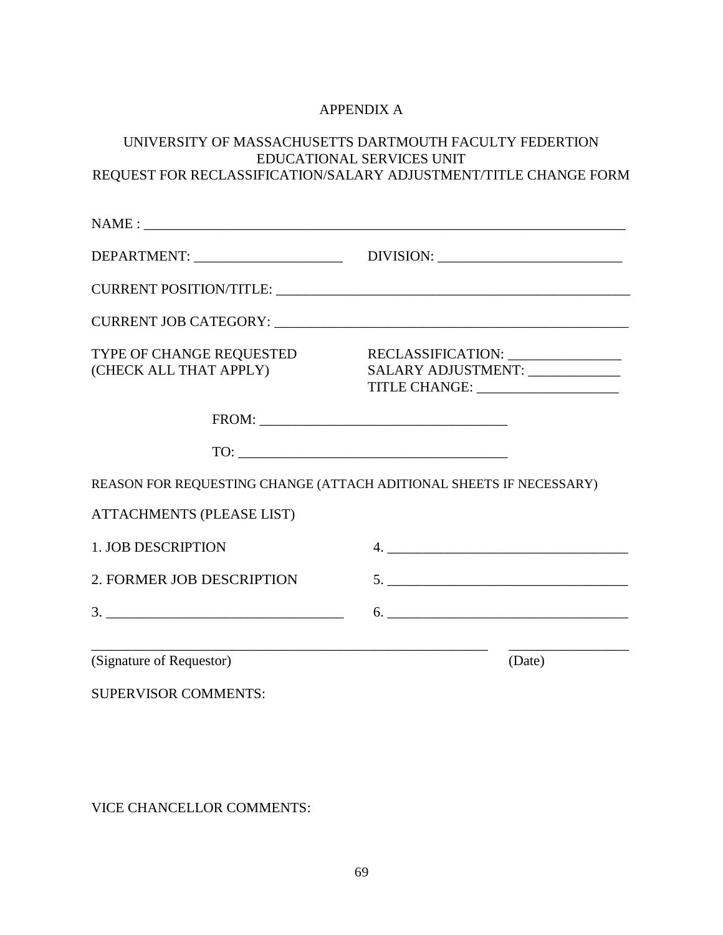# APPENDIX A

## UNIVERSITY OF MASSACHUSETTS DARTMOUTH FACULTY FEDERTION EDUCATIONAL SERVICES UNIT REQUEST FOR RECLASSIFICATION/SALARY ADJUSTMENT/TITLE CHANGE FORM

|                                                    | DEPARTMENT: ___________________________________DIVISION: ________________________                             |
|----------------------------------------------------|---------------------------------------------------------------------------------------------------------------|
|                                                    |                                                                                                               |
|                                                    |                                                                                                               |
| TYPE OF CHANGE REQUESTED<br>(CHECK ALL THAT APPLY) | RECLASSIFICATION: ________________<br>SALARY ADJUSTMENT: _____________<br>TITLE CHANGE: _____________________ |
|                                                    |                                                                                                               |
|                                                    | $\begin{tabular}{c} \hline \text{TO:} \end{tabular}$                                                          |
|                                                    | REASON FOR REQUESTING CHANGE (ATTACH ADITIONAL SHEETS IF NECESSARY)                                           |
| <b>ATTACHMENTS (PLEASE LIST)</b>                   |                                                                                                               |
| <b>1. JOB DESCRIPTION</b>                          |                                                                                                               |
| 2. FORMER JOB DESCRIPTION                          |                                                                                                               |
|                                                    |                                                                                                               |
| (Signature of Requestor)                           | (Date)                                                                                                        |
| <b>SUPERVISOR COMMENTS:</b>                        |                                                                                                               |

VICE CHANCELLOR COMMENTS: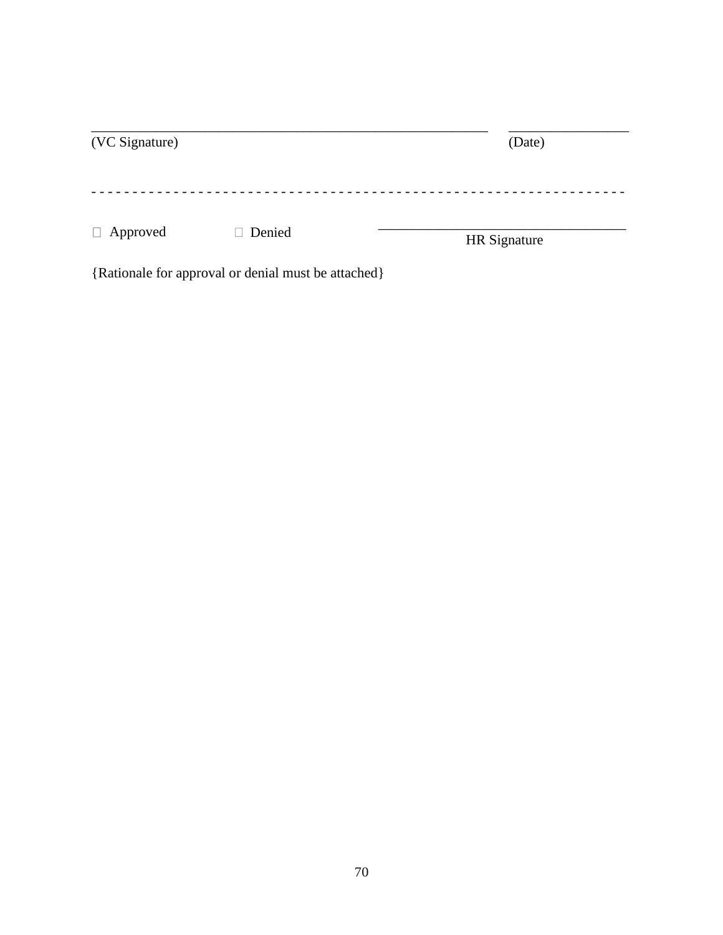| (VC Signature)  |        | (Date)       |
|-----------------|--------|--------------|
| $\Box$ Approved | Denied | HR Signature |

{Rationale for approval or denial must be attached}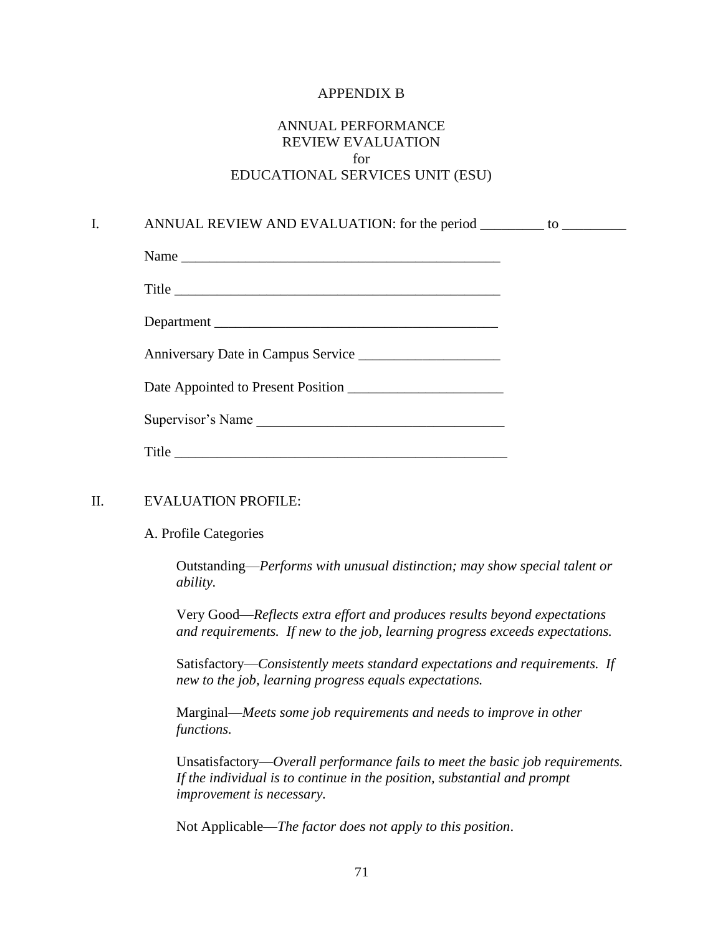#### APPENDIX B

# ANNUAL PERFORMANCE REVIEW EVALUATION for EDUCATIONAL SERVICES UNIT (ESU)

## I. ANNUAL REVIEW AND EVALUATION: for the period \_\_\_\_\_\_\_\_\_\_ to \_\_\_\_\_\_\_\_\_\_\_\_\_\_\_\_\_\_

| Name                                 |
|--------------------------------------|
| Title                                |
|                                      |
| Anniversary Date in Campus Service   |
|                                      |
| Supervisor's Name                    |
| $\text{Title} \quad \text{________}$ |

#### II. EVALUATION PROFILE:

#### A. Profile Categories

Outstanding—*Performs with unusual distinction; may show special talent or ability.*

Very Good—*Reflects extra effort and produces results beyond expectations and requirements. If new to the job, learning progress exceeds expectations.*

Satisfactory—*Consistently meets standard expectations and requirements. If new to the job, learning progress equals expectations.*

Marginal—*Meets some job requirements and needs to improve in other functions.*

Unsatisfactory—*Overall performance fails to meet the basic job requirements. If the individual is to continue in the position, substantial and prompt improvement is necessary.*

Not Applicable—*The factor does not apply to this position*.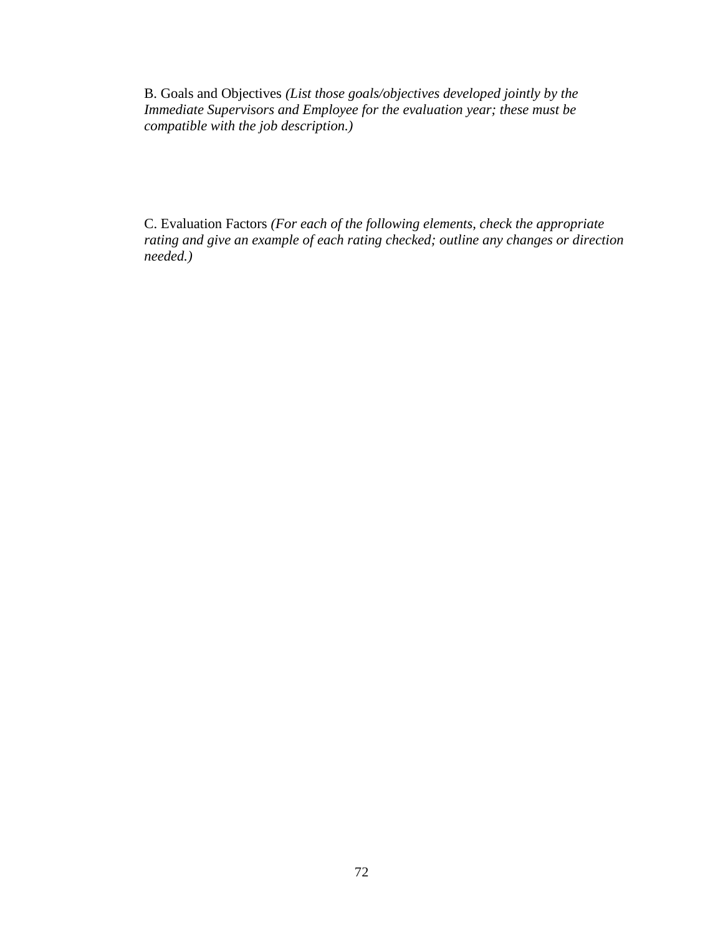B. Goals and Objectives *(List those goals/objectives developed jointly by the Immediate Supervisors and Employee for the evaluation year; these must be compatible with the job description.)*

C. Evaluation Factors *(For each of the following elements, check the appropriate rating and give an example of each rating checked; outline any changes or direction needed.)*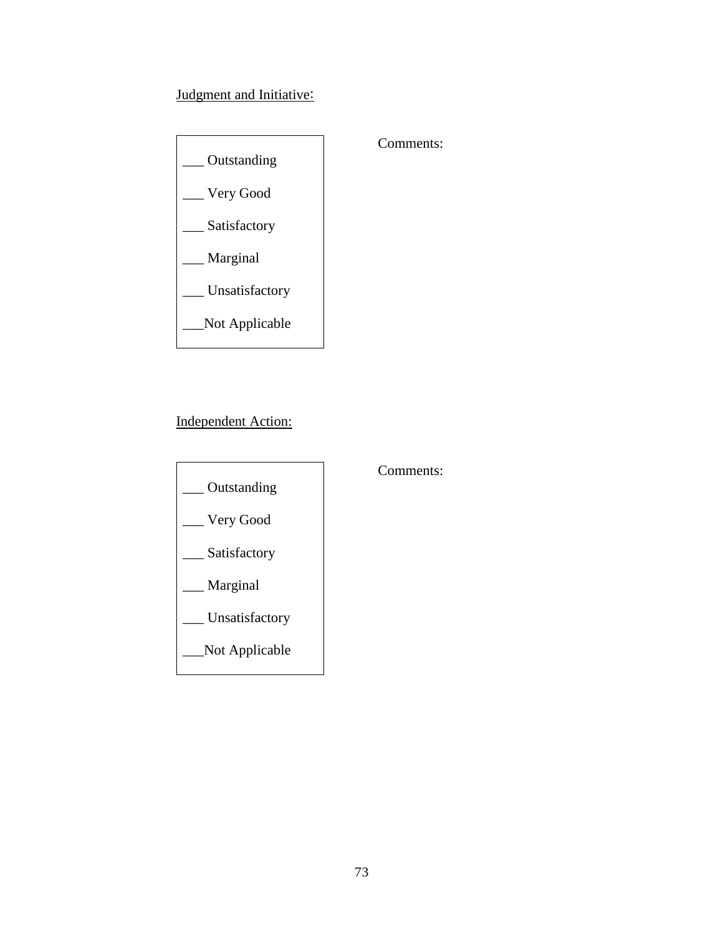# Judgment and Initiative:



## Comments:

Independent Action:



## Comments: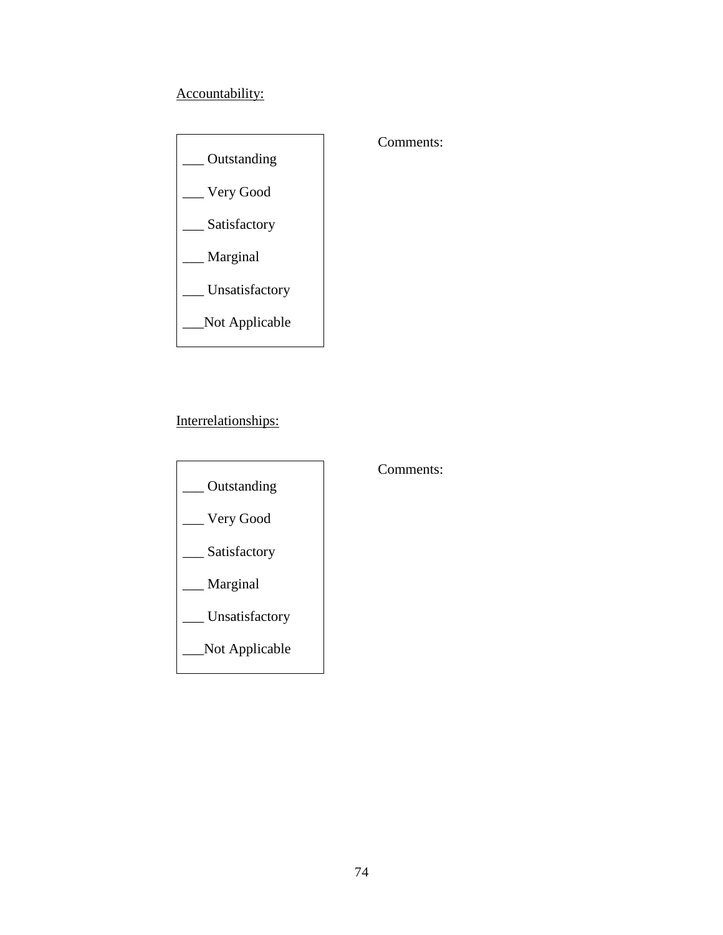# Accountability:



## Interrelationships:



## Comments:

## Comments: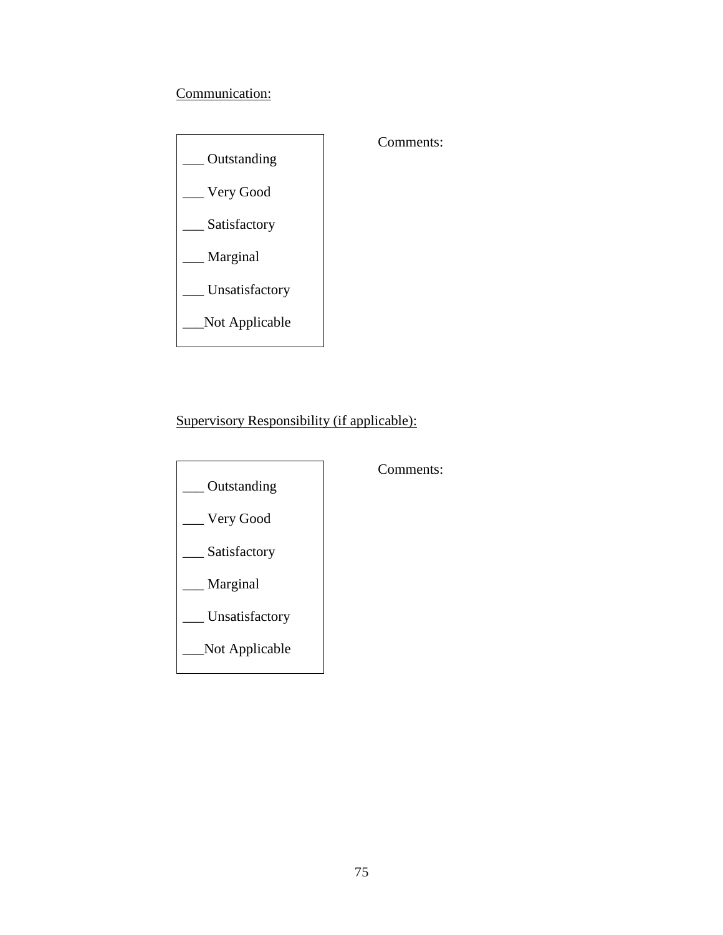# Communication:



# Comments:

Supervisory Responsibility (if applicable):



Comments: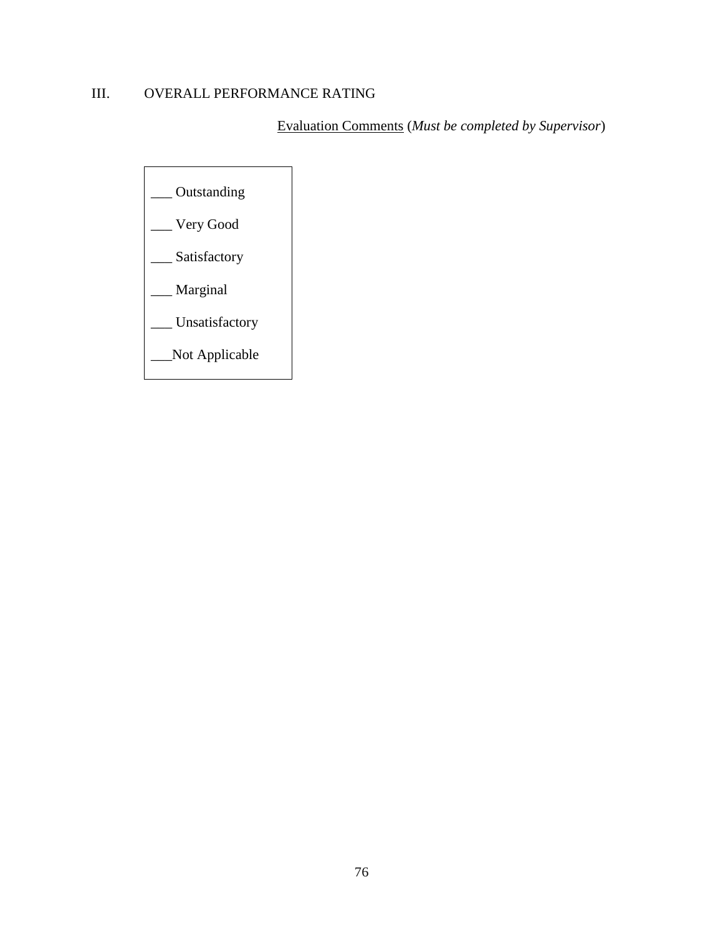# III. OVERALL PERFORMANCE RATING

Evaluation Comments (*Must be completed by Supervisor*)

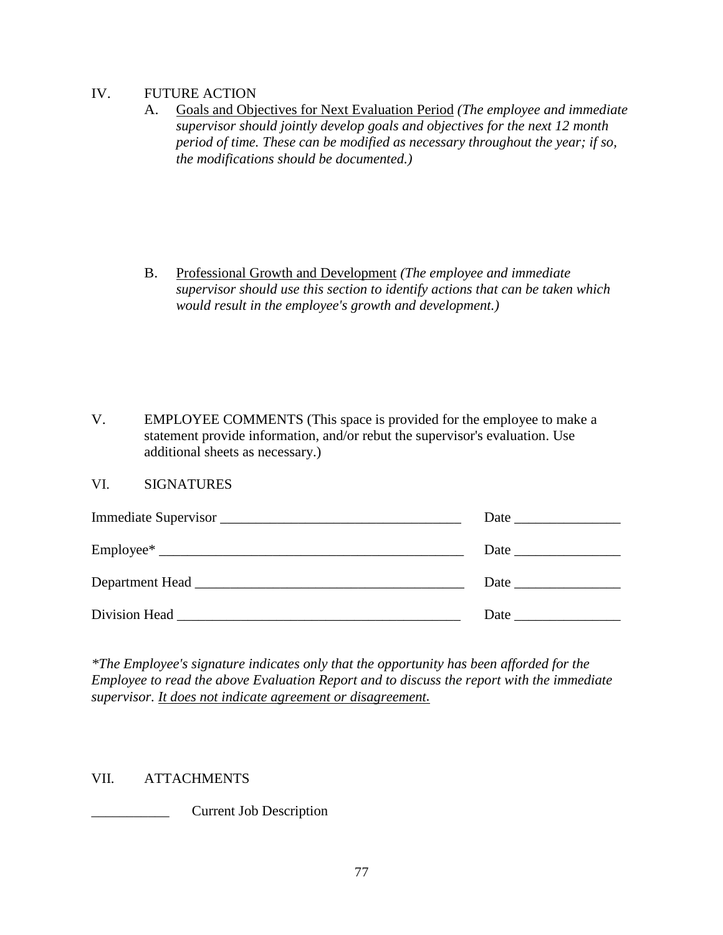### IV. FUTURE ACTION

A. Goals and Objectives for Next Evaluation Period *(The employee and immediate supervisor should jointly develop goals and objectives for the next 12 month period of time. These can be modified as necessary throughout the year; if so, the modifications should be documented.)*

B. Professional Growth and Development *(The employee and immediate supervisor should use this section to identify actions that can be taken which would result in the employee's growth and development.)*

V. EMPLOYEE COMMENTS (This space is provided for the employee to make a statement provide information, and/or rebut the supervisor's evaluation. Use additional sheets as necessary.)

### VI. SIGNATURES

| Immediate Supervisor               |  |
|------------------------------------|--|
|                                    |  |
|                                    |  |
| Division Head <b>Exercise 2018</b> |  |

*\*The Employee's signature indicates only that the opportunity has been afforded for the Employee to read the above Evaluation Report and to discuss the report with the immediate supervisor. It does not indicate agreement or disagreement.*

## VII. ATTACHMENTS

\_\_\_\_\_\_\_\_\_\_\_ Current Job Description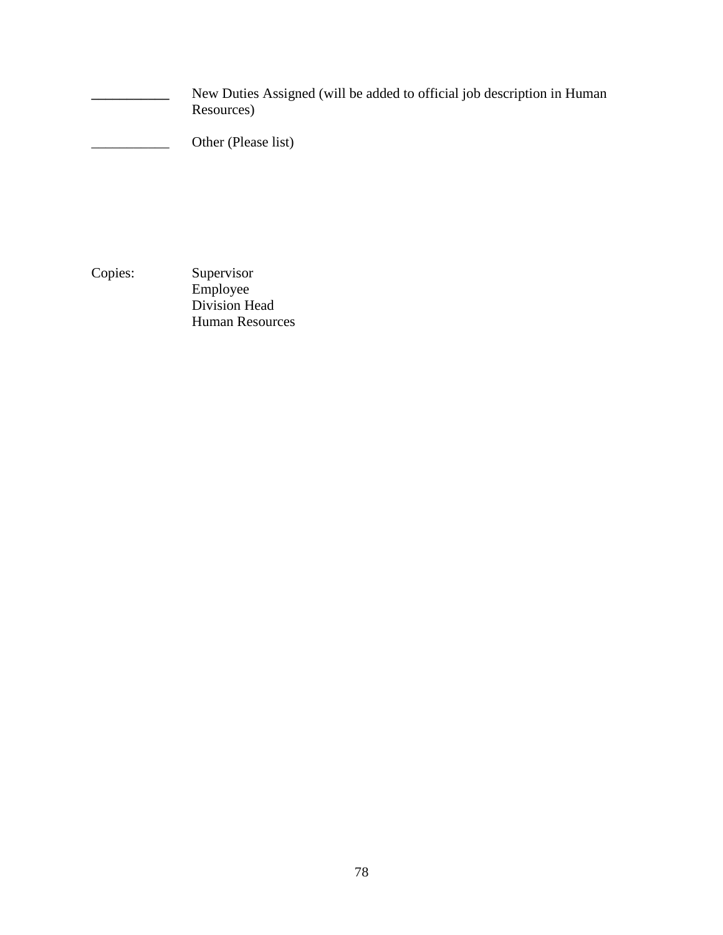**\_\_\_\_\_\_\_\_\_\_\_** New Duties Assigned (will be added to official job description in Human Resources)

Other (Please list)

Copies: Supervisor Employee Division Head Human Resources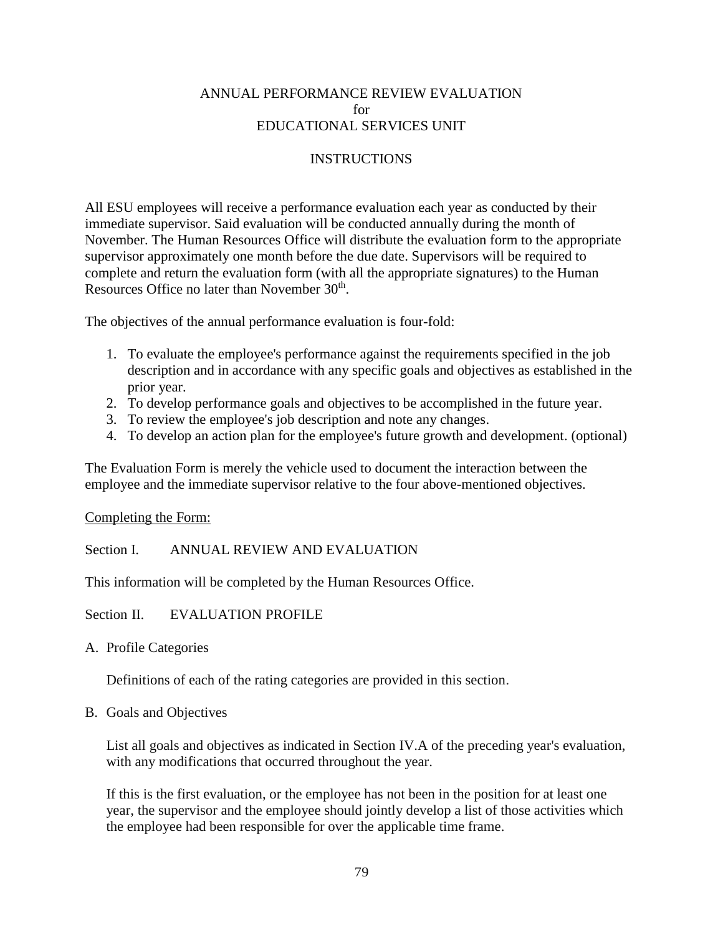### ANNUAL PERFORMANCE REVIEW EVALUATION for EDUCATIONAL SERVICES UNIT

### INSTRUCTIONS

All ESU employees will receive a performance evaluation each year as conducted by their immediate supervisor. Said evaluation will be conducted annually during the month of November. The Human Resources Office will distribute the evaluation form to the appropriate supervisor approximately one month before the due date. Supervisors will be required to complete and return the evaluation form (with all the appropriate signatures) to the Human Resources Office no later than November 30<sup>th</sup>.

The objectives of the annual performance evaluation is four-fold:

- 1. To evaluate the employee's performance against the requirements specified in the job description and in accordance with any specific goals and objectives as established in the prior year.
- 2. To develop performance goals and objectives to be accomplished in the future year.
- 3. To review the employee's job description and note any changes.
- 4. To develop an action plan for the employee's future growth and development. (optional)

The Evaluation Form is merely the vehicle used to document the interaction between the employee and the immediate supervisor relative to the four above-mentioned objectives.

Completing the Form:

Section I. ANNUAL REVIEW AND EVALUATION

This information will be completed by the Human Resources Office.

Section II. EVALUATION PROFILE

A. Profile Categories

Definitions of each of the rating categories are provided in this section.

B. Goals and Objectives

List all goals and objectives as indicated in Section IV.A of the preceding year's evaluation, with any modifications that occurred throughout the year.

If this is the first evaluation, or the employee has not been in the position for at least one year, the supervisor and the employee should jointly develop a list of those activities which the employee had been responsible for over the applicable time frame.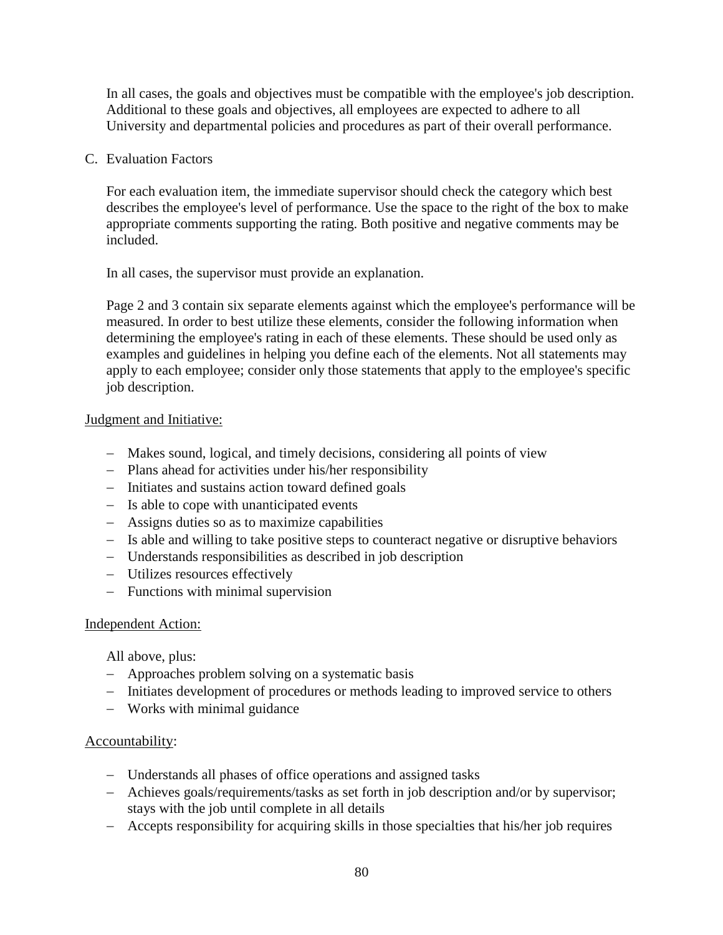In all cases, the goals and objectives must be compatible with the employee's job description. Additional to these goals and objectives, all employees are expected to adhere to all University and departmental policies and procedures as part of their overall performance.

### C. Evaluation Factors

For each evaluation item, the immediate supervisor should check the category which best describes the employee's level of performance. Use the space to the right of the box to make appropriate comments supporting the rating. Both positive and negative comments may be included.

In all cases, the supervisor must provide an explanation.

Page 2 and 3 contain six separate elements against which the employee's performance will be measured. In order to best utilize these elements, consider the following information when determining the employee's rating in each of these elements. These should be used only as examples and guidelines in helping you define each of the elements. Not all statements may apply to each employee; consider only those statements that apply to the employee's specific job description.

### Judgment and Initiative:

- − Makes sound, logical, and timely decisions, considering all points of view
- − Plans ahead for activities under his/her responsibility
- − Initiates and sustains action toward defined goals
- − Is able to cope with unanticipated events
- − Assigns duties so as to maximize capabilities
- − Is able and willing to take positive steps to counteract negative or disruptive behaviors
- − Understands responsibilities as described in job description
- − Utilizes resources effectively
- − Functions with minimal supervision

### Independent Action:

All above, plus:

- − Approaches problem solving on a systematic basis
- − Initiates development of procedures or methods leading to improved service to others
- − Works with minimal guidance

### Accountability:

- − Understands all phases of office operations and assigned tasks
- − Achieves goals/requirements/tasks as set forth in job description and/or by supervisor; stays with the job until complete in all details
- − Accepts responsibility for acquiring skills in those specialties that his/her job requires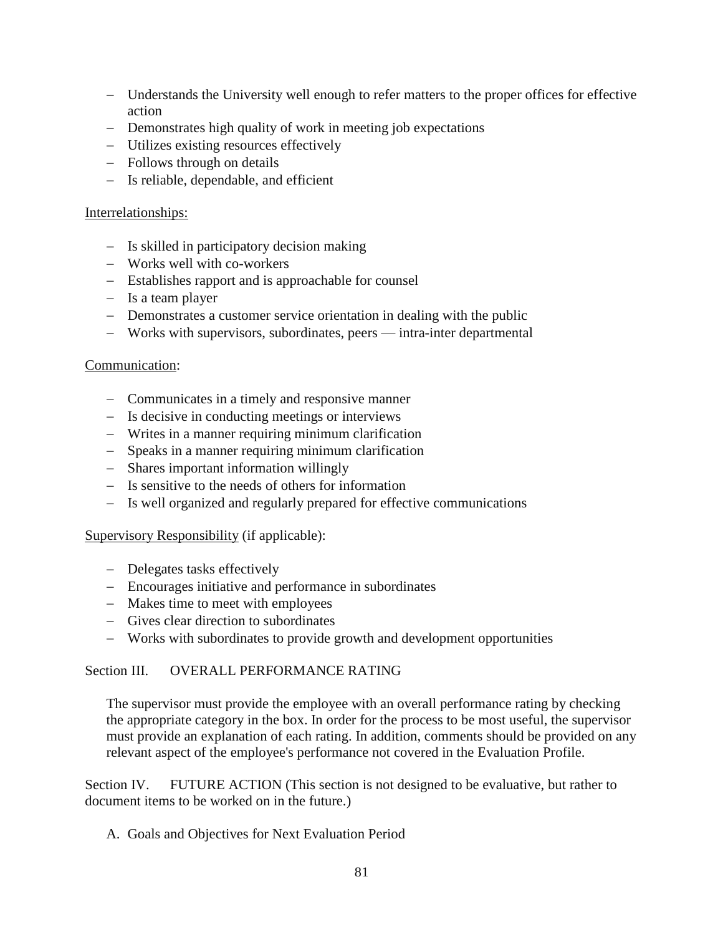- − Understands the University well enough to refer matters to the proper offices for effective action
- − Demonstrates high quality of work in meeting job expectations
- − Utilizes existing resources effectively
- − Follows through on details
- − Is reliable, dependable, and efficient

### Interrelationships:

- − Is skilled in participatory decision making
- − Works well with co-workers
- − Establishes rapport and is approachable for counsel
- − Is a team player
- − Demonstrates a customer service orientation in dealing with the public
- − Works with supervisors, subordinates, peers intra-inter departmental

### Communication:

- − Communicates in a timely and responsive manner
- − Is decisive in conducting meetings or interviews
- − Writes in a manner requiring minimum clarification
- − Speaks in a manner requiring minimum clarification
- − Shares important information willingly
- − Is sensitive to the needs of others for information
- − Is well organized and regularly prepared for effective communications

### Supervisory Responsibility (if applicable):

- − Delegates tasks effectively
- − Encourages initiative and performance in subordinates
- − Makes time to meet with employees
- − Gives clear direction to subordinates
- − Works with subordinates to provide growth and development opportunities

## Section III. OVERALL PERFORMANCE RATING

The supervisor must provide the employee with an overall performance rating by checking the appropriate category in the box. In order for the process to be most useful, the supervisor must provide an explanation of each rating. In addition, comments should be provided on any relevant aspect of the employee's performance not covered in the Evaluation Profile.

Section IV. FUTURE ACTION (This section is not designed to be evaluative, but rather to document items to be worked on in the future.)

### A. Goals and Objectives for Next Evaluation Period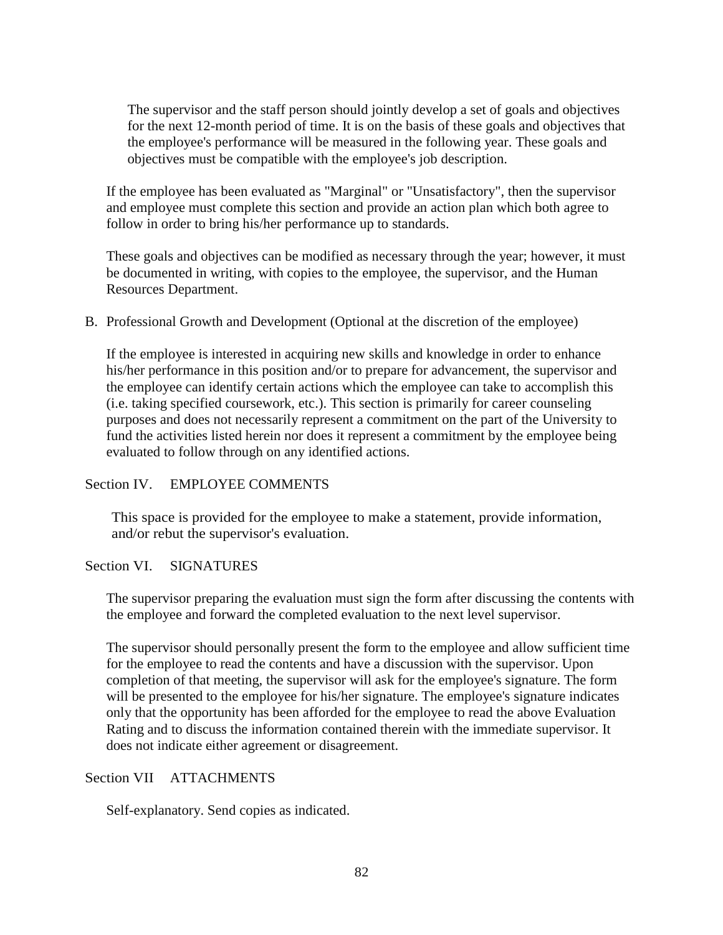The supervisor and the staff person should jointly develop a set of goals and objectives for the next 12-month period of time. It is on the basis of these goals and objectives that the employee's performance will be measured in the following year. These goals and objectives must be compatible with the employee's job description.

If the employee has been evaluated as "Marginal" or "Unsatisfactory", then the supervisor and employee must complete this section and provide an action plan which both agree to follow in order to bring his/her performance up to standards.

These goals and objectives can be modified as necessary through the year; however, it must be documented in writing, with copies to the employee, the supervisor, and the Human Resources Department.

B. Professional Growth and Development (Optional at the discretion of the employee)

If the employee is interested in acquiring new skills and knowledge in order to enhance his/her performance in this position and/or to prepare for advancement, the supervisor and the employee can identify certain actions which the employee can take to accomplish this (i.e. taking specified coursework, etc.). This section is primarily for career counseling purposes and does not necessarily represent a commitment on the part of the University to fund the activities listed herein nor does it represent a commitment by the employee being evaluated to follow through on any identified actions.

## Section IV. EMPLOYEE COMMENTS

This space is provided for the employee to make a statement, provide information, and/or rebut the supervisor's evaluation.

### Section VI. SIGNATURES

The supervisor preparing the evaluation must sign the form after discussing the contents with the employee and forward the completed evaluation to the next level supervisor.

The supervisor should personally present the form to the employee and allow sufficient time for the employee to read the contents and have a discussion with the supervisor. Upon completion of that meeting, the supervisor will ask for the employee's signature. The form will be presented to the employee for his/her signature. The employee's signature indicates only that the opportunity has been afforded for the employee to read the above Evaluation Rating and to discuss the information contained therein with the immediate supervisor. It does not indicate either agreement or disagreement.

### Section VII ATTACHMENTS

Self-explanatory. Send copies as indicated.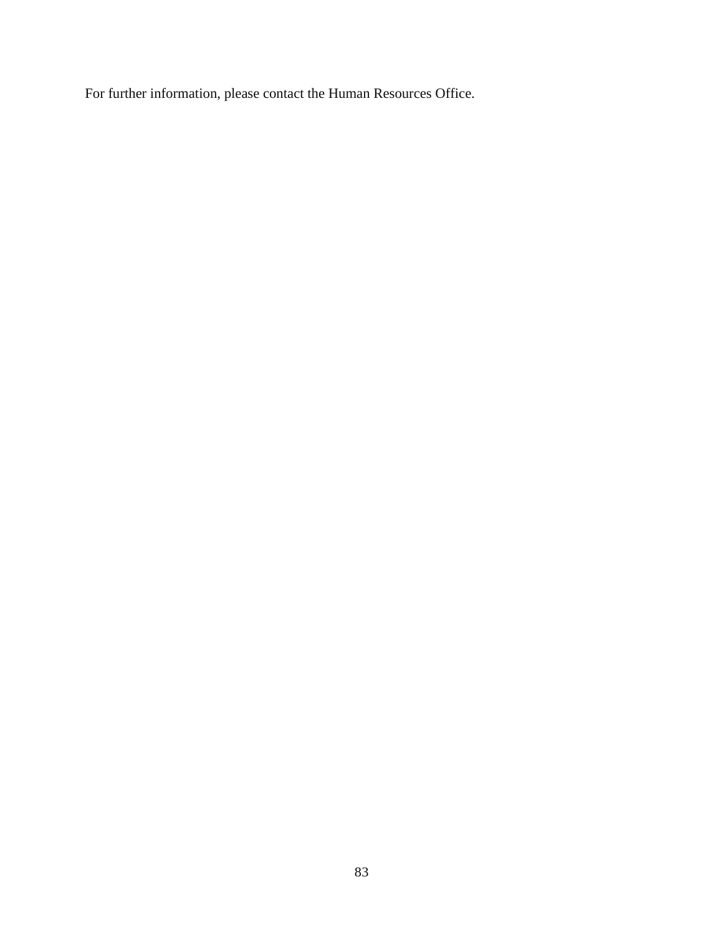For further information, please contact the Human Resources Office.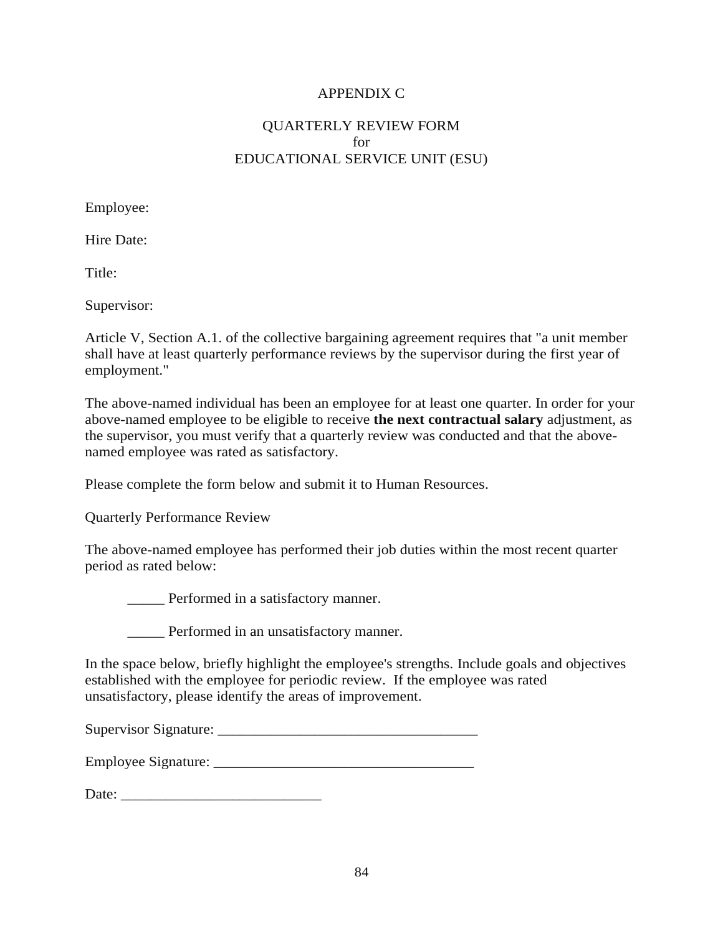## APPENDIX C

## QUARTERLY REVIEW FORM for EDUCATIONAL SERVICE UNIT (ESU)

Employee:

Hire Date:

Title:

Supervisor:

Article V, Section A.1. of the collective bargaining agreement requires that "a unit member shall have at least quarterly performance reviews by the supervisor during the first year of employment."

The above-named individual has been an employee for at least one quarter. In order for your above-named employee to be eligible to receive **the next contractual salary** adjustment, as the supervisor, you must verify that a quarterly review was conducted and that the abovenamed employee was rated as satisfactory.

Please complete the form below and submit it to Human Resources.

Quarterly Performance Review

The above-named employee has performed their job duties within the most recent quarter period as rated below:

Performed in a satisfactory manner.

Performed in an unsatisfactory manner.

In the space below, briefly highlight the employee's strengths. Include goals and objectives established with the employee for periodic review. If the employee was rated unsatisfactory, please identify the areas of improvement.

Supervisor Signature: \_\_\_\_\_\_\_\_\_\_\_\_\_\_\_\_\_\_\_\_\_\_\_\_\_\_\_\_\_\_\_\_\_\_\_

Employee Signature:

Date: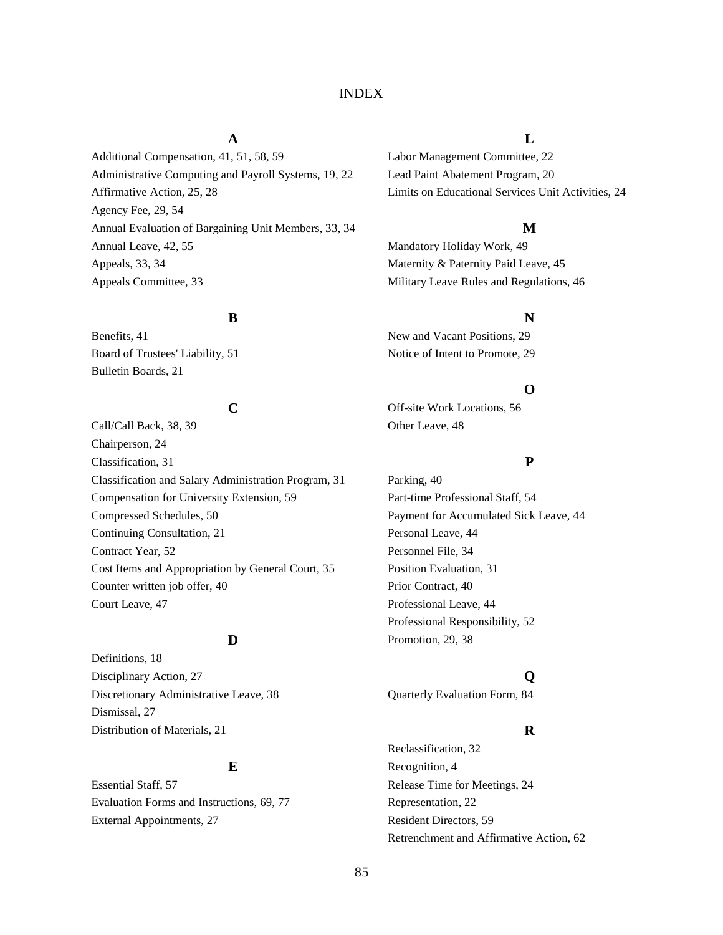#### INDEX

Additional Compensation, 41, 51, 58, 59 Labor Management Committee, 22 Administrative Computing and Payroll Systems, 19, 22 Lead Paint Abatement Program, 20 Affirmative Action, 25, 28 Limits on Educational Services Unit Activities, 24 Agency Fee, 29, 54 Annual Evaluation of Bargaining Unit Members, 33, 34 **M** Annual Leave, 42, 55 Mandatory Holiday Work, 49 Appeals, 33, 34 Maternity & Paternity Paid Leave, 45 Appeals Committee, 33 Military Leave Rules and Regulations, 46

Board of Trustees' Liability, 51 Notice of Intent to Promote, 29 Bulletin Boards, 21

Call/Call Back, 38, 39 Other Leave, 48 Chairperson, 24 Classification, 31 **P** Classification and Salary Administration Program, 31 Parking, 40 Compensation for University Extension, 59 Part-time Professional Staff, 54 Compressed Schedules, 50 **Payment for Accumulated Sick Leave, 44** Payment for Accumulated Sick Leave, 44 Continuing Consultation, 21 Personal Leave, 44 Contract Year, 52 Personnel File, 34 Cost Items and Appropriation by General Court, 35 Position Evaluation, 31 Counter written job offer, 40 Prior Contract, 40 Court Leave, 47 Professional Leave, 44

Definitions, 18 Disciplinary Action, 27 **Q** Discretionary Administrative Leave, 38 Quarterly Evaluation Form, 84 Dismissal, 27 Distribution of Materials, 21 **R** 

Evaluation Forms and Instructions, 69, 77 Representation, 22 External Appointments, 27 Resident Directors, 59

#### **A L**

#### **B N**

Benefits, 41 New and Vacant Positions, 29

#### **O**

**C** Off-site Work Locations, 56

Professional Responsibility, 52 **D** Promotion, 29, 38

Reclassification, 32 **E** Recognition, 4 Essential Staff, 57 Release Time for Meetings, 24 Retrenchment and Affirmative Action, 62